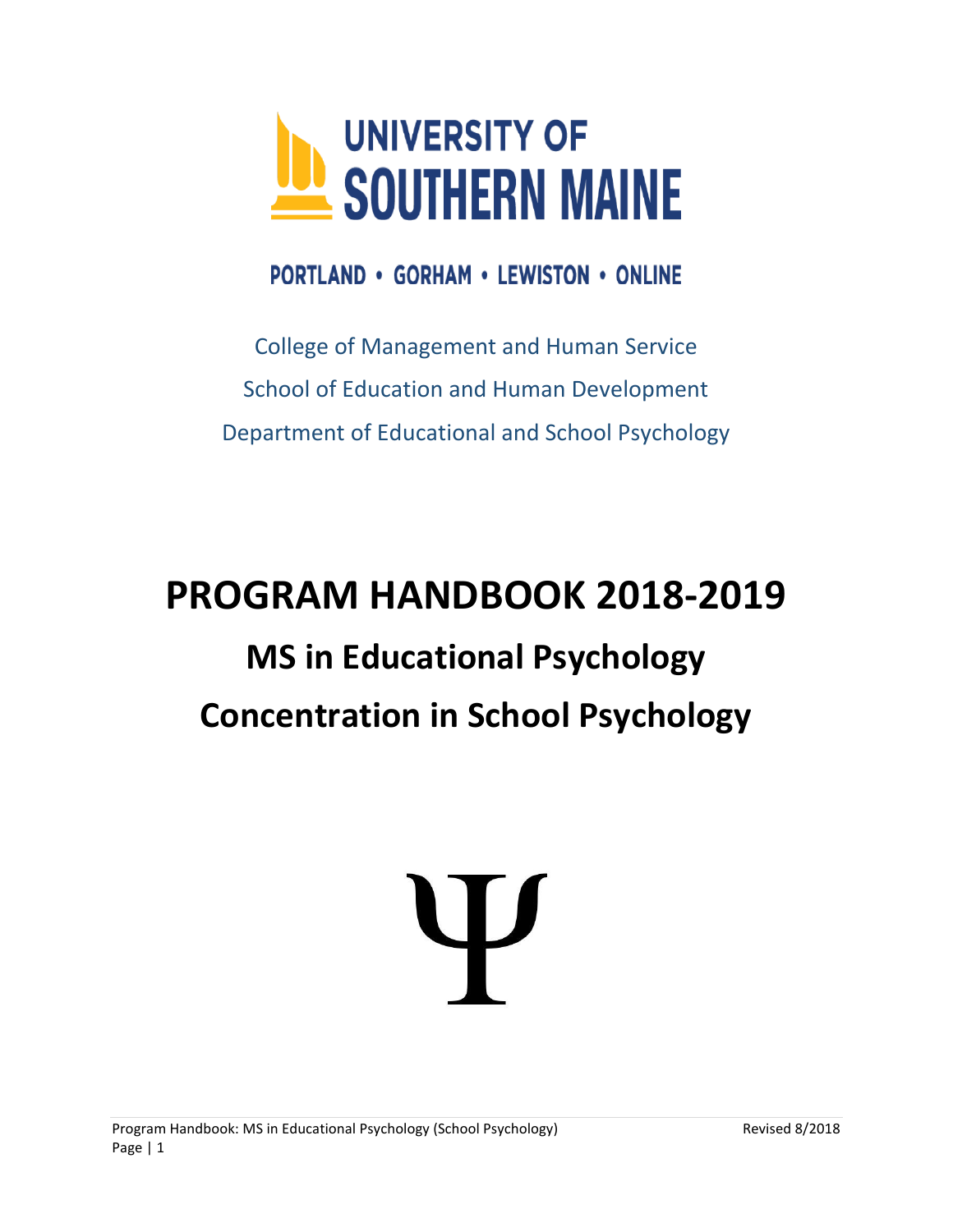

**PORTLAND • GORHAM • LEWISTON • ONLINE** 

College of Management and Human Service School of Education and Human Development Department of Educational and School Psychology

# **PROGRAM HANDBOOK 2018-2019 MS in Educational Psychology Concentration in School Psychology**

# Ψ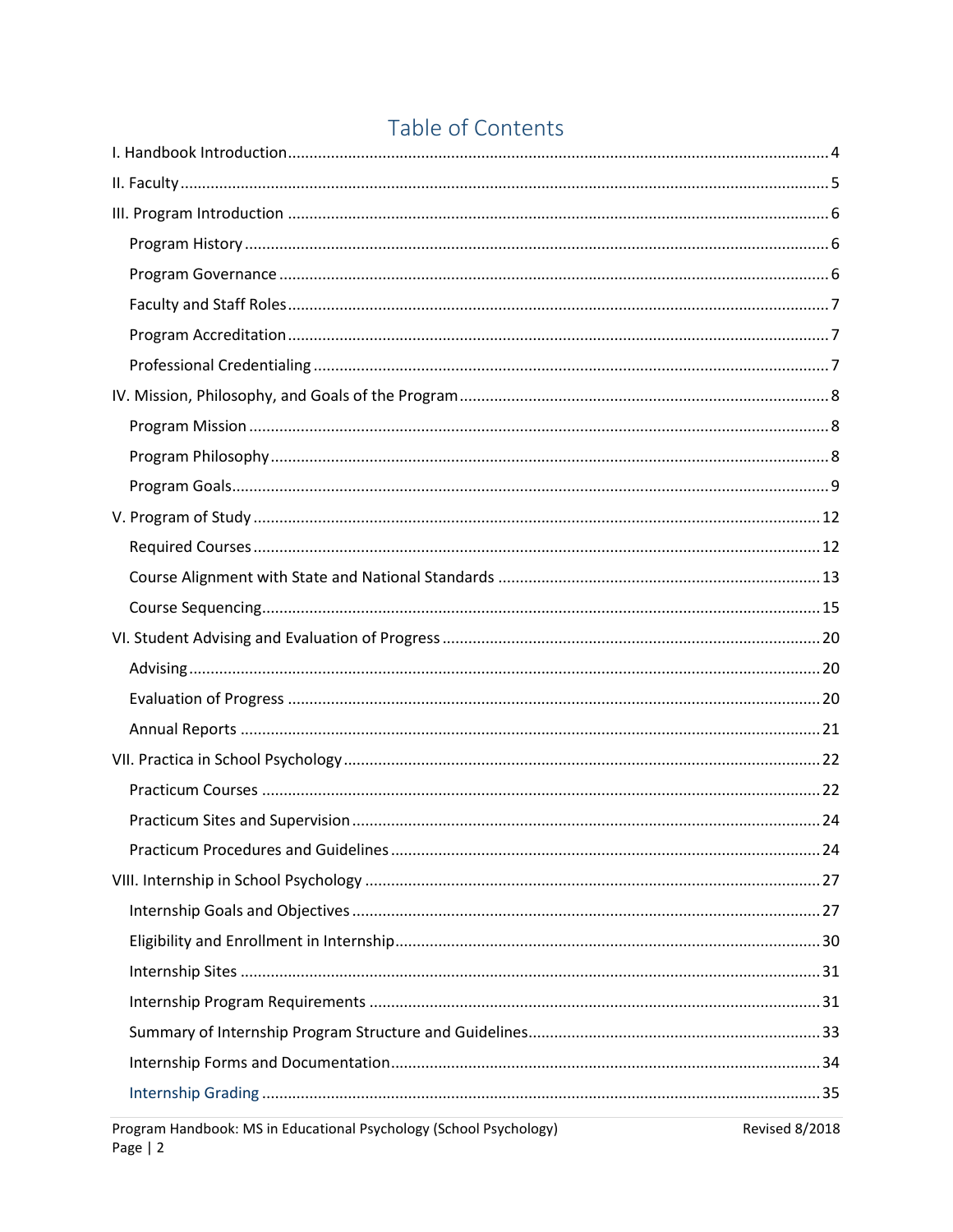# Table of Contents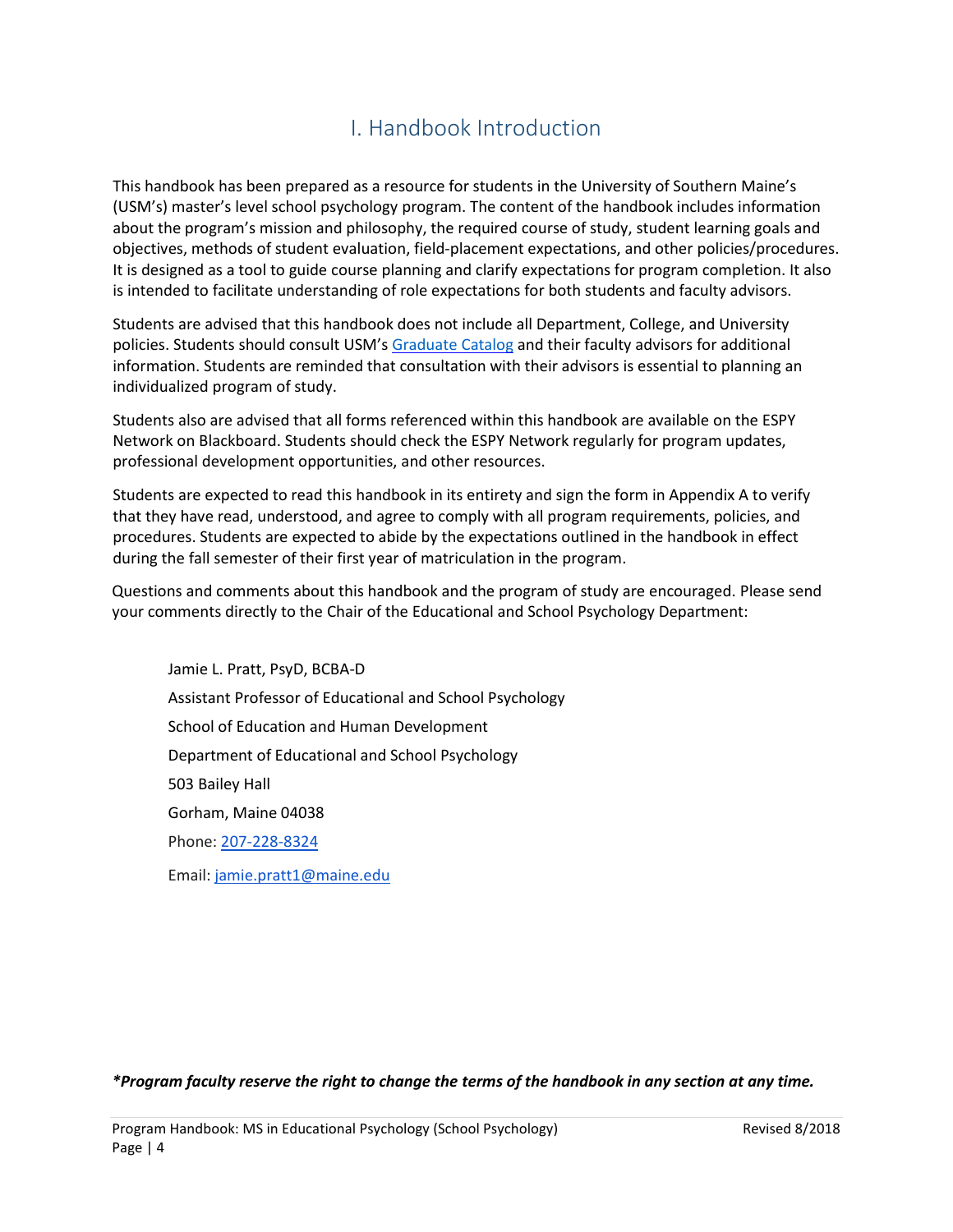# I. Handbook Introduction

<span id="page-3-0"></span>This handbook has been prepared as a resource for students in the University of Southern Maine's (USM's) master's level school psychology program. The content of the handbook includes information about the program's mission and philosophy, the required course of study, student learning goals and objectives, methods of student evaluation, field-placement expectations, and other policies/procedures. It is designed as a tool to guide course planning and clarify expectations for program completion. It also is intended to facilitate understanding of role expectations for both students and faculty advisors.

Students are advised that this handbook does not include all Department, College, and University policies. Students should consult USM's [Graduate Catalog](https://usm.maine.edu/catalogs) and their faculty advisors for additional information. Students are reminded that consultation with their advisors is essential to planning an individualized program of study.

Students also are advised that all forms referenced within this handbook are available on the ESPY Network on Blackboard. Students should check the ESPY Network regularly for program updates, professional development opportunities, and other resources.

Students are expected to read this handbook in its entirety and sign the form in Appendix A to verify that they have read, understood, and agree to comply with all program requirements, policies, and procedures. Students are expected to abide by the expectations outlined in the handbook in effect during the fall semester of their first year of matriculation in the program.

Questions and comments about this handbook and the program of study are encouraged. Please send your comments directly to the Chair of the Educational and School Psychology Department:

Jamie L. Pratt, PsyD, BCBA-D Assistant Professor of Educational and School Psychology School of Education and Human Development Department of Educational and School Psychology 503 Bailey Hall Gorham, Maine 04038 Phone: [207-228-8324](tel:(207)%20228-8324) Email: [jamie.pratt1@maine.edu](mailto:jamie.pratt1@maine.edu)

*\*Program faculty reserve the right to change the terms of the handbook in any section at any time.*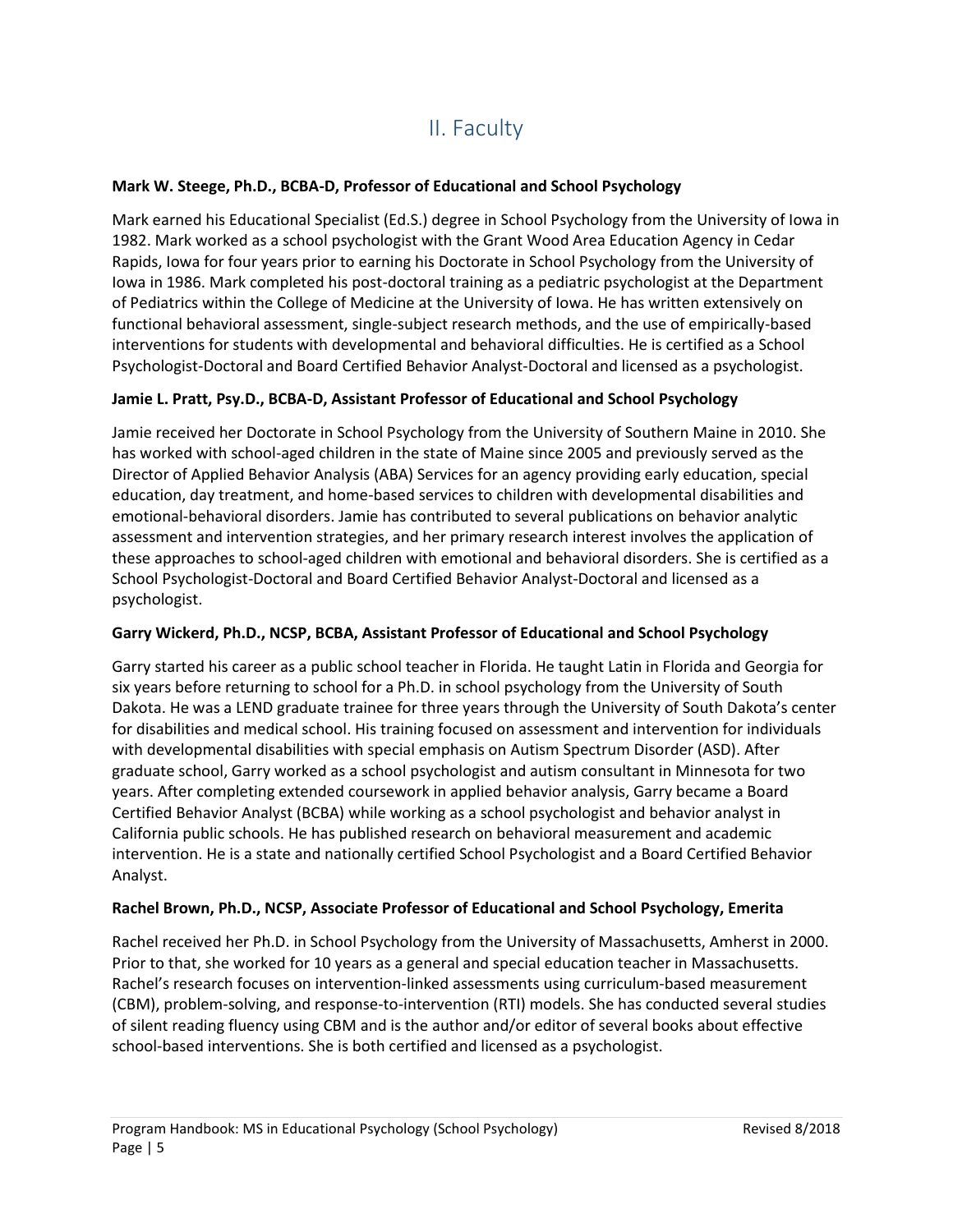# II. Faculty

# <span id="page-4-0"></span>**Mark W. Steege, Ph.D., BCBA-D, Professor of Educational and School Psychology**

Mark earned his Educational Specialist (Ed.S.) degree in School Psychology from the University of Iowa in 1982. Mark worked as a school psychologist with the Grant Wood Area Education Agency in Cedar Rapids, Iowa for four years prior to earning his Doctorate in School Psychology from the University of Iowa in 1986. Mark completed his post-doctoral training as a pediatric psychologist at the Department of Pediatrics within the College of Medicine at the University of Iowa. He has written extensively on functional behavioral assessment, single-subject research methods, and the use of empirically-based interventions for students with developmental and behavioral difficulties. He is certified as a School Psychologist-Doctoral and Board Certified Behavior Analyst-Doctoral and licensed as a psychologist.

# **Jamie L. Pratt, Psy.D., BCBA-D, Assistant Professor of Educational and School Psychology**

Jamie received her Doctorate in School Psychology from the University of Southern Maine in 2010. She has worked with school-aged children in the state of Maine since 2005 and previously served as the Director of Applied Behavior Analysis (ABA) Services for an agency providing early education, special education, day treatment, and home-based services to children with developmental disabilities and emotional-behavioral disorders. Jamie has contributed to several publications on behavior analytic assessment and intervention strategies, and her primary research interest involves the application of these approaches to school-aged children with emotional and behavioral disorders. She is certified as a School Psychologist-Doctoral and Board Certified Behavior Analyst-Doctoral and licensed as a psychologist.

### **Garry Wickerd, Ph.D., NCSP, BCBA, Assistant Professor of Educational and School Psychology**

Garry started his career as a public school teacher in Florida. He taught Latin in Florida and Georgia for six years before returning to school for a Ph.D. in school psychology from the University of South Dakota. He was a LEND graduate trainee for three years through the University of South Dakota's center for disabilities and medical school. His training focused on assessment and intervention for individuals with developmental disabilities with special emphasis on Autism Spectrum Disorder (ASD). After graduate school, Garry worked as a school psychologist and autism consultant in Minnesota for two years. After completing extended coursework in applied behavior analysis, Garry became a Board Certified Behavior Analyst (BCBA) while working as a school psychologist and behavior analyst in California public schools. He has published research on behavioral measurement and academic intervention. He is a state and nationally certified School Psychologist and a Board Certified Behavior Analyst.

### **Rachel Brown, Ph.D., NCSP, Associate Professor of Educational and School Psychology, Emerita**

Rachel received her Ph.D. in School Psychology from the University of Massachusetts, Amherst in 2000. Prior to that, she worked for 10 years as a general and special education teacher in Massachusetts. Rachel's research focuses on intervention-linked assessments using curriculum-based measurement (CBM), problem-solving, and response-to-intervention (RTI) models. She has conducted several studies of silent reading fluency using CBM and is the author and/or editor of several books about effective school-based interventions. She is both certified and licensed as a psychologist.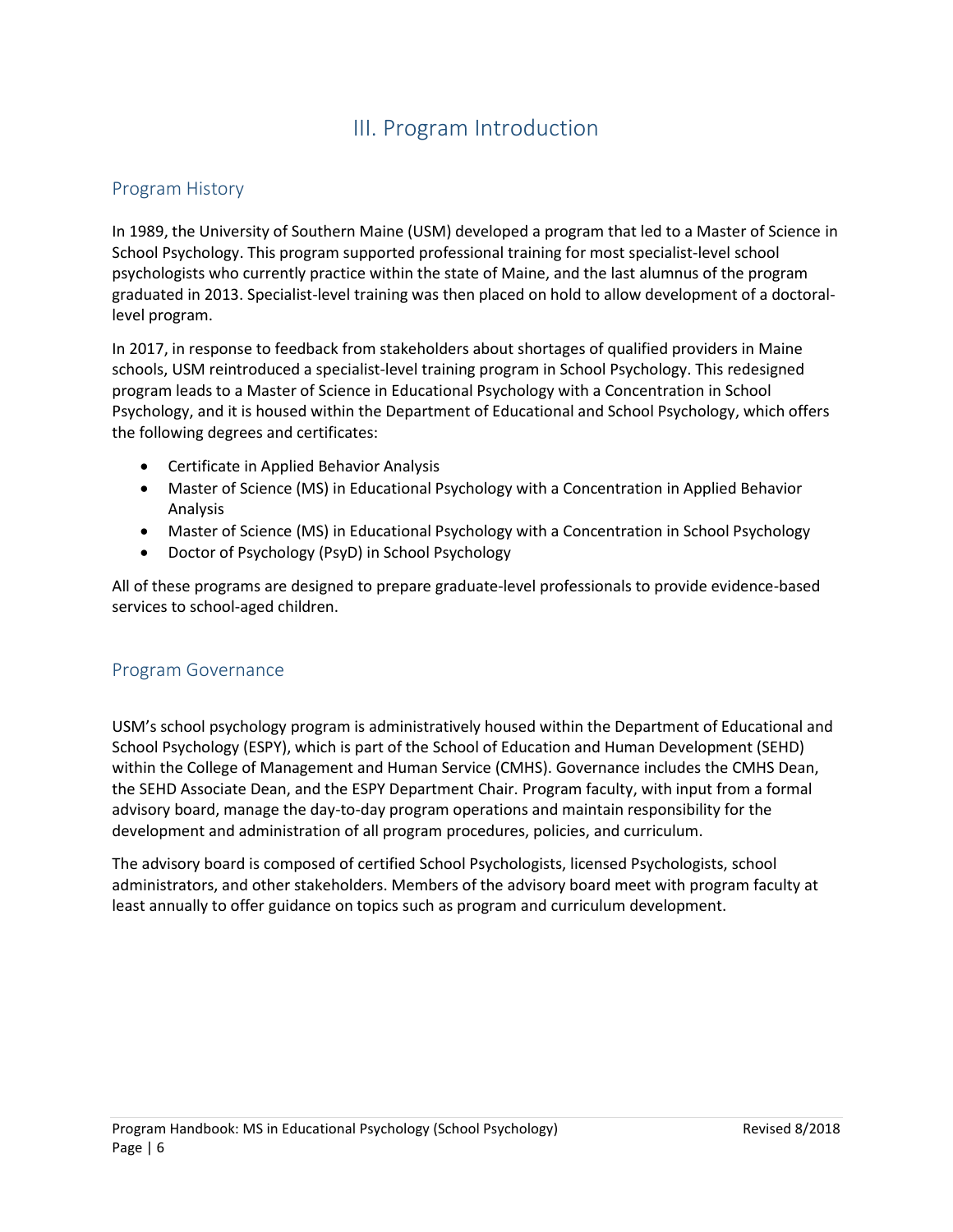# III. Program Introduction

# <span id="page-5-1"></span><span id="page-5-0"></span>Program History

In 1989, the University of Southern Maine (USM) developed a program that led to a Master of Science in School Psychology. This program supported professional training for most specialist-level school psychologists who currently practice within the state of Maine, and the last alumnus of the program graduated in 2013. Specialist-level training was then placed on hold to allow development of a doctorallevel program.

In 2017, in response to feedback from stakeholders about shortages of qualified providers in Maine schools, USM reintroduced a specialist-level training program in School Psychology. This redesigned program leads to a Master of Science in Educational Psychology with a Concentration in School Psychology, and it is housed within the Department of Educational and School Psychology, which offers the following degrees and certificates:

- Certificate in Applied Behavior Analysis
- Master of Science (MS) in Educational Psychology with a Concentration in Applied Behavior Analysis
- Master of Science (MS) in Educational Psychology with a Concentration in School Psychology
- Doctor of Psychology (PsyD) in School Psychology

All of these programs are designed to prepare graduate-level professionals to provide evidence-based services to school-aged children.

# <span id="page-5-2"></span>Program Governance

USM's school psychology program is administratively housed within the Department of Educational and School Psychology (ESPY), which is part of the School of Education and Human Development (SEHD) within the College of Management and Human Service (CMHS). Governance includes the CMHS Dean, the SEHD Associate Dean, and the ESPY Department Chair. Program faculty, with input from a formal advisory board, manage the day-to-day program operations and maintain responsibility for the development and administration of all program procedures, policies, and curriculum.

The advisory board is composed of certified School Psychologists, licensed Psychologists, school administrators, and other stakeholders. Members of the advisory board meet with program faculty at least annually to offer guidance on topics such as program and curriculum development.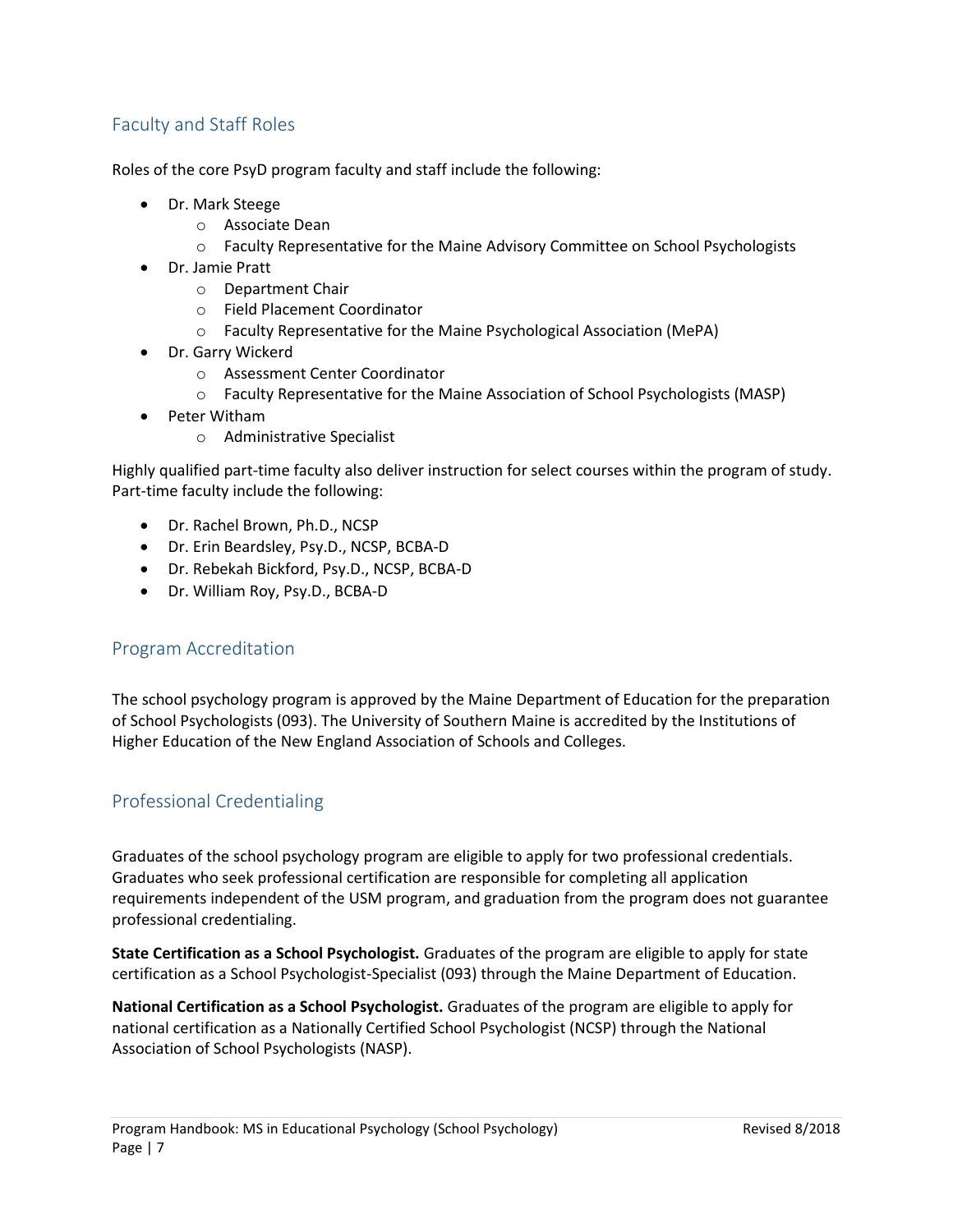# <span id="page-6-0"></span>Faculty and Staff Roles

Roles of the core PsyD program faculty and staff include the following:

- Dr. Mark Steege
	- o Associate Dean
	- o Faculty Representative for the Maine Advisory Committee on School Psychologists
- Dr. Jamie Pratt
	- o Department Chair
	- o Field Placement Coordinator
	- o Faculty Representative for the Maine Psychological Association (MePA)
- Dr. Garry Wickerd
	- o Assessment Center Coordinator
	- o Faculty Representative for the Maine Association of School Psychologists (MASP)
- Peter Witham
	- o Administrative Specialist

Highly qualified part-time faculty also deliver instruction for select courses within the program of study. Part-time faculty include the following:

- Dr. Rachel Brown, Ph.D., NCSP
- Dr. Erin Beardsley, Psy.D., NCSP, BCBA-D
- Dr. Rebekah Bickford, Psy.D., NCSP, BCBA-D
- Dr. William Roy, Psy.D., BCBA-D

# <span id="page-6-1"></span>Program Accreditation

The school psychology program is approved by the Maine Department of Education for the preparation of School Psychologists (093). The University of Southern Maine is accredited by the Institutions of Higher Education of the New England Association of Schools and Colleges.

# <span id="page-6-2"></span>Professional Credentialing

Graduates of the school psychology program are eligible to apply for two professional credentials. Graduates who seek professional certification are responsible for completing all application requirements independent of the USM program, and graduation from the program does not guarantee professional credentialing.

**State Certification as a School Psychologist.** Graduates of the program are eligible to apply for state certification as a School Psychologist-Specialist (093) through the Maine Department of Education.

**National Certification as a School Psychologist.** Graduates of the program are eligible to apply for national certification as a Nationally Certified School Psychologist (NCSP) through the National Association of School Psychologists (NASP).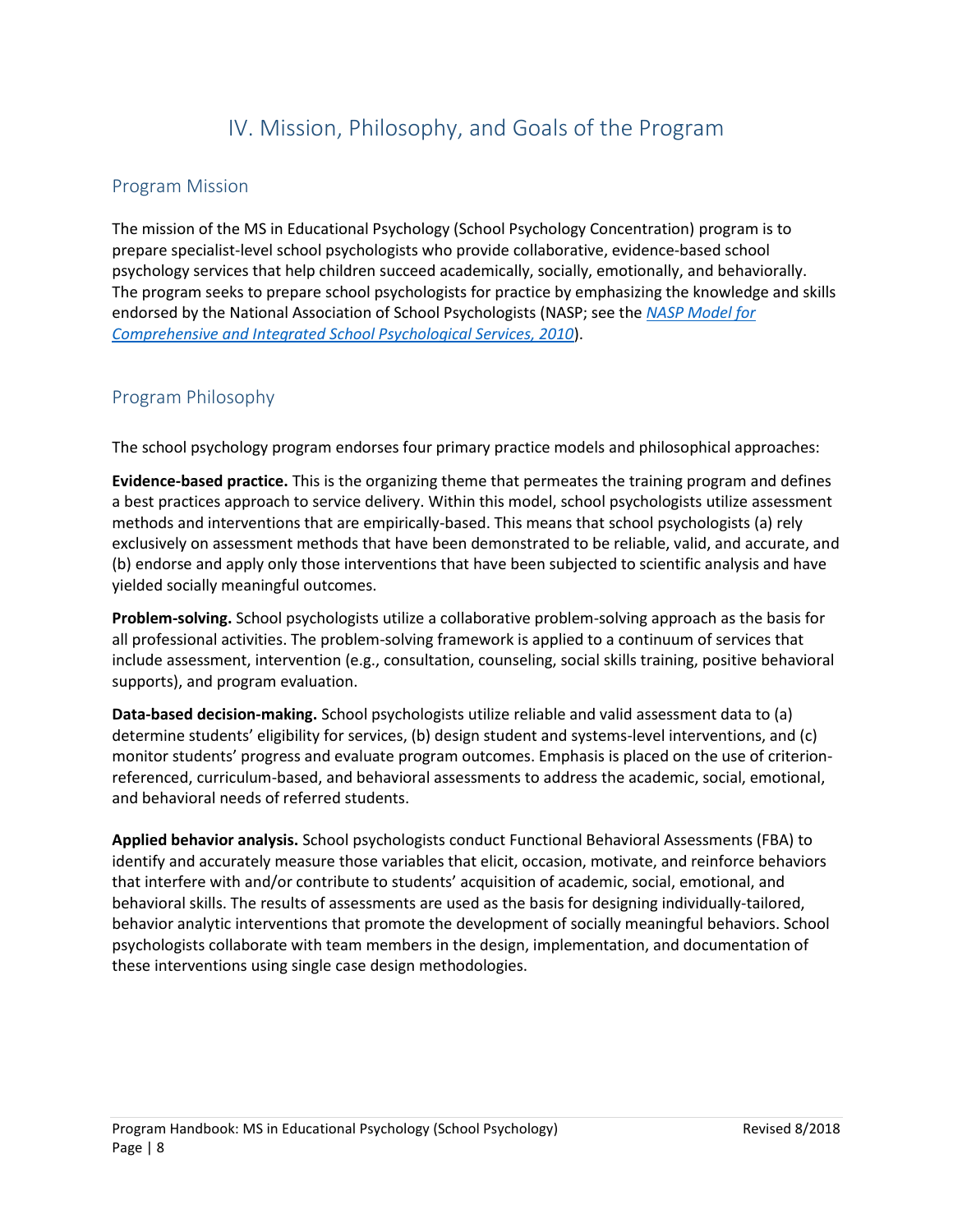# IV. Mission, Philosophy, and Goals of the Program

# <span id="page-7-1"></span><span id="page-7-0"></span>Program Mission

The mission of the MS in Educational Psychology (School Psychology Concentration) program is to prepare specialist-level school psychologists who provide collaborative, evidence-based school psychology services that help children succeed academically, socially, emotionally, and behaviorally. The program seeks to prepare school psychologists for practice by emphasizing the knowledge and skills endorsed by the National Association of School Psychologists (NASP; see the *[NASP Model for](https://www.nasponline.org/standards-and-certification/nasp-practice-model)  [Comprehensive and Integrated School Psychological Services, 2010](https://www.nasponline.org/standards-and-certification/nasp-practice-model)*).

# <span id="page-7-2"></span>Program Philosophy

The school psychology program endorses four primary practice models and philosophical approaches:

**Evidence-based practice.** This is the organizing theme that permeates the training program and defines a best practices approach to service delivery. Within this model, school psychologists utilize assessment methods and interventions that are empirically-based. This means that school psychologists (a) rely exclusively on assessment methods that have been demonstrated to be reliable, valid, and accurate, and (b) endorse and apply only those interventions that have been subjected to scientific analysis and have yielded socially meaningful outcomes.

**Problem-solving.** School psychologists utilize a collaborative problem-solving approach as the basis for all professional activities. The problem-solving framework is applied to a continuum of services that include assessment, intervention (e.g., consultation, counseling, social skills training, positive behavioral supports), and program evaluation.

**Data-based decision-making.** School psychologists utilize reliable and valid assessment data to (a) determine students' eligibility for services, (b) design student and systems-level interventions, and (c) monitor students' progress and evaluate program outcomes. Emphasis is placed on the use of criterionreferenced, curriculum-based, and behavioral assessments to address the academic, social, emotional, and behavioral needs of referred students.

**Applied behavior analysis.** School psychologists conduct Functional Behavioral Assessments (FBA) to identify and accurately measure those variables that elicit, occasion, motivate, and reinforce behaviors that interfere with and/or contribute to students' acquisition of academic, social, emotional, and behavioral skills. The results of assessments are used as the basis for designing individually-tailored, behavior analytic interventions that promote the development of socially meaningful behaviors. School psychologists collaborate with team members in the design, implementation, and documentation of these interventions using single case design methodologies.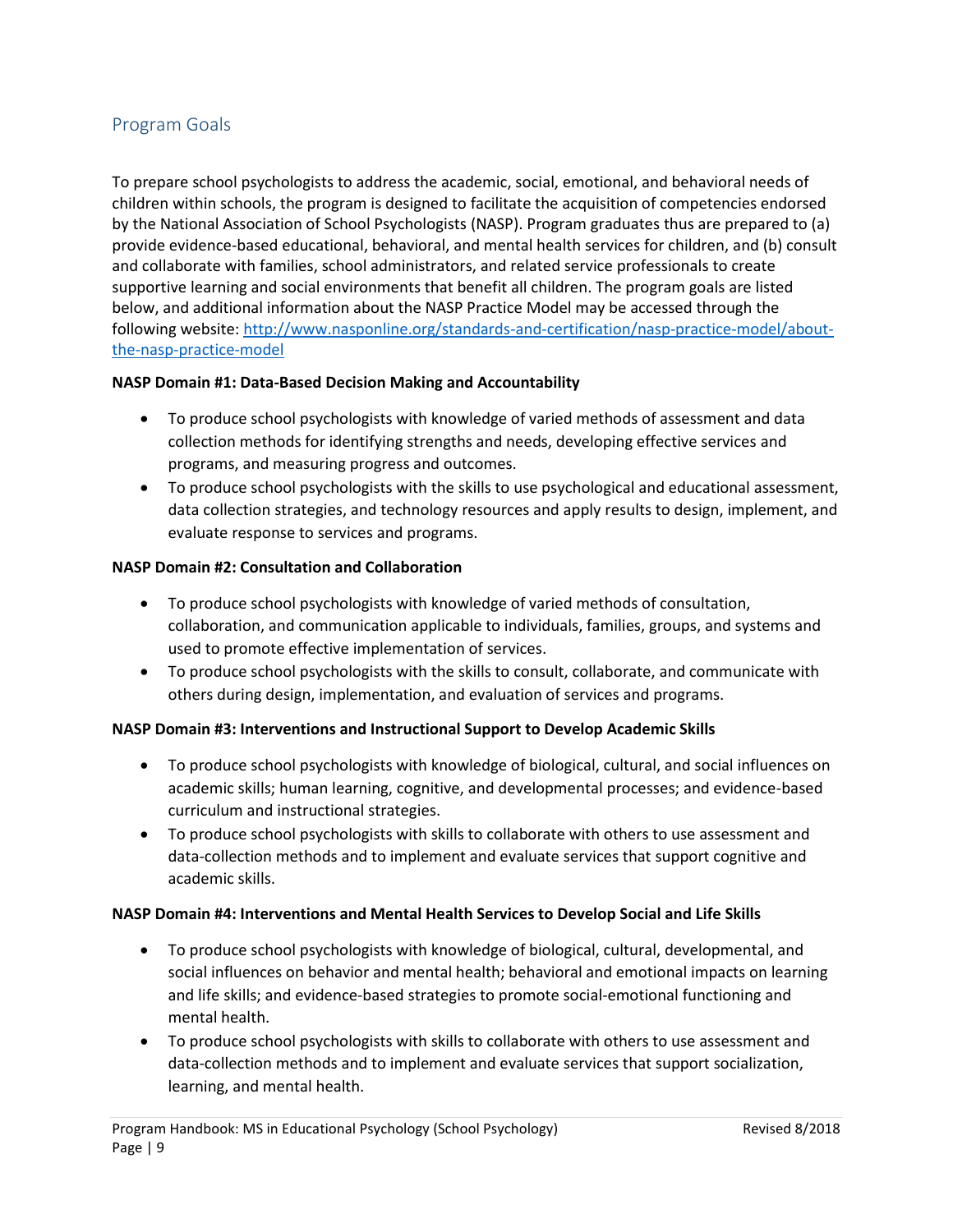# <span id="page-8-0"></span>Program Goals

To prepare school psychologists to address the academic, social, emotional, and behavioral needs of children within schools, the program is designed to facilitate the acquisition of competencies endorsed by the National Association of School Psychologists (NASP). Program graduates thus are prepared to (a) provide evidence-based educational, behavioral, and mental health services for children, and (b) consult and collaborate with families, school administrators, and related service professionals to create supportive learning and social environments that benefit all children. The program goals are listed below, and additional information about the NASP Practice Model may be accessed through the following website: [http://www.nasponline.org/standards-and-certification/nasp-practice-model/about](http://www.nasponline.org/standards-and-certification/nasp-practice-model/about-the-nasp-practice-model)[the-nasp-practice-model](http://www.nasponline.org/standards-and-certification/nasp-practice-model/about-the-nasp-practice-model)

# **NASP Domain #1: Data-Based Decision Making and Accountability**

- To produce school psychologists with knowledge of varied methods of assessment and data collection methods for identifying strengths and needs, developing effective services and programs, and measuring progress and outcomes.
- To produce school psychologists with the skills to use psychological and educational assessment, data collection strategies, and technology resources and apply results to design, implement, and evaluate response to services and programs.

# **NASP Domain #2: Consultation and Collaboration**

- To produce school psychologists with knowledge of varied methods of consultation, collaboration, and communication applicable to individuals, families, groups, and systems and used to promote effective implementation of services.
- To produce school psychologists with the skills to consult, collaborate, and communicate with others during design, implementation, and evaluation of services and programs.

### **NASP Domain #3: Interventions and Instructional Support to Develop Academic Skills**

- To produce school psychologists with knowledge of biological, cultural, and social influences on academic skills; human learning, cognitive, and developmental processes; and evidence-based curriculum and instructional strategies.
- To produce school psychologists with skills to collaborate with others to use assessment and data-collection methods and to implement and evaluate services that support cognitive and academic skills.

### **NASP Domain #4: Interventions and Mental Health Services to Develop Social and Life Skills**

- To produce school psychologists with knowledge of biological, cultural, developmental, and social influences on behavior and mental health; behavioral and emotional impacts on learning and life skills; and evidence-based strategies to promote social-emotional functioning and mental health.
- To produce school psychologists with skills to collaborate with others to use assessment and data-collection methods and to implement and evaluate services that support socialization, learning, and mental health.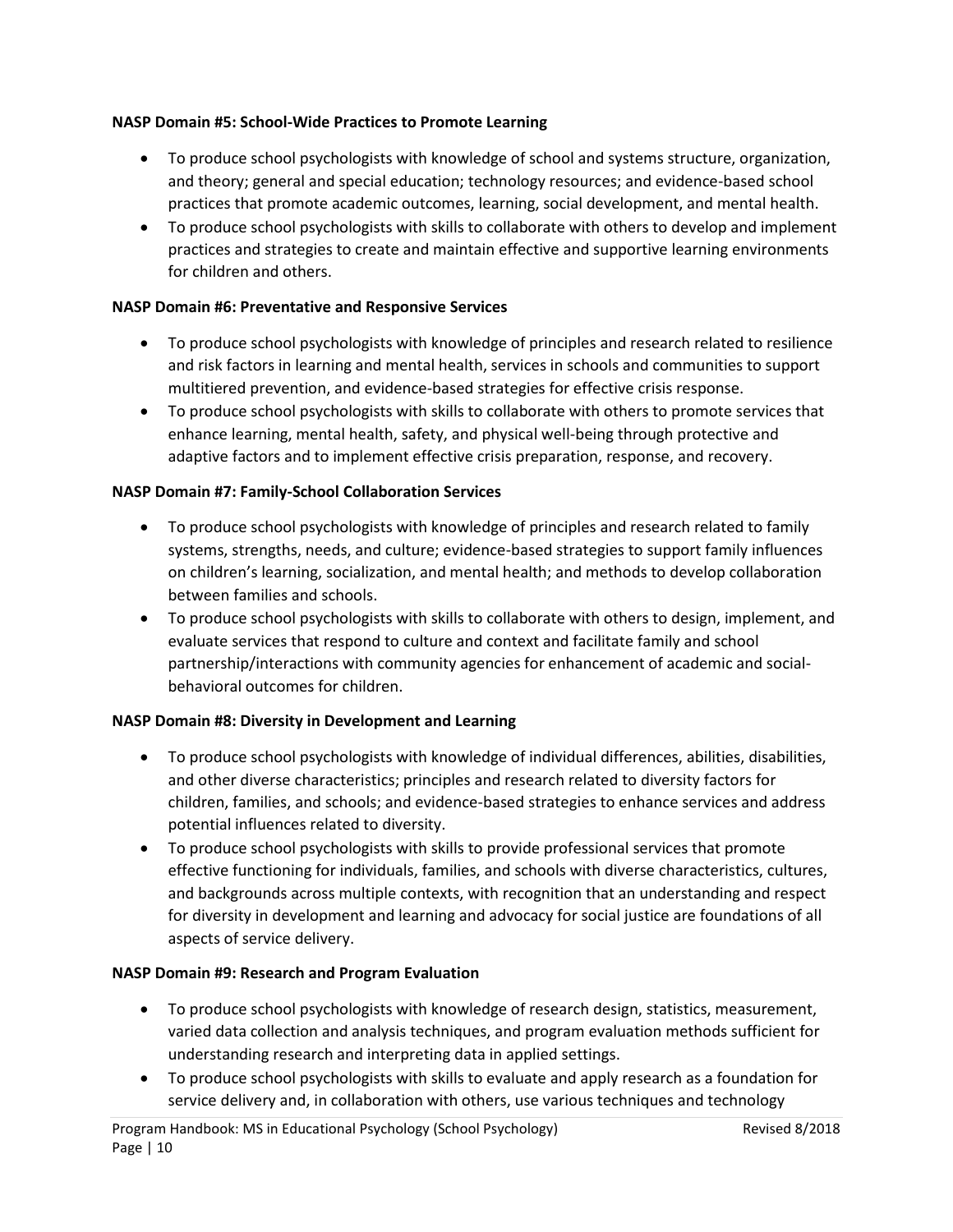# **NASP Domain #5: School-Wide Practices to Promote Learning**

- To produce school psychologists with knowledge of school and systems structure, organization, and theory; general and special education; technology resources; and evidence-based school practices that promote academic outcomes, learning, social development, and mental health.
- To produce school psychologists with skills to collaborate with others to develop and implement practices and strategies to create and maintain effective and supportive learning environments for children and others.

# **NASP Domain #6: Preventative and Responsive Services**

- To produce school psychologists with knowledge of principles and research related to resilience and risk factors in learning and mental health, services in schools and communities to support multitiered prevention, and evidence-based strategies for effective crisis response.
- To produce school psychologists with skills to collaborate with others to promote services that enhance learning, mental health, safety, and physical well-being through protective and adaptive factors and to implement effective crisis preparation, response, and recovery.

# **NASP Domain #7: Family-School Collaboration Services**

- To produce school psychologists with knowledge of principles and research related to family systems, strengths, needs, and culture; evidence-based strategies to support family influences on children's learning, socialization, and mental health; and methods to develop collaboration between families and schools.
- To produce school psychologists with skills to collaborate with others to design, implement, and evaluate services that respond to culture and context and facilitate family and school partnership/interactions with community agencies for enhancement of academic and socialbehavioral outcomes for children.

### **NASP Domain #8: Diversity in Development and Learning**

- To produce school psychologists with knowledge of individual differences, abilities, disabilities, and other diverse characteristics; principles and research related to diversity factors for children, families, and schools; and evidence-based strategies to enhance services and address potential influences related to diversity.
- To produce school psychologists with skills to provide professional services that promote effective functioning for individuals, families, and schools with diverse characteristics, cultures, and backgrounds across multiple contexts, with recognition that an understanding and respect for diversity in development and learning and advocacy for social justice are foundations of all aspects of service delivery.

### **NASP Domain #9: Research and Program Evaluation**

- To produce school psychologists with knowledge of research design, statistics, measurement, varied data collection and analysis techniques, and program evaluation methods sufficient for understanding research and interpreting data in applied settings.
- To produce school psychologists with skills to evaluate and apply research as a foundation for service delivery and, in collaboration with others, use various techniques and technology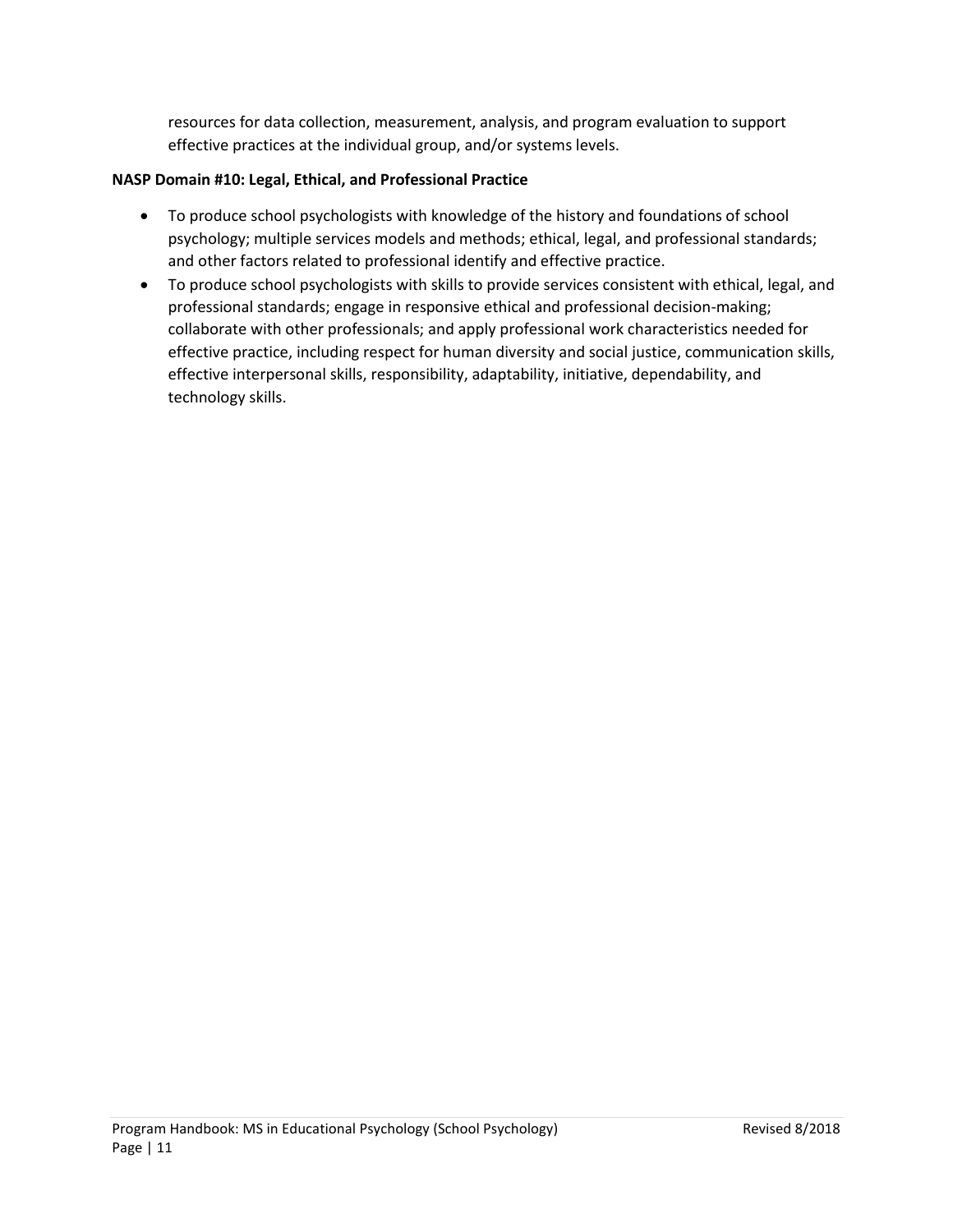resources for data collection, measurement, analysis, and program evaluation to support effective practices at the individual group, and/or systems levels.

# **NASP Domain #10: Legal, Ethical, and Professional Practice**

- To produce school psychologists with knowledge of the history and foundations of school psychology; multiple services models and methods; ethical, legal, and professional standards; and other factors related to professional identify and effective practice.
- To produce school psychologists with skills to provide services consistent with ethical, legal, and professional standards; engage in responsive ethical and professional decision-making; collaborate with other professionals; and apply professional work characteristics needed for effective practice, including respect for human diversity and social justice, communication skills, effective interpersonal skills, responsibility, adaptability, initiative, dependability, and technology skills.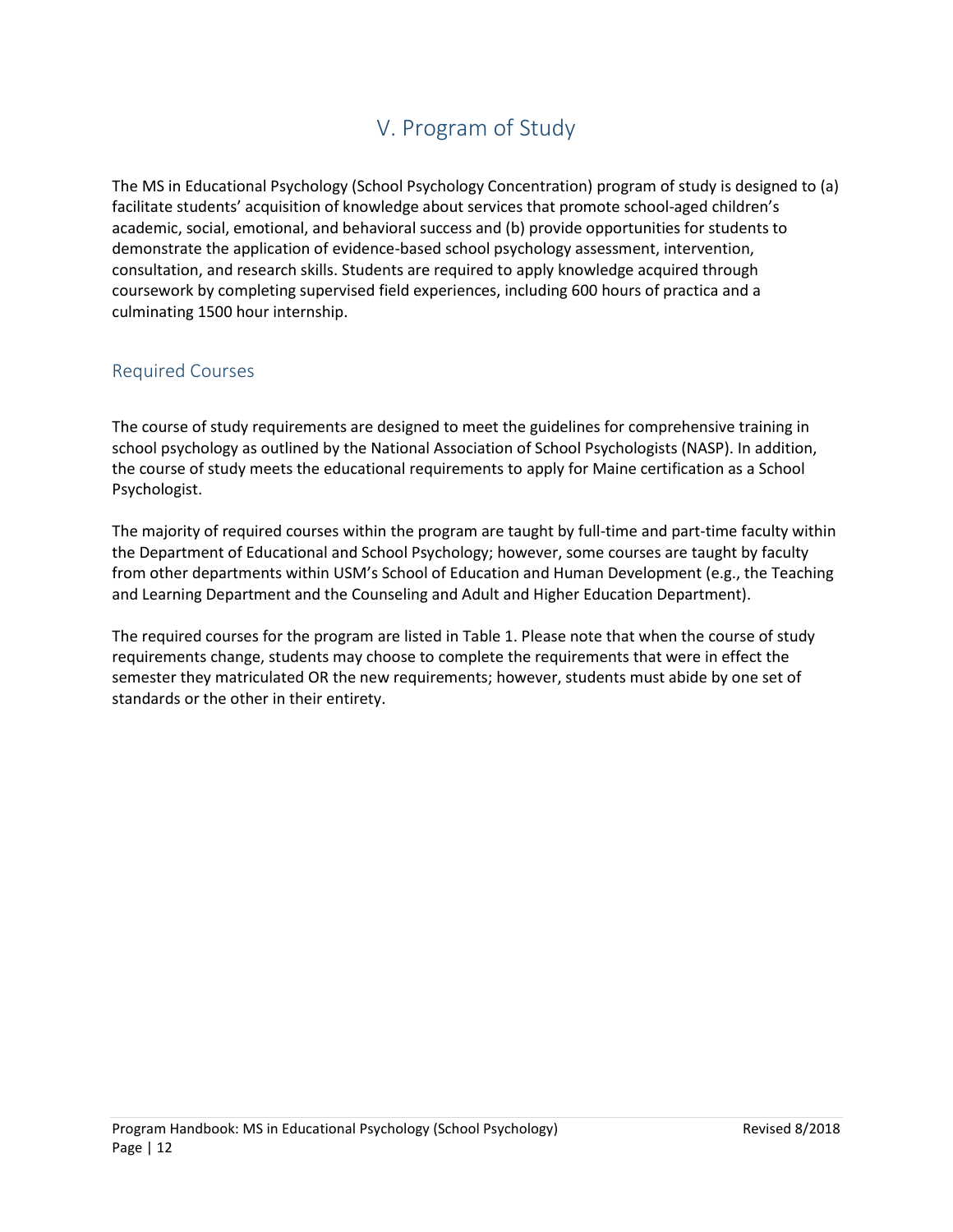# V. Program of Study

<span id="page-11-0"></span>The MS in Educational Psychology (School Psychology Concentration) program of study is designed to (a) facilitate students' acquisition of knowledge about services that promote school-aged children's academic, social, emotional, and behavioral success and (b) provide opportunities for students to demonstrate the application of evidence-based school psychology assessment, intervention, consultation, and research skills. Students are required to apply knowledge acquired through coursework by completing supervised field experiences, including 600 hours of practica and a culminating 1500 hour internship.

# <span id="page-11-1"></span>Required Courses

The course of study requirements are designed to meet the guidelines for comprehensive training in school psychology as outlined by the National Association of School Psychologists (NASP). In addition, the course of study meets the educational requirements to apply for Maine certification as a School Psychologist.

The majority of required courses within the program are taught by full-time and part-time faculty within the Department of Educational and School Psychology; however, some courses are taught by faculty from other departments within USM's School of Education and Human Development (e.g., the Teaching and Learning Department and the Counseling and Adult and Higher Education Department).

The required courses for the program are listed in Table 1. Please note that when the course of study requirements change, students may choose to complete the requirements that were in effect the semester they matriculated OR the new requirements; however, students must abide by one set of standards or the other in their entirety.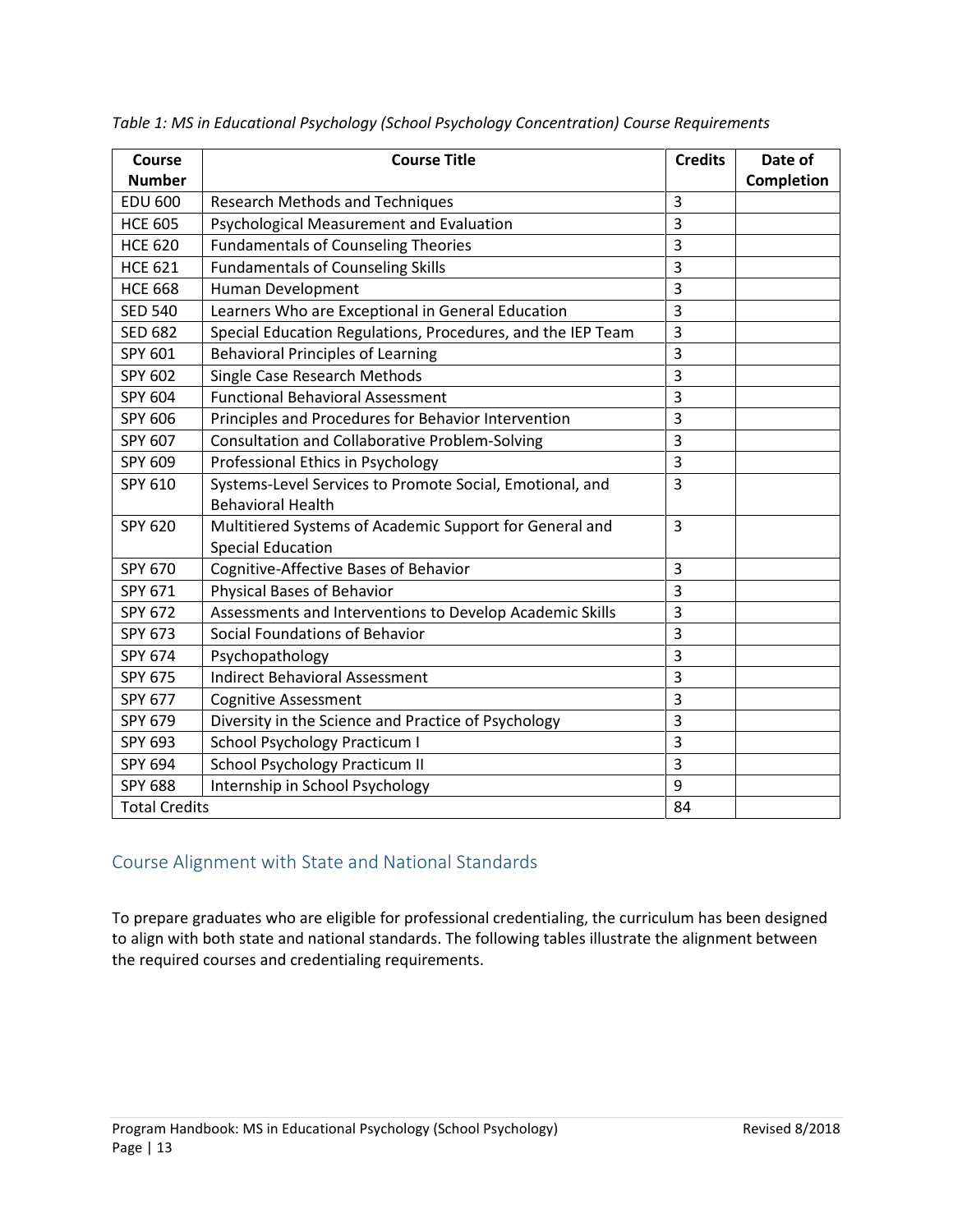| Course               | <b>Course Title</b>                                                                  | <b>Credits</b> | Date of    |
|----------------------|--------------------------------------------------------------------------------------|----------------|------------|
| <b>Number</b>        |                                                                                      |                | Completion |
| <b>EDU 600</b>       | <b>Research Methods and Techniques</b>                                               | 3              |            |
| <b>HCE 605</b>       | Psychological Measurement and Evaluation                                             | 3              |            |
| <b>HCE 620</b>       | <b>Fundamentals of Counseling Theories</b>                                           | $\overline{3}$ |            |
| <b>HCE 621</b>       | <b>Fundamentals of Counseling Skills</b>                                             | 3              |            |
| <b>HCE 668</b>       | Human Development                                                                    | 3              |            |
| <b>SED 540</b>       | Learners Who are Exceptional in General Education                                    | 3              |            |
| <b>SED 682</b>       | Special Education Regulations, Procedures, and the IEP Team                          | 3              |            |
| SPY 601              | <b>Behavioral Principles of Learning</b>                                             | $\overline{3}$ |            |
| SPY 602              | Single Case Research Methods                                                         | 3              |            |
| SPY 604              | <b>Functional Behavioral Assessment</b>                                              | $\overline{3}$ |            |
| SPY 606              | Principles and Procedures for Behavior Intervention                                  | $\overline{3}$ |            |
| SPY 607              | Consultation and Collaborative Problem-Solving                                       | 3              |            |
| SPY 609              | Professional Ethics in Psychology                                                    | $\overline{3}$ |            |
| SPY 610              | Systems-Level Services to Promote Social, Emotional, and<br><b>Behavioral Health</b> | $\overline{3}$ |            |
| SPY 620              | Multitiered Systems of Academic Support for General and<br><b>Special Education</b>  | $\overline{3}$ |            |
| SPY 670              | Cognitive-Affective Bases of Behavior                                                | 3              |            |
| SPY 671              | <b>Physical Bases of Behavior</b>                                                    | $\overline{3}$ |            |
| SPY 672              | Assessments and Interventions to Develop Academic Skills                             | 3              |            |
| SPY 673              | Social Foundations of Behavior                                                       | $\overline{3}$ |            |
| SPY 674              | Psychopathology                                                                      | $\overline{3}$ |            |
| SPY 675              | <b>Indirect Behavioral Assessment</b>                                                | $\overline{3}$ |            |
| SPY 677              | <b>Cognitive Assessment</b>                                                          | 3              |            |
| SPY 679              | Diversity in the Science and Practice of Psychology                                  | 3              |            |
| SPY 693              | School Psychology Practicum I                                                        | 3              |            |
| SPY 694              | School Psychology Practicum II                                                       | $\overline{3}$ |            |
| <b>SPY 688</b>       | Internship in School Psychology                                                      | 9              |            |
| <b>Total Credits</b> |                                                                                      | 84             |            |

*Table 1: MS in Educational Psychology (School Psychology Concentration) Course Requirements*

# <span id="page-12-0"></span>Course Alignment with State and National Standards

To prepare graduates who are eligible for professional credentialing, the curriculum has been designed to align with both state and national standards. The following tables illustrate the alignment between the required courses and credentialing requirements.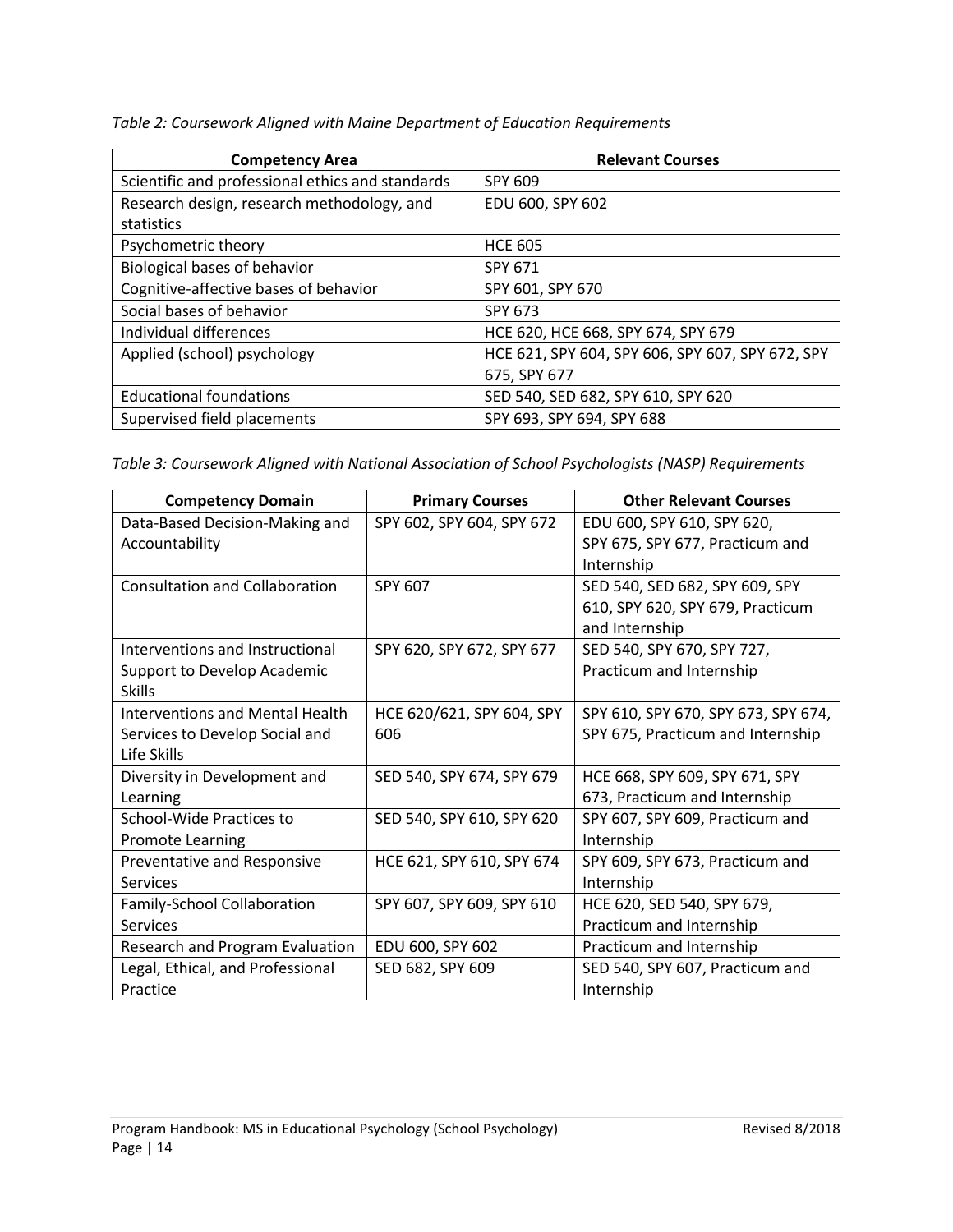*Table 2: Coursework Aligned with Maine Department of Education Requirements*

| <b>Competency Area</b>                           | <b>Relevant Courses</b>                          |
|--------------------------------------------------|--------------------------------------------------|
| Scientific and professional ethics and standards | SPY 609                                          |
| Research design, research methodology, and       | EDU 600, SPY 602                                 |
| statistics                                       |                                                  |
| Psychometric theory                              | <b>HCE 605</b>                                   |
| Biological bases of behavior                     | SPY 671                                          |
| Cognitive-affective bases of behavior            | SPY 601, SPY 670                                 |
| Social bases of behavior                         | SPY 673                                          |
| Individual differences                           | HCE 620, HCE 668, SPY 674, SPY 679               |
| Applied (school) psychology                      | HCE 621, SPY 604, SPY 606, SPY 607, SPY 672, SPY |
|                                                  | 675, SPY 677                                     |
| <b>Educational foundations</b>                   | SED 540, SED 682, SPY 610, SPY 620               |
| Supervised field placements                      | SPY 693, SPY 694, SPY 688                        |

*Table 3: Coursework Aligned with National Association of School Psychologists (NASP) Requirements*

| <b>Competency Domain</b>         | <b>Primary Courses</b>    | <b>Other Relevant Courses</b>       |
|----------------------------------|---------------------------|-------------------------------------|
| Data-Based Decision-Making and   | SPY 602, SPY 604, SPY 672 | EDU 600, SPY 610, SPY 620,          |
| Accountability                   |                           | SPY 675, SPY 677, Practicum and     |
|                                  |                           | Internship                          |
| Consultation and Collaboration   | SPY 607                   | SED 540, SED 682, SPY 609, SPY      |
|                                  |                           | 610, SPY 620, SPY 679, Practicum    |
|                                  |                           | and Internship                      |
| Interventions and Instructional  | SPY 620, SPY 672, SPY 677 | SED 540, SPY 670, SPY 727,          |
| Support to Develop Academic      |                           | Practicum and Internship            |
| <b>Skills</b>                    |                           |                                     |
| Interventions and Mental Health  | HCE 620/621, SPY 604, SPY | SPY 610, SPY 670, SPY 673, SPY 674, |
| Services to Develop Social and   | 606                       | SPY 675, Practicum and Internship   |
| Life Skills                      |                           |                                     |
| Diversity in Development and     | SED 540, SPY 674, SPY 679 | HCE 668, SPY 609, SPY 671, SPY      |
| Learning                         |                           | 673, Practicum and Internship       |
| <b>School-Wide Practices to</b>  | SED 540, SPY 610, SPY 620 | SPY 607, SPY 609, Practicum and     |
| <b>Promote Learning</b>          |                           | Internship                          |
| Preventative and Responsive      | HCE 621, SPY 610, SPY 674 | SPY 609, SPY 673, Practicum and     |
| <b>Services</b>                  |                           | Internship                          |
| Family-School Collaboration      | SPY 607, SPY 609, SPY 610 | HCE 620, SED 540, SPY 679,          |
| Services                         |                           | Practicum and Internship            |
| Research and Program Evaluation  | EDU 600, SPY 602          | Practicum and Internship            |
| Legal, Ethical, and Professional | SED 682, SPY 609          | SED 540, SPY 607, Practicum and     |
| Practice                         |                           | Internship                          |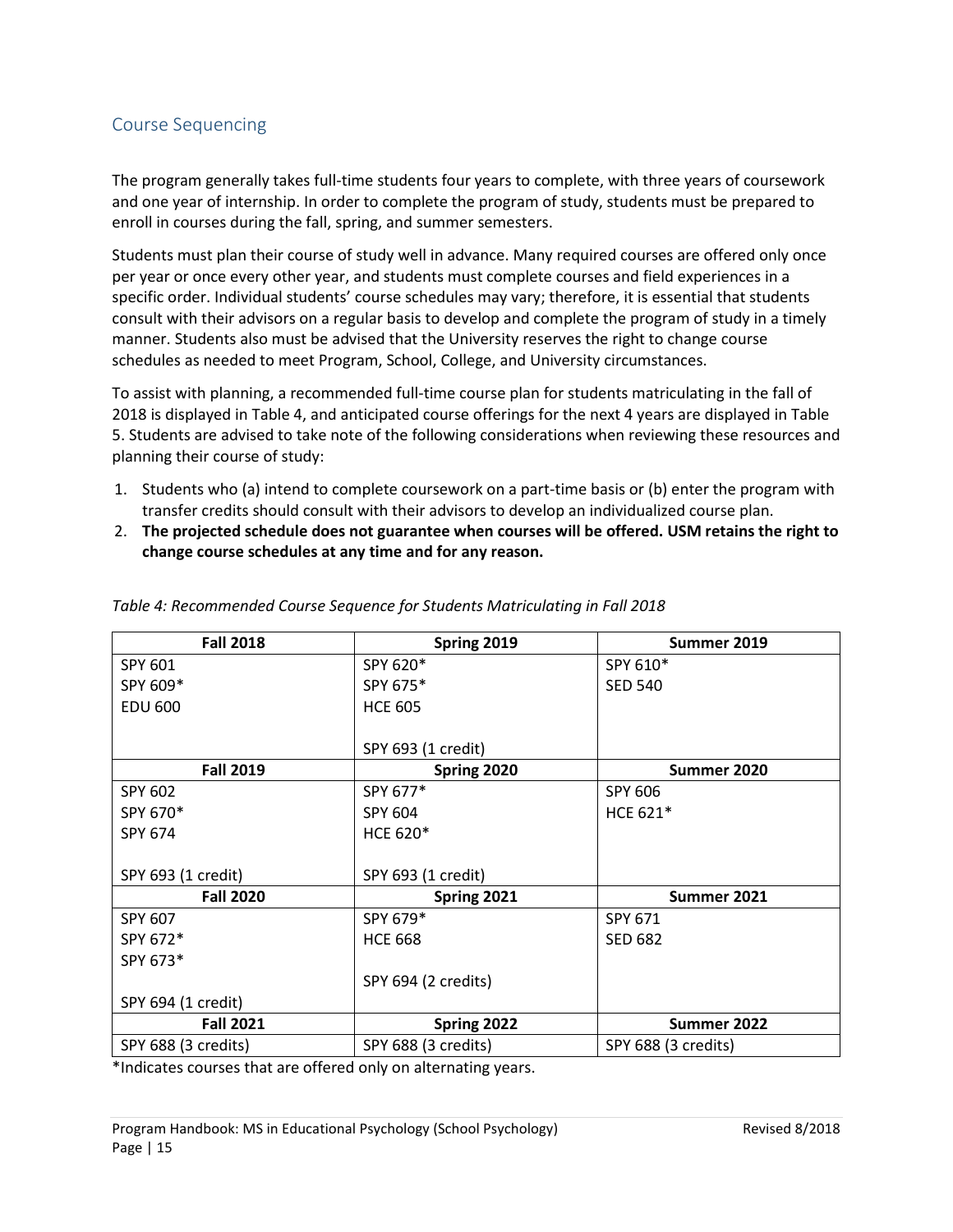# <span id="page-14-0"></span>Course Sequencing

The program generally takes full-time students four years to complete, with three years of coursework and one year of internship. In order to complete the program of study, students must be prepared to enroll in courses during the fall, spring, and summer semesters.

Students must plan their course of study well in advance. Many required courses are offered only once per year or once every other year, and students must complete courses and field experiences in a specific order. Individual students' course schedules may vary; therefore, it is essential that students consult with their advisors on a regular basis to develop and complete the program of study in a timely manner. Students also must be advised that the University reserves the right to change course schedules as needed to meet Program, School, College, and University circumstances.

To assist with planning, a recommended full-time course plan for students matriculating in the fall of 2018 is displayed in Table 4, and anticipated course offerings for the next 4 years are displayed in Table 5. Students are advised to take note of the following considerations when reviewing these resources and planning their course of study:

- 1. Students who (a) intend to complete coursework on a part-time basis or (b) enter the program with transfer credits should consult with their advisors to develop an individualized course plan.
- 2. **The projected schedule does not guarantee when courses will be offered. USM retains the right to change course schedules at any time and for any reason.**

| <b>Fall 2018</b>    | Spring 2019         | Summer 2019         |
|---------------------|---------------------|---------------------|
| SPY 601             | SPY 620*            | SPY 610*            |
| SPY 609*            | SPY 675*            | <b>SED 540</b>      |
| <b>EDU 600</b>      | <b>HCE 605</b>      |                     |
|                     |                     |                     |
|                     | SPY 693 (1 credit)  |                     |
| <b>Fall 2019</b>    | Spring 2020         | Summer 2020         |
| SPY 602             | SPY 677*            | SPY 606             |
| SPY 670*            | SPY 604             | HCE 621*            |
| SPY 674             | <b>HCE 620*</b>     |                     |
|                     |                     |                     |
| SPY 693 (1 credit)  | SPY 693 (1 credit)  |                     |
| <b>Fall 2020</b>    | Spring 2021         | Summer 2021         |
| SPY 607             | SPY 679*            | SPY 671             |
| SPY 672*            | <b>HCE 668</b>      | <b>SED 682</b>      |
| SPY 673*            |                     |                     |
|                     | SPY 694 (2 credits) |                     |
| SPY 694 (1 credit)  |                     |                     |
| <b>Fall 2021</b>    | Spring 2022         | Summer 2022         |
| SPY 688 (3 credits) | SPY 688 (3 credits) | SPY 688 (3 credits) |

#### *Table 4: Recommended Course Sequence for Students Matriculating in Fall 2018*

\*Indicates courses that are offered only on alternating years.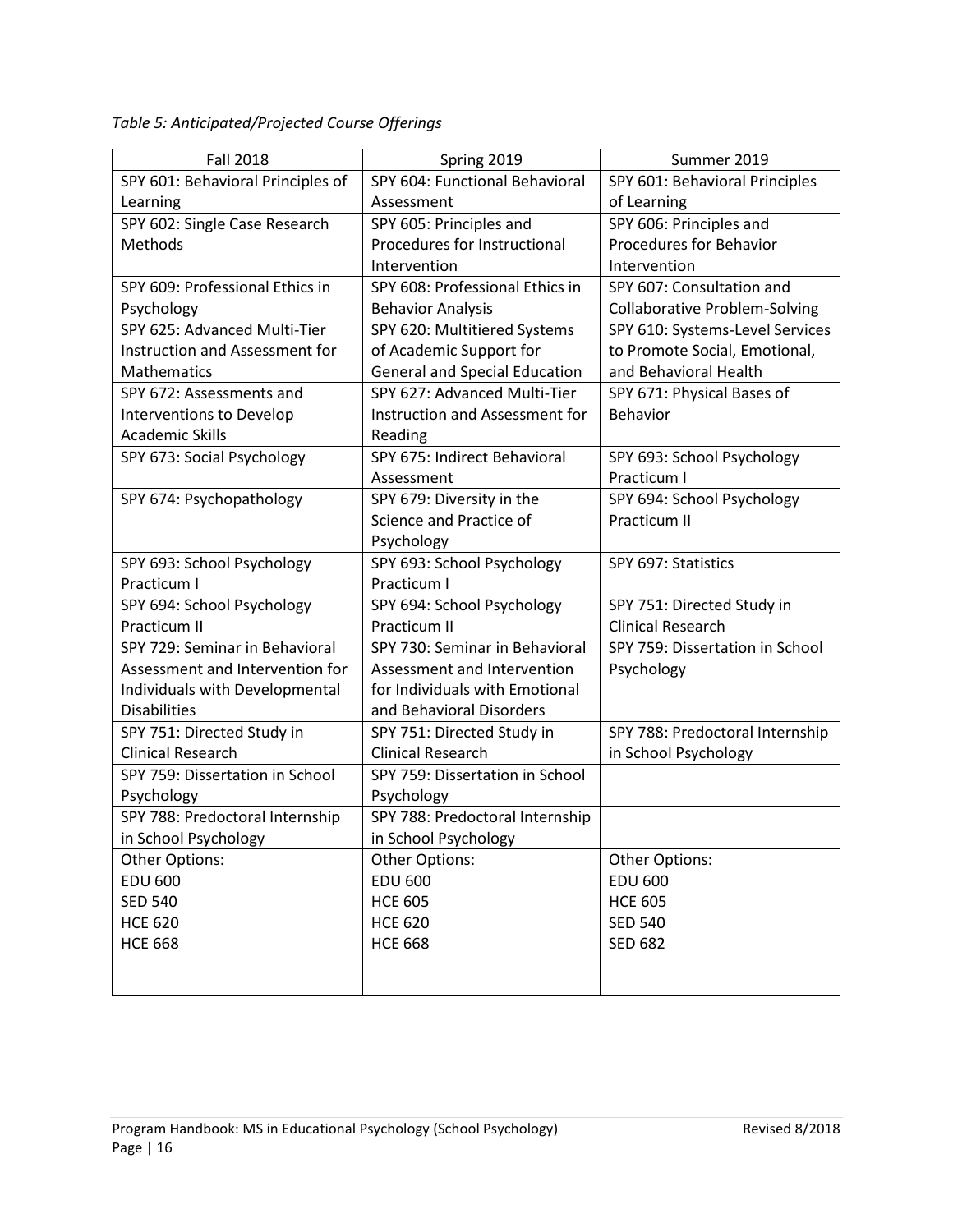*Table 5: Anticipated/Projected Course Offerings*

| <b>Fall 2018</b>                  | Spring 2019                          | Summer 2019                          |
|-----------------------------------|--------------------------------------|--------------------------------------|
| SPY 601: Behavioral Principles of | SPY 604: Functional Behavioral       | SPY 601: Behavioral Principles       |
| Learning                          | Assessment                           | of Learning                          |
| SPY 602: Single Case Research     | SPY 605: Principles and              | SPY 606: Principles and              |
| Methods                           | Procedures for Instructional         | <b>Procedures for Behavior</b>       |
|                                   | Intervention                         | Intervention                         |
| SPY 609: Professional Ethics in   | SPY 608: Professional Ethics in      | SPY 607: Consultation and            |
| Psychology                        | <b>Behavior Analysis</b>             | <b>Collaborative Problem-Solving</b> |
| SPY 625: Advanced Multi-Tier      | SPY 620: Multitiered Systems         | SPY 610: Systems-Level Services      |
| Instruction and Assessment for    | of Academic Support for              | to Promote Social, Emotional,        |
| Mathematics                       | <b>General and Special Education</b> | and Behavioral Health                |
| SPY 672: Assessments and          | SPY 627: Advanced Multi-Tier         | SPY 671: Physical Bases of           |
| Interventions to Develop          | Instruction and Assessment for       | Behavior                             |
| <b>Academic Skills</b>            | Reading                              |                                      |
| SPY 673: Social Psychology        | SPY 675: Indirect Behavioral         | SPY 693: School Psychology           |
|                                   | Assessment                           | Practicum I                          |
| SPY 674: Psychopathology          | SPY 679: Diversity in the            | SPY 694: School Psychology           |
|                                   | Science and Practice of              | Practicum II                         |
|                                   | Psychology                           |                                      |
| SPY 693: School Psychology        | SPY 693: School Psychology           | SPY 697: Statistics                  |
| Practicum I                       | Practicum I                          |                                      |
| SPY 694: School Psychology        | SPY 694: School Psychology           | SPY 751: Directed Study in           |
| Practicum II                      | Practicum II                         | <b>Clinical Research</b>             |
| SPY 729: Seminar in Behavioral    | SPY 730: Seminar in Behavioral       | SPY 759: Dissertation in School      |
| Assessment and Intervention for   | Assessment and Intervention          | Psychology                           |
| Individuals with Developmental    | for Individuals with Emotional       |                                      |
| <b>Disabilities</b>               | and Behavioral Disorders             |                                      |
| SPY 751: Directed Study in        | SPY 751: Directed Study in           | SPY 788: Predoctoral Internship      |
| <b>Clinical Research</b>          | <b>Clinical Research</b>             | in School Psychology                 |
| SPY 759: Dissertation in School   | SPY 759: Dissertation in School      |                                      |
| Psychology                        | Psychology                           |                                      |
| SPY 788: Predoctoral Internship   | SPY 788: Predoctoral Internship      |                                      |
| in School Psychology              | in School Psychology                 |                                      |
| <b>Other Options:</b>             | Other Options:                       | Other Options:                       |
| <b>EDU 600</b>                    | <b>EDU 600</b>                       | <b>EDU 600</b>                       |
| <b>SED 540</b>                    | <b>HCE 605</b>                       | <b>HCE 605</b>                       |
| <b>HCE 620</b>                    | <b>HCE 620</b>                       | <b>SED 540</b>                       |
| <b>HCE 668</b>                    | <b>HCE 668</b>                       | <b>SED 682</b>                       |
|                                   |                                      |                                      |
|                                   |                                      |                                      |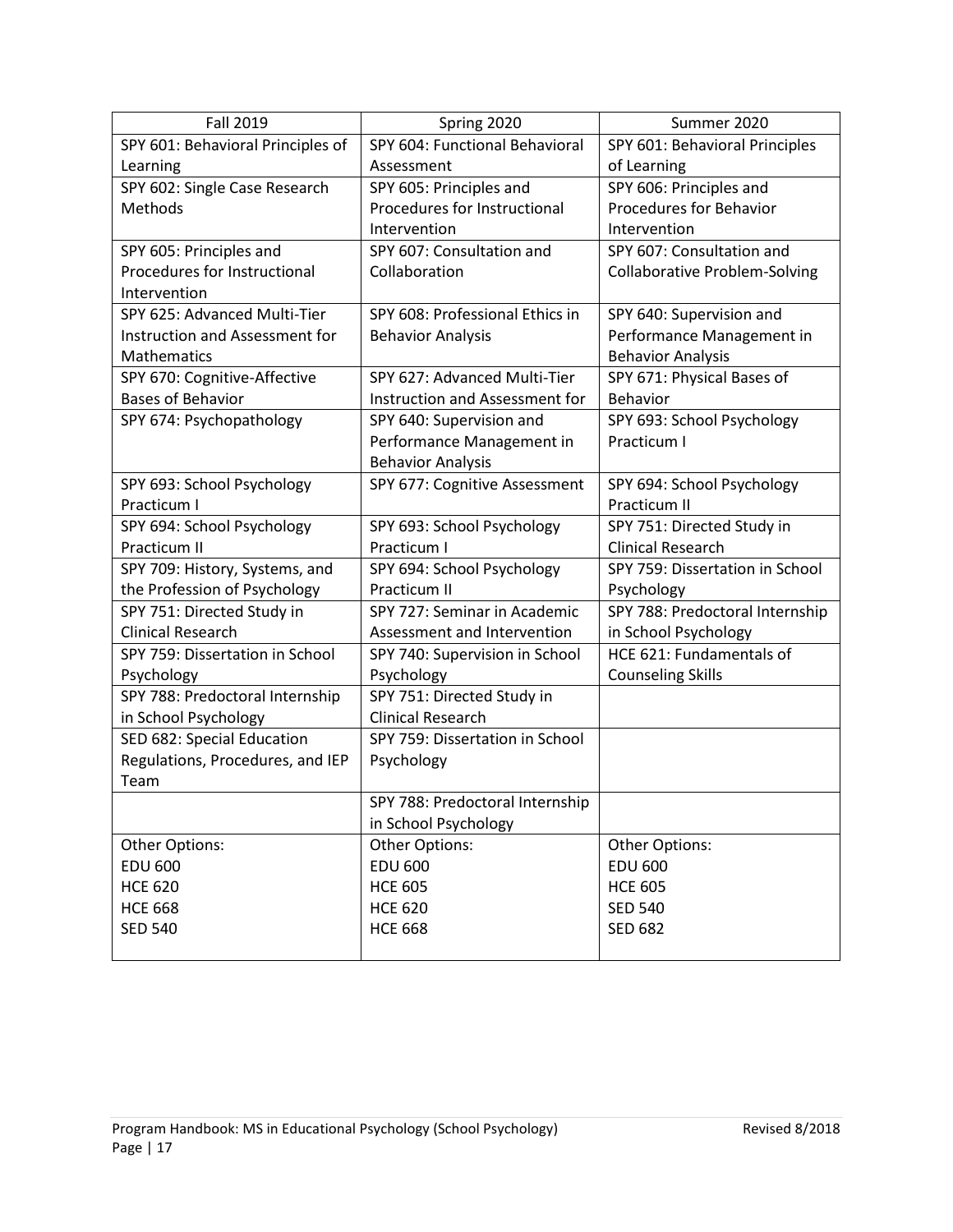| <b>Fall 2019</b>                  | Spring 2020                     | Summer 2020                          |
|-----------------------------------|---------------------------------|--------------------------------------|
| SPY 601: Behavioral Principles of | SPY 604: Functional Behavioral  | SPY 601: Behavioral Principles       |
| Learning                          | Assessment                      | of Learning                          |
| SPY 602: Single Case Research     | SPY 605: Principles and         | SPY 606: Principles and              |
| Methods                           | Procedures for Instructional    | <b>Procedures for Behavior</b>       |
|                                   | Intervention                    | Intervention                         |
| SPY 605: Principles and           | SPY 607: Consultation and       | SPY 607: Consultation and            |
| Procedures for Instructional      | Collaboration                   | <b>Collaborative Problem-Solving</b> |
| Intervention                      |                                 |                                      |
| SPY 625: Advanced Multi-Tier      | SPY 608: Professional Ethics in | SPY 640: Supervision and             |
| Instruction and Assessment for    | <b>Behavior Analysis</b>        | Performance Management in            |
| Mathematics                       |                                 | <b>Behavior Analysis</b>             |
| SPY 670: Cognitive-Affective      | SPY 627: Advanced Multi-Tier    | SPY 671: Physical Bases of           |
| <b>Bases of Behavior</b>          | Instruction and Assessment for  | Behavior                             |
| SPY 674: Psychopathology          | SPY 640: Supervision and        | SPY 693: School Psychology           |
|                                   | Performance Management in       | Practicum I                          |
|                                   | <b>Behavior Analysis</b>        |                                      |
| SPY 693: School Psychology        | SPY 677: Cognitive Assessment   | SPY 694: School Psychology           |
| Practicum I                       |                                 | Practicum II                         |
| SPY 694: School Psychology        | SPY 693: School Psychology      | SPY 751: Directed Study in           |
| Practicum II                      | Practicum I                     | <b>Clinical Research</b>             |
| SPY 709: History, Systems, and    | SPY 694: School Psychology      | SPY 759: Dissertation in School      |
| the Profession of Psychology      | Practicum II                    | Psychology                           |
| SPY 751: Directed Study in        | SPY 727: Seminar in Academic    | SPY 788: Predoctoral Internship      |
| <b>Clinical Research</b>          | Assessment and Intervention     | in School Psychology                 |
| SPY 759: Dissertation in School   | SPY 740: Supervision in School  | HCE 621: Fundamentals of             |
| Psychology                        | Psychology                      | <b>Counseling Skills</b>             |
| SPY 788: Predoctoral Internship   | SPY 751: Directed Study in      |                                      |
| in School Psychology              | <b>Clinical Research</b>        |                                      |
| SED 682: Special Education        | SPY 759: Dissertation in School |                                      |
| Regulations, Procedures, and IEP  | Psychology                      |                                      |
| Team                              |                                 |                                      |
|                                   | SPY 788: Predoctoral Internship |                                      |
|                                   | in School Psychology            |                                      |
| Other Options:                    | Other Options:                  | Other Options:                       |
| <b>EDU 600</b>                    | <b>EDU 600</b>                  | <b>EDU 600</b>                       |
| <b>HCE 620</b>                    | <b>HCE 605</b>                  | <b>HCE 605</b>                       |
| <b>HCE 668</b>                    | <b>HCE 620</b>                  | <b>SED 540</b>                       |
| <b>SED 540</b>                    | <b>HCE 668</b>                  | <b>SED 682</b>                       |
|                                   |                                 |                                      |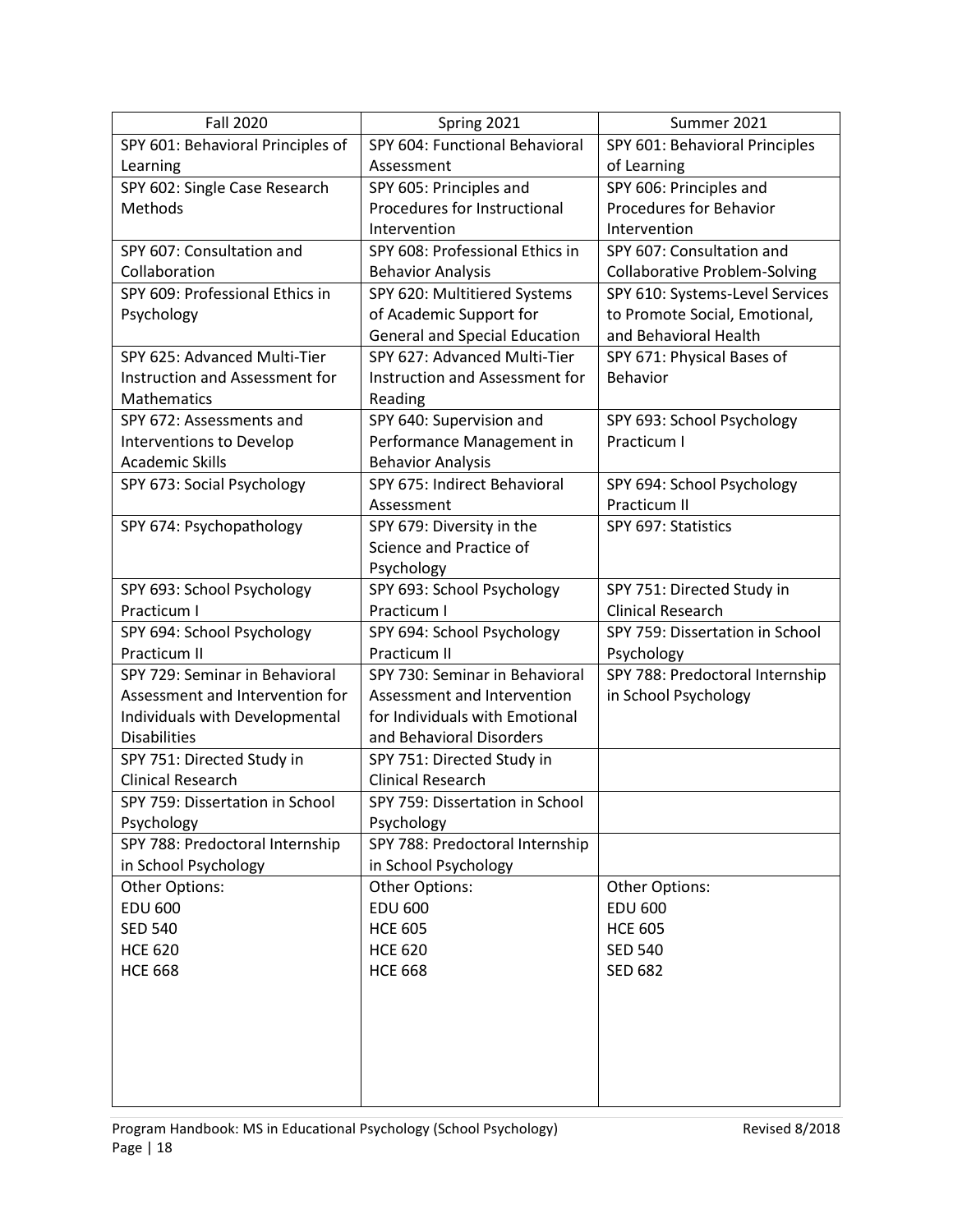| <b>Fall 2020</b>                  | Spring 2021                          | Summer 2021                          |
|-----------------------------------|--------------------------------------|--------------------------------------|
| SPY 601: Behavioral Principles of | SPY 604: Functional Behavioral       | SPY 601: Behavioral Principles       |
| Learning                          | Assessment                           | of Learning                          |
| SPY 602: Single Case Research     | SPY 605: Principles and              | SPY 606: Principles and              |
| Methods                           | Procedures for Instructional         | <b>Procedures for Behavior</b>       |
|                                   | Intervention                         | Intervention                         |
| SPY 607: Consultation and         | SPY 608: Professional Ethics in      | SPY 607: Consultation and            |
| Collaboration                     | <b>Behavior Analysis</b>             | <b>Collaborative Problem-Solving</b> |
| SPY 609: Professional Ethics in   | SPY 620: Multitiered Systems         | SPY 610: Systems-Level Services      |
| Psychology                        | of Academic Support for              | to Promote Social, Emotional,        |
|                                   | <b>General and Special Education</b> | and Behavioral Health                |
| SPY 625: Advanced Multi-Tier      | SPY 627: Advanced Multi-Tier         | SPY 671: Physical Bases of           |
| Instruction and Assessment for    | Instruction and Assessment for       | Behavior                             |
| Mathematics                       | Reading                              |                                      |
| SPY 672: Assessments and          | SPY 640: Supervision and             | SPY 693: School Psychology           |
| Interventions to Develop          | Performance Management in            | Practicum I                          |
| <b>Academic Skills</b>            | <b>Behavior Analysis</b>             |                                      |
| SPY 673: Social Psychology        | SPY 675: Indirect Behavioral         | SPY 694: School Psychology           |
|                                   | Assessment                           | Practicum II                         |
| SPY 674: Psychopathology          | SPY 679: Diversity in the            | SPY 697: Statistics                  |
|                                   | Science and Practice of              |                                      |
|                                   | Psychology                           |                                      |
| SPY 693: School Psychology        | SPY 693: School Psychology           | SPY 751: Directed Study in           |
| Practicum I                       | Practicum I                          | <b>Clinical Research</b>             |
| SPY 694: School Psychology        | SPY 694: School Psychology           | SPY 759: Dissertation in School      |
| Practicum II                      | Practicum II                         | Psychology                           |
| SPY 729: Seminar in Behavioral    | SPY 730: Seminar in Behavioral       | SPY 788: Predoctoral Internship      |
| Assessment and Intervention for   | Assessment and Intervention          | in School Psychology                 |
| Individuals with Developmental    | for Individuals with Emotional       |                                      |
| <b>Disabilities</b>               | and Behavioral Disorders             |                                      |
| SPY 751: Directed Study in        | SPY 751: Directed Study in           |                                      |
| <b>Clinical Research</b>          | <b>Clinical Research</b>             |                                      |
| SPY 759: Dissertation in School   | SPY 759: Dissertation in School      |                                      |
| Psychology                        | Psychology                           |                                      |
| SPY 788: Predoctoral Internship   | SPY 788: Predoctoral Internship      |                                      |
| in School Psychology              | in School Psychology                 |                                      |
| Other Options:                    | Other Options:                       | Other Options:                       |
| <b>EDU 600</b>                    | <b>EDU 600</b>                       | <b>EDU 600</b>                       |
| <b>SED 540</b>                    | <b>HCE 605</b>                       | <b>HCE 605</b>                       |
| <b>HCE 620</b>                    | <b>HCE 620</b>                       | <b>SED 540</b>                       |
| <b>HCE 668</b>                    | <b>HCE 668</b>                       | <b>SED 682</b>                       |
|                                   |                                      |                                      |
|                                   |                                      |                                      |
|                                   |                                      |                                      |
|                                   |                                      |                                      |
|                                   |                                      |                                      |
|                                   |                                      |                                      |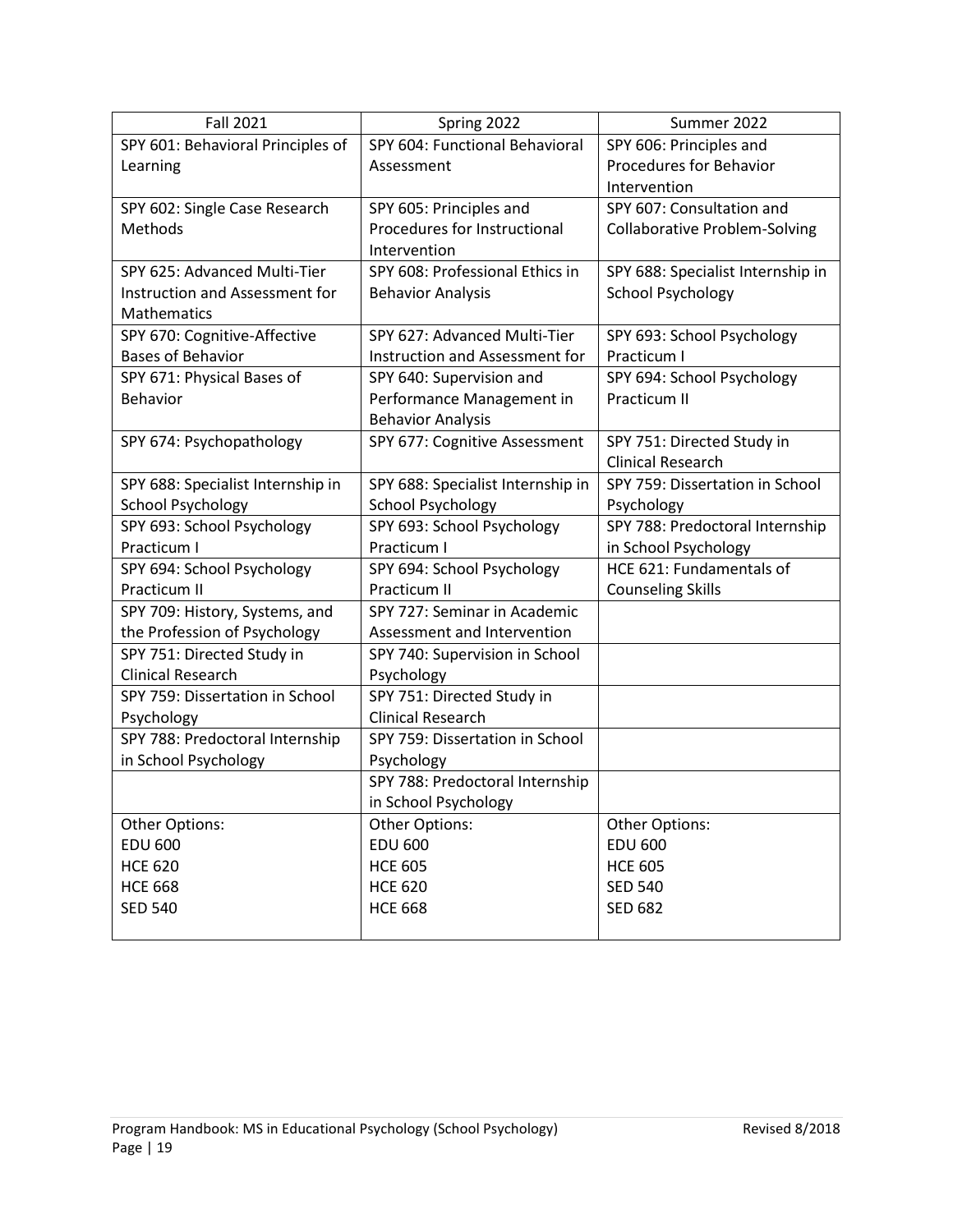| <b>Fall 2021</b>                  | Spring 2022                       | Summer 2022                          |
|-----------------------------------|-----------------------------------|--------------------------------------|
| SPY 601: Behavioral Principles of | SPY 604: Functional Behavioral    | SPY 606: Principles and              |
| Learning                          | Assessment                        | <b>Procedures for Behavior</b>       |
|                                   |                                   | Intervention                         |
| SPY 602: Single Case Research     | SPY 605: Principles and           | SPY 607: Consultation and            |
| Methods                           | Procedures for Instructional      | <b>Collaborative Problem-Solving</b> |
|                                   | Intervention                      |                                      |
| SPY 625: Advanced Multi-Tier      | SPY 608: Professional Ethics in   | SPY 688: Specialist Internship in    |
| Instruction and Assessment for    | <b>Behavior Analysis</b>          | <b>School Psychology</b>             |
| Mathematics                       |                                   |                                      |
| SPY 670: Cognitive-Affective      | SPY 627: Advanced Multi-Tier      | SPY 693: School Psychology           |
| <b>Bases of Behavior</b>          | Instruction and Assessment for    | Practicum I                          |
| SPY 671: Physical Bases of        | SPY 640: Supervision and          | SPY 694: School Psychology           |
| Behavior                          | Performance Management in         | Practicum II                         |
|                                   | <b>Behavior Analysis</b>          |                                      |
| SPY 674: Psychopathology          | SPY 677: Cognitive Assessment     | SPY 751: Directed Study in           |
|                                   |                                   | <b>Clinical Research</b>             |
| SPY 688: Specialist Internship in | SPY 688: Specialist Internship in | SPY 759: Dissertation in School      |
| <b>School Psychology</b>          | <b>School Psychology</b>          | Psychology                           |
| SPY 693: School Psychology        | SPY 693: School Psychology        | SPY 788: Predoctoral Internship      |
| Practicum I                       | Practicum I                       | in School Psychology                 |
| SPY 694: School Psychology        | SPY 694: School Psychology        | HCE 621: Fundamentals of             |
| Practicum II                      | Practicum II                      | <b>Counseling Skills</b>             |
| SPY 709: History, Systems, and    | SPY 727: Seminar in Academic      |                                      |
| the Profession of Psychology      | Assessment and Intervention       |                                      |
| SPY 751: Directed Study in        | SPY 740: Supervision in School    |                                      |
| <b>Clinical Research</b>          | Psychology                        |                                      |
| SPY 759: Dissertation in School   | SPY 751: Directed Study in        |                                      |
| Psychology                        | <b>Clinical Research</b>          |                                      |
| SPY 788: Predoctoral Internship   | SPY 759: Dissertation in School   |                                      |
| in School Psychology              | Psychology                        |                                      |
|                                   | SPY 788: Predoctoral Internship   |                                      |
|                                   | in School Psychology              |                                      |
| Other Options:                    | Other Options:                    | Other Options:                       |
| <b>EDU 600</b>                    | <b>EDU 600</b>                    | <b>EDU 600</b>                       |
| <b>HCE 620</b>                    | <b>HCE 605</b>                    | <b>HCE 605</b>                       |
| <b>HCE 668</b>                    | <b>HCE 620</b>                    | <b>SED 540</b>                       |
| <b>SED 540</b>                    | <b>HCE 668</b>                    | <b>SED 682</b>                       |
|                                   |                                   |                                      |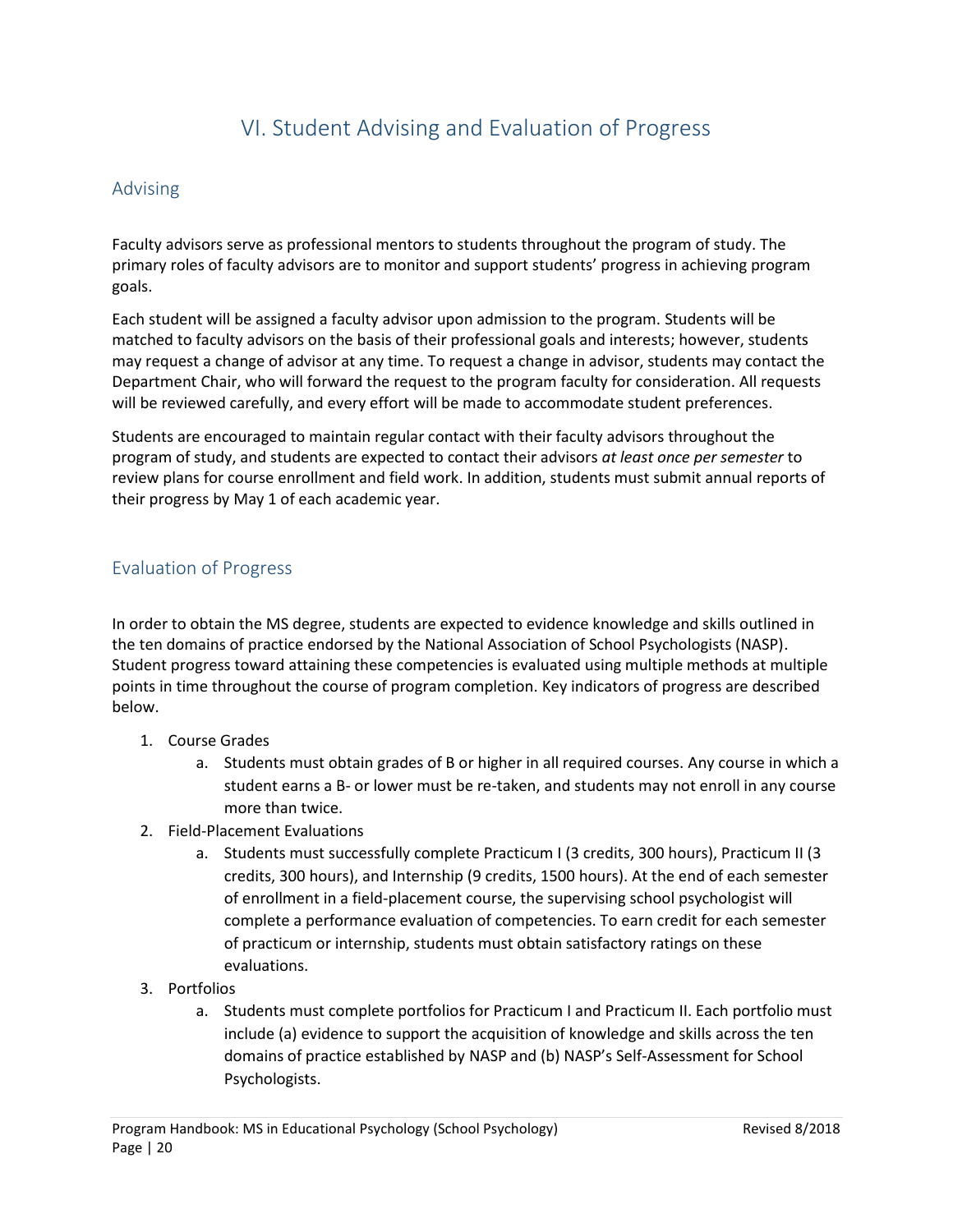# VI. Student Advising and Evaluation of Progress

# <span id="page-19-1"></span><span id="page-19-0"></span>Advising

Faculty advisors serve as professional mentors to students throughout the program of study. The primary roles of faculty advisors are to monitor and support students' progress in achieving program goals.

Each student will be assigned a faculty advisor upon admission to the program. Students will be matched to faculty advisors on the basis of their professional goals and interests; however, students may request a change of advisor at any time. To request a change in advisor, students may contact the Department Chair, who will forward the request to the program faculty for consideration. All requests will be reviewed carefully, and every effort will be made to accommodate student preferences.

Students are encouraged to maintain regular contact with their faculty advisors throughout the program of study, and students are expected to contact their advisors *at least once per semester* to review plans for course enrollment and field work. In addition, students must submit annual reports of their progress by May 1 of each academic year.

# <span id="page-19-2"></span>Evaluation of Progress

In order to obtain the MS degree, students are expected to evidence knowledge and skills outlined in the ten domains of practice endorsed by the National Association of School Psychologists (NASP). Student progress toward attaining these competencies is evaluated using multiple methods at multiple points in time throughout the course of program completion. Key indicators of progress are described below.

- 1. Course Grades
	- a. Students must obtain grades of B or higher in all required courses. Any course in which a student earns a B- or lower must be re-taken, and students may not enroll in any course more than twice.
- 2. Field-Placement Evaluations
	- a. Students must successfully complete Practicum I (3 credits, 300 hours), Practicum II (3 credits, 300 hours), and Internship (9 credits, 1500 hours). At the end of each semester of enrollment in a field-placement course, the supervising school psychologist will complete a performance evaluation of competencies. To earn credit for each semester of practicum or internship, students must obtain satisfactory ratings on these evaluations.
- 3. Portfolios
	- a. Students must complete portfolios for Practicum I and Practicum II. Each portfolio must include (a) evidence to support the acquisition of knowledge and skills across the ten domains of practice established by NASP and (b) NASP's Self-Assessment for School Psychologists.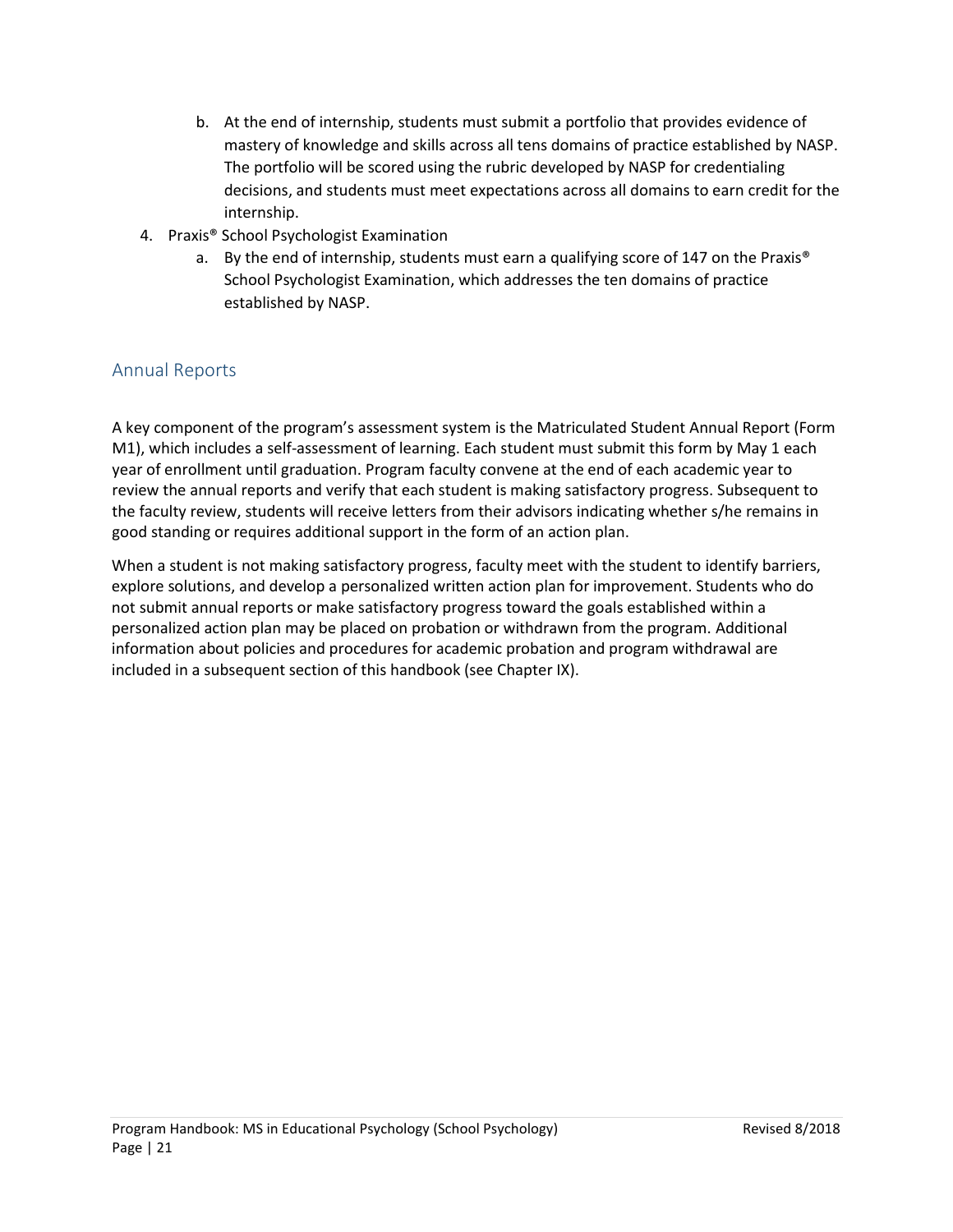- b. At the end of internship, students must submit a portfolio that provides evidence of mastery of knowledge and skills across all tens domains of practice established by NASP. The portfolio will be scored using the rubric developed by NASP for credentialing decisions, and students must meet expectations across all domains to earn credit for the internship.
- 4. Praxis® School Psychologist Examination
	- a. By the end of internship, students must earn a qualifying score of 147 on the Praxis® School Psychologist Examination, which addresses the ten domains of practice established by NASP.

# <span id="page-20-0"></span>Annual Reports

A key component of the program's assessment system is the Matriculated Student Annual Report (Form M1), which includes a self-assessment of learning. Each student must submit this form by May 1 each year of enrollment until graduation. Program faculty convene at the end of each academic year to review the annual reports and verify that each student is making satisfactory progress. Subsequent to the faculty review, students will receive letters from their advisors indicating whether s/he remains in good standing or requires additional support in the form of an action plan.

When a student is not making satisfactory progress, faculty meet with the student to identify barriers, explore solutions, and develop a personalized written action plan for improvement. Students who do not submit annual reports or make satisfactory progress toward the goals established within a personalized action plan may be placed on probation or withdrawn from the program. Additional information about policies and procedures for academic probation and program withdrawal are included in a subsequent section of this handbook (see Chapter IX).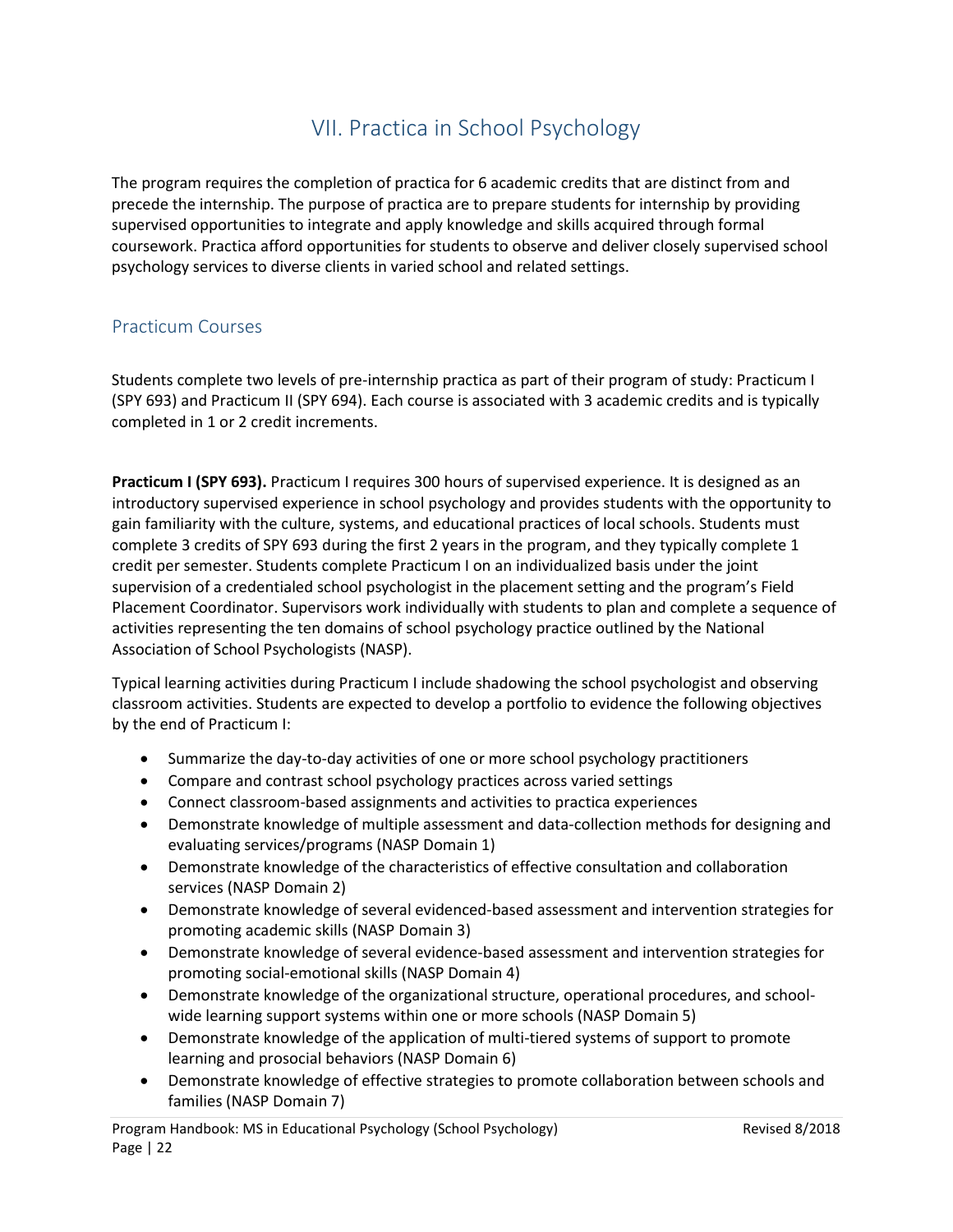# VII. Practica in School Psychology

<span id="page-21-0"></span>The program requires the completion of practica for 6 academic credits that are distinct from and precede the internship. The purpose of practica are to prepare students for internship by providing supervised opportunities to integrate and apply knowledge and skills acquired through formal coursework. Practica afford opportunities for students to observe and deliver closely supervised school psychology services to diverse clients in varied school and related settings.

# <span id="page-21-1"></span>Practicum Courses

Students complete two levels of pre-internship practica as part of their program of study: Practicum I (SPY 693) and Practicum II (SPY 694). Each course is associated with 3 academic credits and is typically completed in 1 or 2 credit increments.

**Practicum I (SPY 693).** Practicum I requires 300 hours of supervised experience. It is designed as an introductory supervised experience in school psychology and provides students with the opportunity to gain familiarity with the culture, systems, and educational practices of local schools. Students must complete 3 credits of SPY 693 during the first 2 years in the program, and they typically complete 1 credit per semester. Students complete Practicum I on an individualized basis under the joint supervision of a credentialed school psychologist in the placement setting and the program's Field Placement Coordinator. Supervisors work individually with students to plan and complete a sequence of activities representing the ten domains of school psychology practice outlined by the National Association of School Psychologists (NASP).

Typical learning activities during Practicum I include shadowing the school psychologist and observing classroom activities. Students are expected to develop a portfolio to evidence the following objectives by the end of Practicum I:

- Summarize the day-to-day activities of one or more school psychology practitioners
- Compare and contrast school psychology practices across varied settings
- Connect classroom-based assignments and activities to practica experiences
- Demonstrate knowledge of multiple assessment and data-collection methods for designing and evaluating services/programs (NASP Domain 1)
- Demonstrate knowledge of the characteristics of effective consultation and collaboration services (NASP Domain 2)
- Demonstrate knowledge of several evidenced-based assessment and intervention strategies for promoting academic skills (NASP Domain 3)
- Demonstrate knowledge of several evidence-based assessment and intervention strategies for promoting social-emotional skills (NASP Domain 4)
- Demonstrate knowledge of the organizational structure, operational procedures, and schoolwide learning support systems within one or more schools (NASP Domain 5)
- Demonstrate knowledge of the application of multi-tiered systems of support to promote learning and prosocial behaviors (NASP Domain 6)
- Demonstrate knowledge of effective strategies to promote collaboration between schools and families (NASP Domain 7)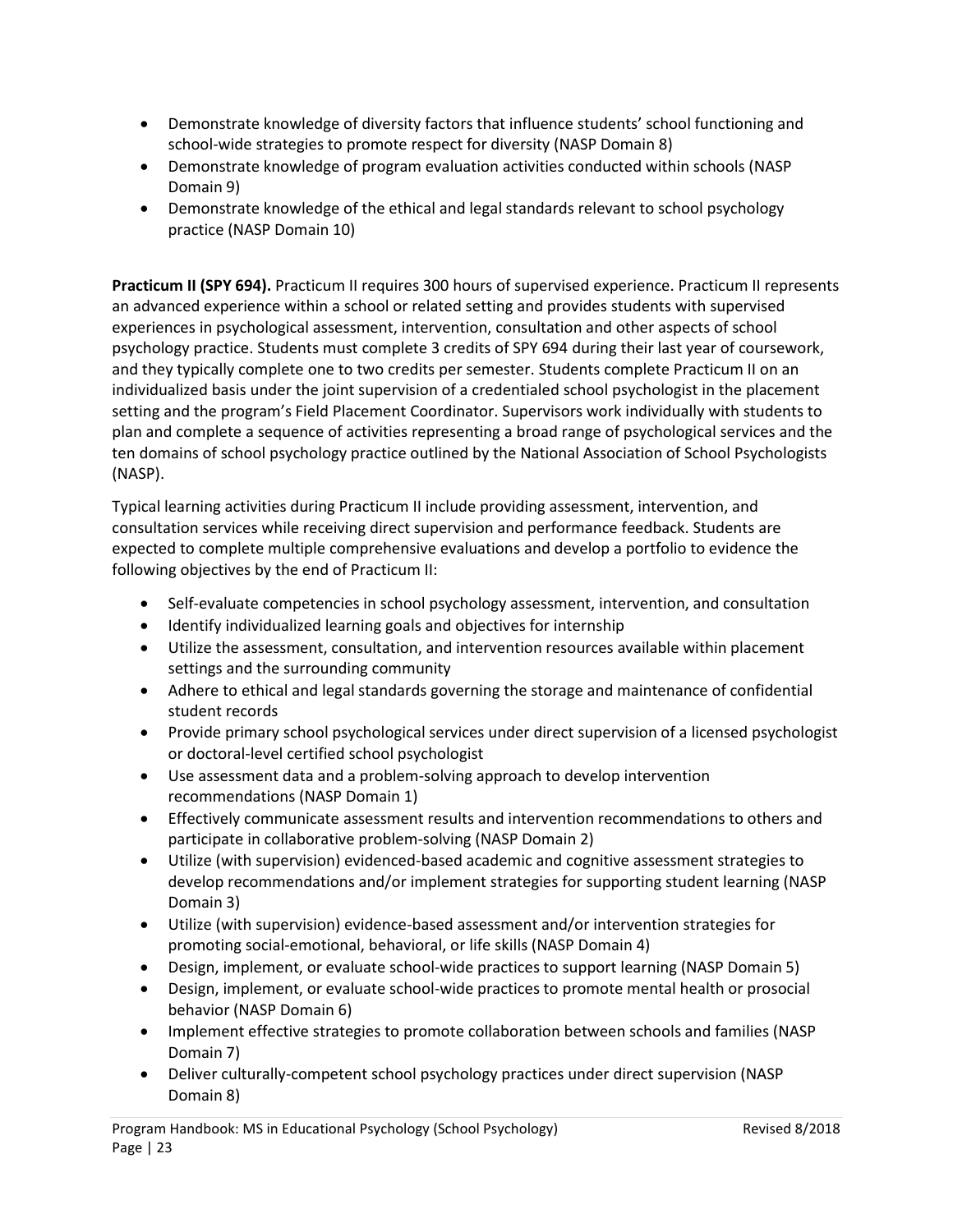- Demonstrate knowledge of diversity factors that influence students' school functioning and school-wide strategies to promote respect for diversity (NASP Domain 8)
- Demonstrate knowledge of program evaluation activities conducted within schools (NASP Domain 9)
- Demonstrate knowledge of the ethical and legal standards relevant to school psychology practice (NASP Domain 10)

**Practicum II (SPY 694).** Practicum II requires 300 hours of supervised experience. Practicum II represents an advanced experience within a school or related setting and provides students with supervised experiences in psychological assessment, intervention, consultation and other aspects of school psychology practice. Students must complete 3 credits of SPY 694 during their last year of coursework, and they typically complete one to two credits per semester. Students complete Practicum II on an individualized basis under the joint supervision of a credentialed school psychologist in the placement setting and the program's Field Placement Coordinator. Supervisors work individually with students to plan and complete a sequence of activities representing a broad range of psychological services and the ten domains of school psychology practice outlined by the National Association of School Psychologists (NASP).

Typical learning activities during Practicum II include providing assessment, intervention, and consultation services while receiving direct supervision and performance feedback. Students are expected to complete multiple comprehensive evaluations and develop a portfolio to evidence the following objectives by the end of Practicum II:

- Self-evaluate competencies in school psychology assessment, intervention, and consultation
- Identify individualized learning goals and objectives for internship
- Utilize the assessment, consultation, and intervention resources available within placement settings and the surrounding community
- Adhere to ethical and legal standards governing the storage and maintenance of confidential student records
- Provide primary school psychological services under direct supervision of a licensed psychologist or doctoral-level certified school psychologist
- Use assessment data and a problem-solving approach to develop intervention recommendations (NASP Domain 1)
- Effectively communicate assessment results and intervention recommendations to others and participate in collaborative problem-solving (NASP Domain 2)
- Utilize (with supervision) evidenced-based academic and cognitive assessment strategies to develop recommendations and/or implement strategies for supporting student learning (NASP Domain 3)
- Utilize (with supervision) evidence-based assessment and/or intervention strategies for promoting social-emotional, behavioral, or life skills (NASP Domain 4)
- Design, implement, or evaluate school-wide practices to support learning (NASP Domain 5)
- Design, implement, or evaluate school-wide practices to promote mental health or prosocial behavior (NASP Domain 6)
- Implement effective strategies to promote collaboration between schools and families (NASP) Domain 7)
- Deliver culturally-competent school psychology practices under direct supervision (NASP Domain 8)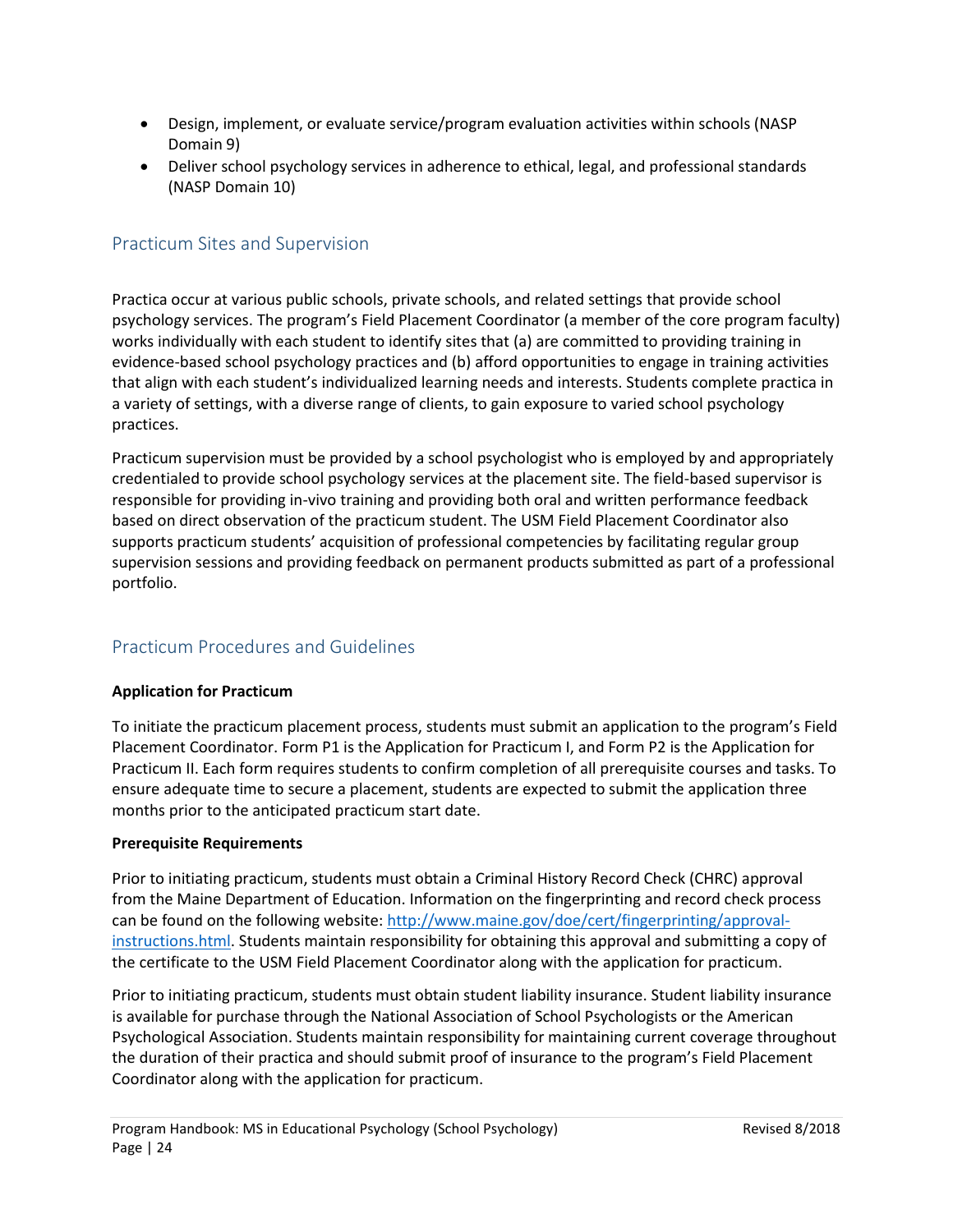- Design, implement, or evaluate service/program evaluation activities within schools (NASP Domain 9)
- Deliver school psychology services in adherence to ethical, legal, and professional standards (NASP Domain 10)

# <span id="page-23-0"></span>Practicum Sites and Supervision

Practica occur at various public schools, private schools, and related settings that provide school psychology services. The program's Field Placement Coordinator (a member of the core program faculty) works individually with each student to identify sites that (a) are committed to providing training in evidence-based school psychology practices and (b) afford opportunities to engage in training activities that align with each student's individualized learning needs and interests. Students complete practica in a variety of settings, with a diverse range of clients, to gain exposure to varied school psychology practices.

Practicum supervision must be provided by a school psychologist who is employed by and appropriately credentialed to provide school psychology services at the placement site. The field-based supervisor is responsible for providing in-vivo training and providing both oral and written performance feedback based on direct observation of the practicum student. The USM Field Placement Coordinator also supports practicum students' acquisition of professional competencies by facilitating regular group supervision sessions and providing feedback on permanent products submitted as part of a professional portfolio.

# <span id="page-23-1"></span>Practicum Procedures and Guidelines

# **Application for Practicum**

To initiate the practicum placement process, students must submit an application to the program's Field Placement Coordinator. Form P1 is the Application for Practicum I, and Form P2 is the Application for Practicum II. Each form requires students to confirm completion of all prerequisite courses and tasks. To ensure adequate time to secure a placement, students are expected to submit the application three months prior to the anticipated practicum start date.

### **Prerequisite Requirements**

Prior to initiating practicum, students must obtain a Criminal History Record Check (CHRC) approval from the Maine Department of Education. Information on the fingerprinting and record check process can be found on the following website: [http://www.maine.gov/doe/cert/fingerprinting/approval](http://www.maine.gov/doe/cert/fingerprinting/approval-instructions.html)[instructions.html.](http://www.maine.gov/doe/cert/fingerprinting/approval-instructions.html) Students maintain responsibility for obtaining this approval and submitting a copy of the certificate to the USM Field Placement Coordinator along with the application for practicum.

Prior to initiating practicum, students must obtain student liability insurance. Student liability insurance is available for purchase through the National Association of School Psychologists or the American Psychological Association. Students maintain responsibility for maintaining current coverage throughout the duration of their practica and should submit proof of insurance to the program's Field Placement Coordinator along with the application for practicum.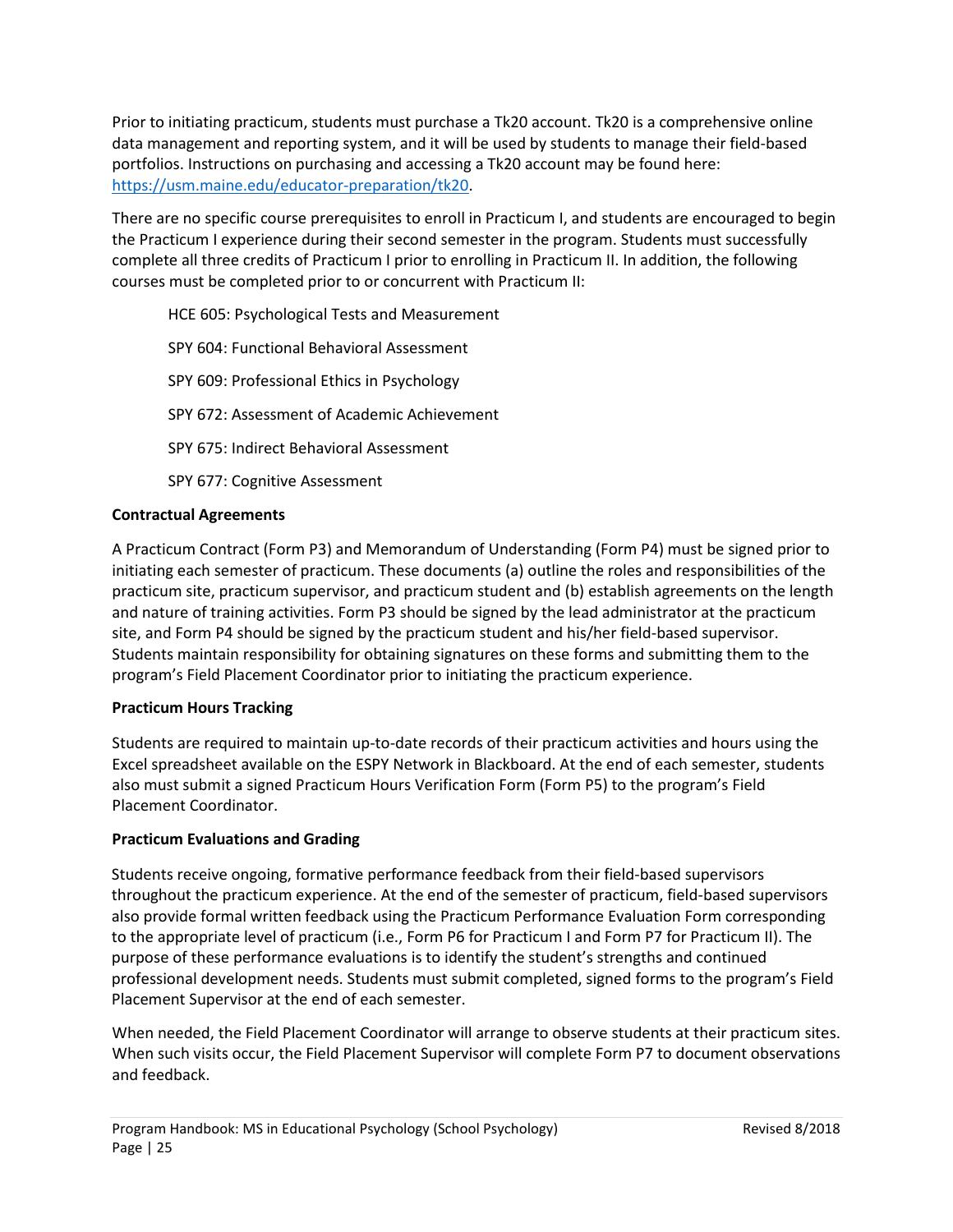Prior to initiating practicum, students must purchase a Tk20 account. Tk20 is a comprehensive online data management and reporting system, and it will be used by students to manage their field-based portfolios. Instructions on purchasing and accessing a Tk20 account may be found here: [https://usm.maine.edu/educator-preparation/tk20.](https://usm.maine.edu/educator-preparation/tk20)

There are no specific course prerequisites to enroll in Practicum I, and students are encouraged to begin the Practicum I experience during their second semester in the program. Students must successfully complete all three credits of Practicum I prior to enrolling in Practicum II. In addition, the following courses must be completed prior to or concurrent with Practicum II:

HCE 605: Psychological Tests and Measurement SPY 604: Functional Behavioral Assessment SPY 609: Professional Ethics in Psychology SPY 672: Assessment of Academic Achievement SPY 675: Indirect Behavioral Assessment SPY 677: Cognitive Assessment

# **Contractual Agreements**

A Practicum Contract (Form P3) and Memorandum of Understanding (Form P4) must be signed prior to initiating each semester of practicum. These documents (a) outline the roles and responsibilities of the practicum site, practicum supervisor, and practicum student and (b) establish agreements on the length and nature of training activities. Form P3 should be signed by the lead administrator at the practicum site, and Form P4 should be signed by the practicum student and his/her field-based supervisor. Students maintain responsibility for obtaining signatures on these forms and submitting them to the program's Field Placement Coordinator prior to initiating the practicum experience.

# **Practicum Hours Tracking**

Students are required to maintain up-to-date records of their practicum activities and hours using the Excel spreadsheet available on the ESPY Network in Blackboard. At the end of each semester, students also must submit a signed Practicum Hours Verification Form (Form P5) to the program's Field Placement Coordinator.

### **Practicum Evaluations and Grading**

Students receive ongoing, formative performance feedback from their field-based supervisors throughout the practicum experience. At the end of the semester of practicum, field-based supervisors also provide formal written feedback using the Practicum Performance Evaluation Form corresponding to the appropriate level of practicum (i.e., Form P6 for Practicum I and Form P7 for Practicum II). The purpose of these performance evaluations is to identify the student's strengths and continued professional development needs. Students must submit completed, signed forms to the program's Field Placement Supervisor at the end of each semester.

When needed, the Field Placement Coordinator will arrange to observe students at their practicum sites. When such visits occur, the Field Placement Supervisor will complete Form P7 to document observations and feedback.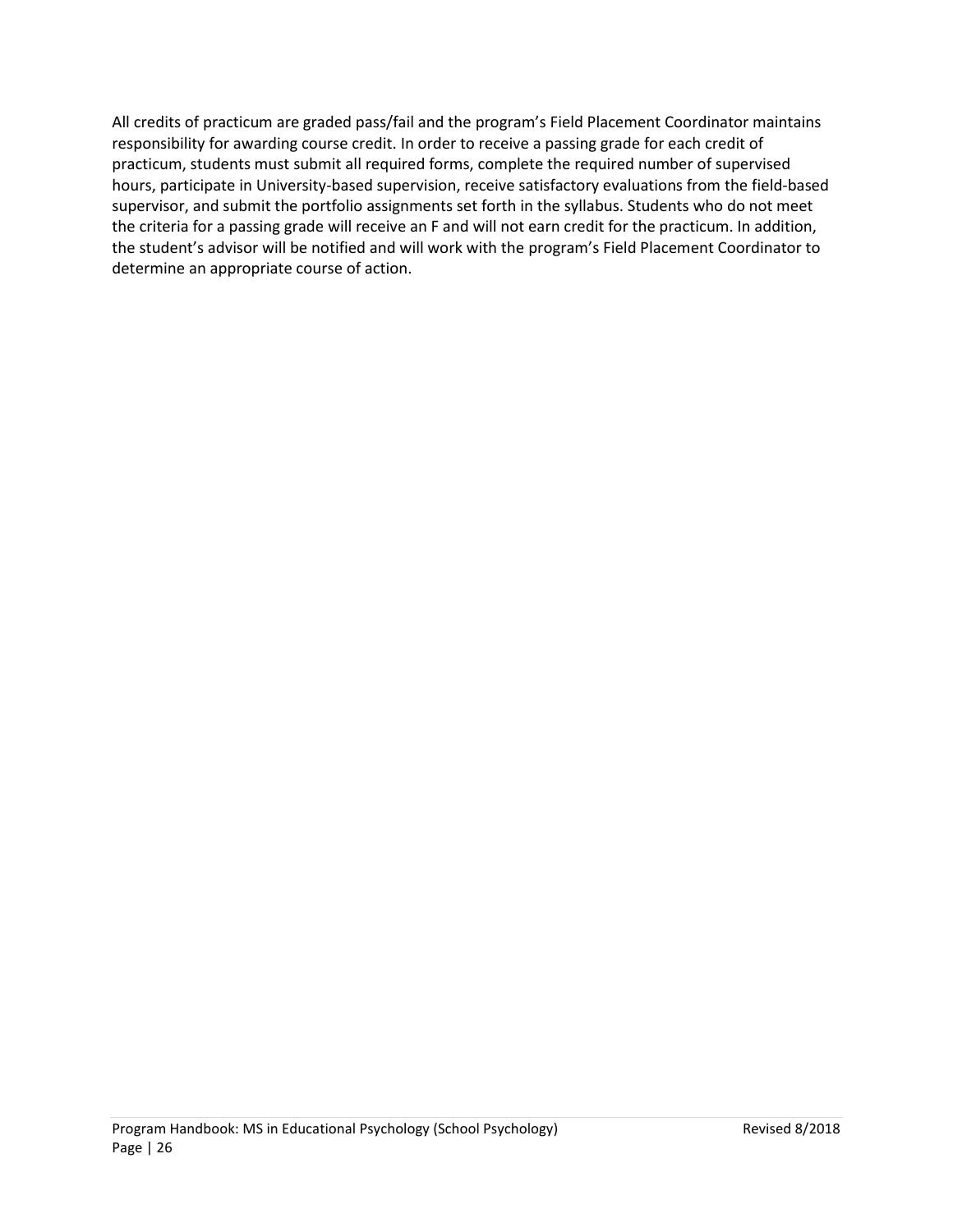All credits of practicum are graded pass/fail and the program's Field Placement Coordinator maintains responsibility for awarding course credit. In order to receive a passing grade for each credit of practicum, students must submit all required forms, complete the required number of supervised hours, participate in University-based supervision, receive satisfactory evaluations from the field-based supervisor, and submit the portfolio assignments set forth in the syllabus. Students who do not meet the criteria for a passing grade will receive an F and will not earn credit for the practicum. In addition, the student's advisor will be notified and will work with the program's Field Placement Coordinator to determine an appropriate course of action.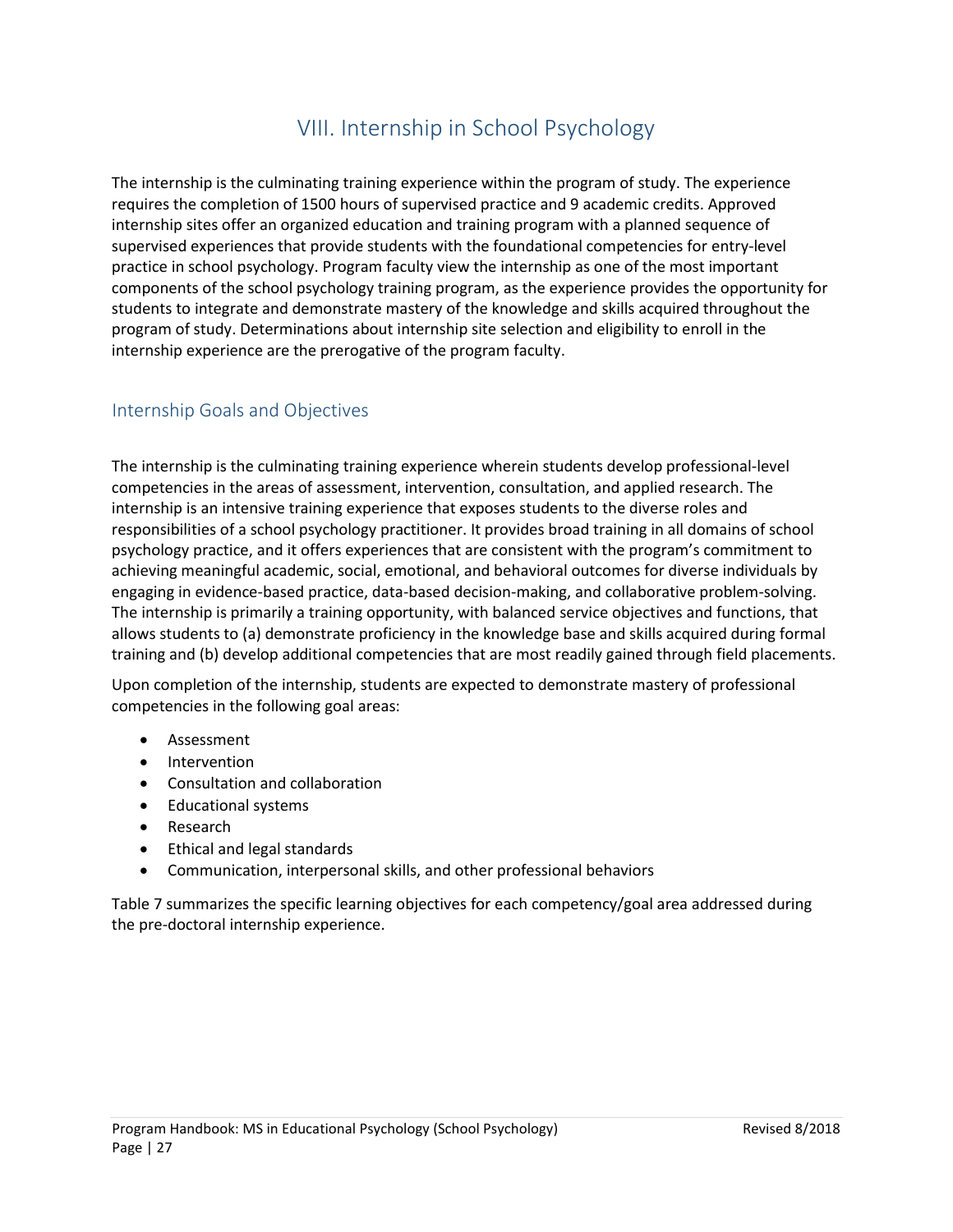# VIII. Internship in School Psychology

<span id="page-26-0"></span>The internship is the culminating training experience within the program of study. The experience requires the completion of 1500 hours of supervised practice and 9 academic credits. Approved internship sites offer an organized education and training program with a planned sequence of supervised experiences that provide students with the foundational competencies for entry-level practice in school psychology. Program faculty view the internship as one of the most important components of the school psychology training program, as the experience provides the opportunity for students to integrate and demonstrate mastery of the knowledge and skills acquired throughout the program of study. Determinations about internship site selection and eligibility to enroll in the internship experience are the prerogative of the program faculty.

# <span id="page-26-1"></span>Internship Goals and Objectives

The internship is the culminating training experience wherein students develop professional-level competencies in the areas of assessment, intervention, consultation, and applied research. The internship is an intensive training experience that exposes students to the diverse roles and responsibilities of a school psychology practitioner. It provides broad training in all domains of school psychology practice, and it offers experiences that are consistent with the program's commitment to achieving meaningful academic, social, emotional, and behavioral outcomes for diverse individuals by engaging in evidence-based practice, data-based decision-making, and collaborative problem-solving. The internship is primarily a training opportunity, with balanced service objectives and functions, that allows students to (a) demonstrate proficiency in the knowledge base and skills acquired during formal training and (b) develop additional competencies that are most readily gained through field placements.

Upon completion of the internship, students are expected to demonstrate mastery of professional competencies in the following goal areas:

- Assessment
- Intervention
- Consultation and collaboration
- Educational systems
- Research
- Ethical and legal standards
- Communication, interpersonal skills, and other professional behaviors

Table 7 summarizes the specific learning objectives for each competency/goal area addressed during the pre-doctoral internship experience.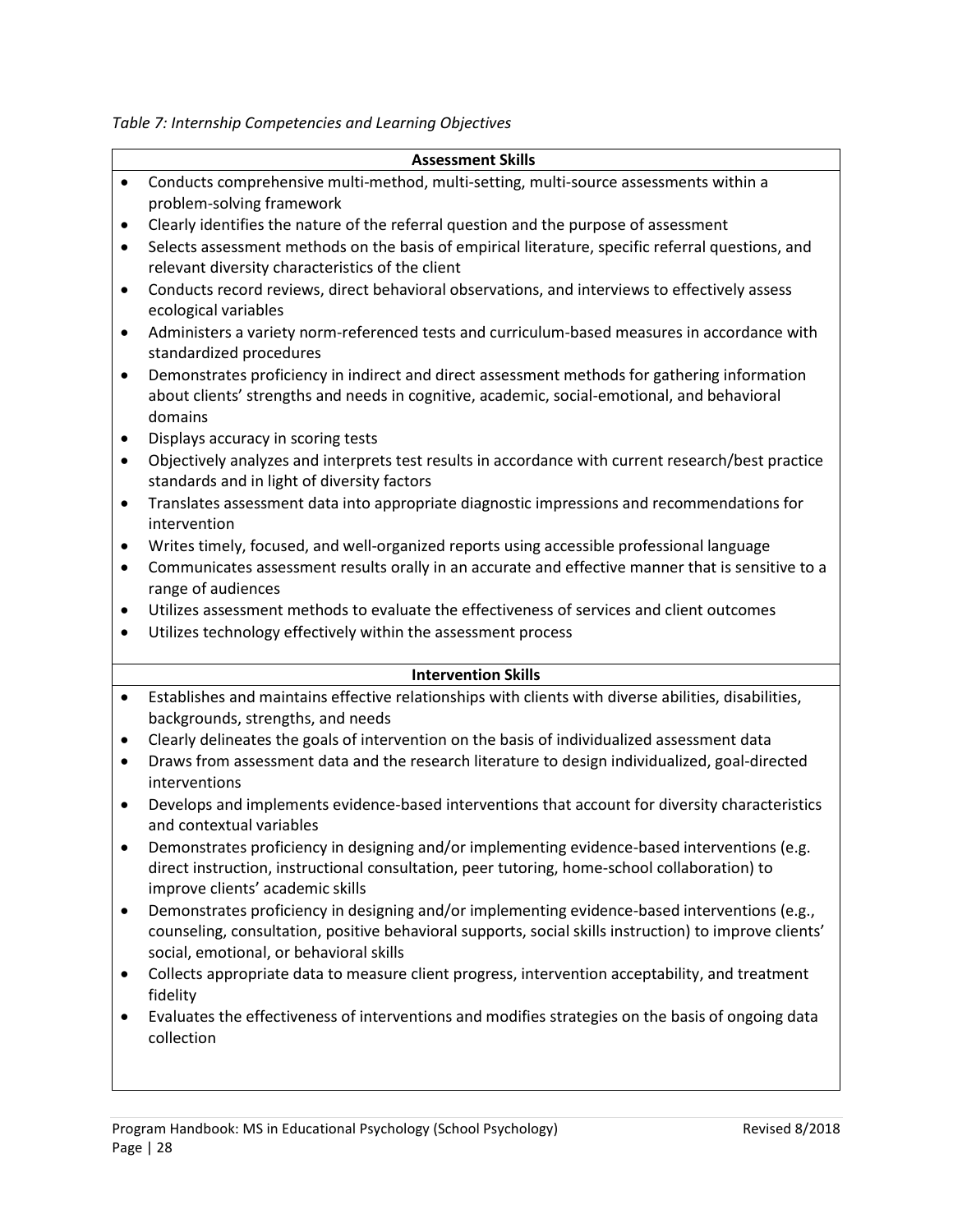*Table 7: Internship Competencies and Learning Objectives*

| Assessment Skills |  |
|-------------------|--|
|-------------------|--|

- Conducts comprehensive multi-method, multi-setting, multi-source assessments within a problem-solving framework
- Clearly identifies the nature of the referral question and the purpose of assessment
- Selects assessment methods on the basis of empirical literature, specific referral questions, and relevant diversity characteristics of the client
- Conducts record reviews, direct behavioral observations, and interviews to effectively assess ecological variables
- Administers a variety norm-referenced tests and curriculum-based measures in accordance with standardized procedures
- Demonstrates proficiency in indirect and direct assessment methods for gathering information about clients' strengths and needs in cognitive, academic, social-emotional, and behavioral domains
- Displays accuracy in scoring tests
- Objectively analyzes and interprets test results in accordance with current research/best practice standards and in light of diversity factors
- Translates assessment data into appropriate diagnostic impressions and recommendations for intervention
- Writes timely, focused, and well-organized reports using accessible professional language
- Communicates assessment results orally in an accurate and effective manner that is sensitive to a range of audiences
- Utilizes assessment methods to evaluate the effectiveness of services and client outcomes
- Utilizes technology effectively within the assessment process

### **Intervention Skills**

- Establishes and maintains effective relationships with clients with diverse abilities, disabilities, backgrounds, strengths, and needs
- Clearly delineates the goals of intervention on the basis of individualized assessment data
- Draws from assessment data and the research literature to design individualized, goal-directed interventions
- Develops and implements evidence-based interventions that account for diversity characteristics and contextual variables
- Demonstrates proficiency in designing and/or implementing evidence-based interventions (e.g. direct instruction, instructional consultation, peer tutoring, home-school collaboration) to improve clients' academic skills
- Demonstrates proficiency in designing and/or implementing evidence-based interventions (e.g., counseling, consultation, positive behavioral supports, social skills instruction) to improve clients' social, emotional, or behavioral skills
- Collects appropriate data to measure client progress, intervention acceptability, and treatment fidelity
- Evaluates the effectiveness of interventions and modifies strategies on the basis of ongoing data collection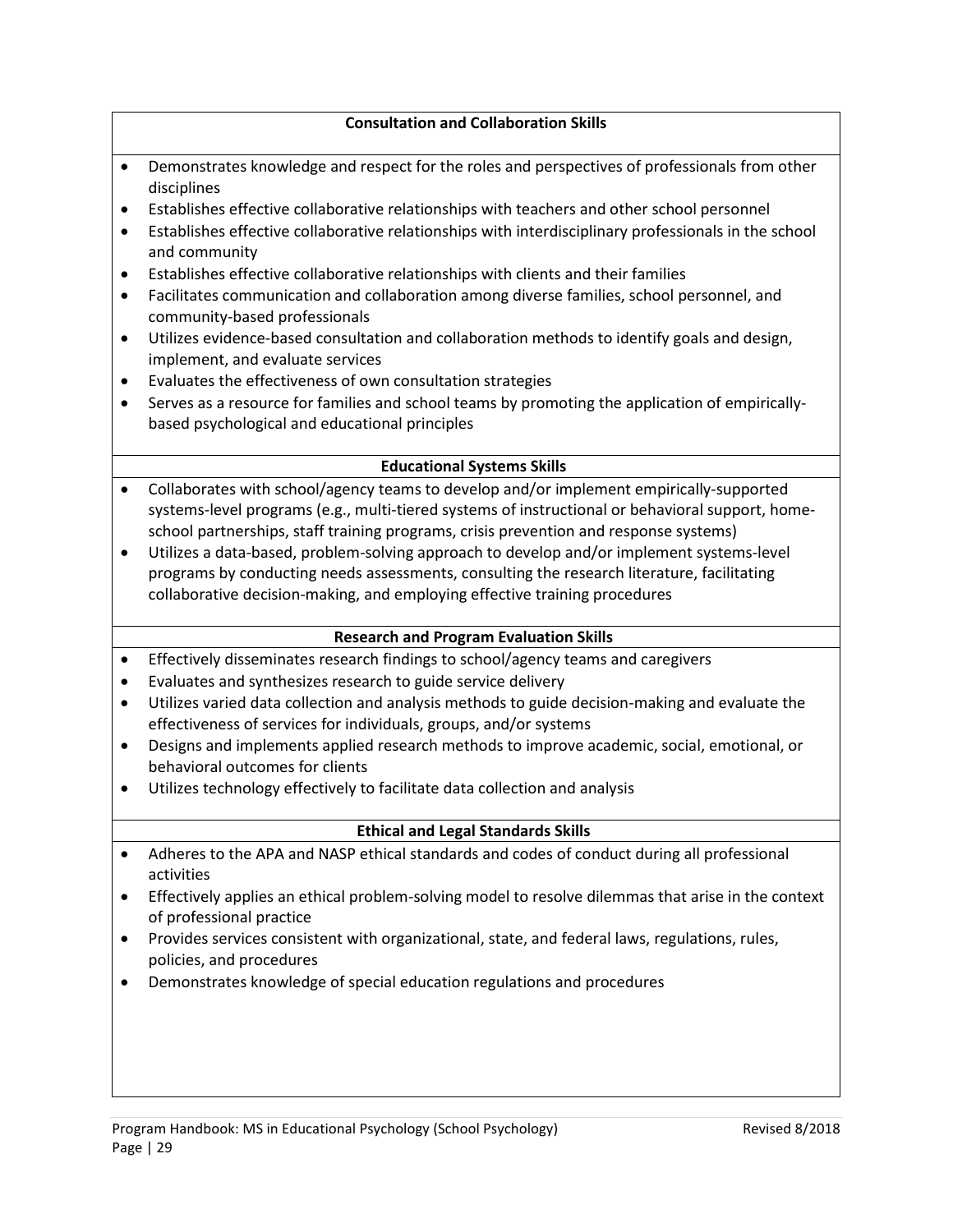## **Consultation and Collaboration Skills**

- Demonstrates knowledge and respect for the roles and perspectives of professionals from other disciplines
- Establishes effective collaborative relationships with teachers and other school personnel
- Establishes effective collaborative relationships with interdisciplinary professionals in the school and community
- Establishes effective collaborative relationships with clients and their families
- Facilitates communication and collaboration among diverse families, school personnel, and community-based professionals
- Utilizes evidence-based consultation and collaboration methods to identify goals and design, implement, and evaluate services
- Evaluates the effectiveness of own consultation strategies
- Serves as a resource for families and school teams by promoting the application of empiricallybased psychological and educational principles

# **Educational Systems Skills**

- Collaborates with school/agency teams to develop and/or implement empirically-supported systems-level programs (e.g., multi-tiered systems of instructional or behavioral support, homeschool partnerships, staff training programs, crisis prevention and response systems)
- Utilizes a data-based, problem-solving approach to develop and/or implement systems-level programs by conducting needs assessments, consulting the research literature, facilitating collaborative decision-making, and employing effective training procedures

# **Research and Program Evaluation Skills**

- Effectively disseminates research findings to school/agency teams and caregivers
- Evaluates and synthesizes research to guide service delivery
- Utilizes varied data collection and analysis methods to guide decision-making and evaluate the effectiveness of services for individuals, groups, and/or systems
- Designs and implements applied research methods to improve academic, social, emotional, or behavioral outcomes for clients
- Utilizes technology effectively to facilitate data collection and analysis

### **Ethical and Legal Standards Skills**

- Adheres to the APA and NASP ethical standards and codes of conduct during all professional activities
- Effectively applies an ethical problem-solving model to resolve dilemmas that arise in the context of professional practice
- Provides services consistent with organizational, state, and federal laws, regulations, rules, policies, and procedures
- Demonstrates knowledge of special education regulations and procedures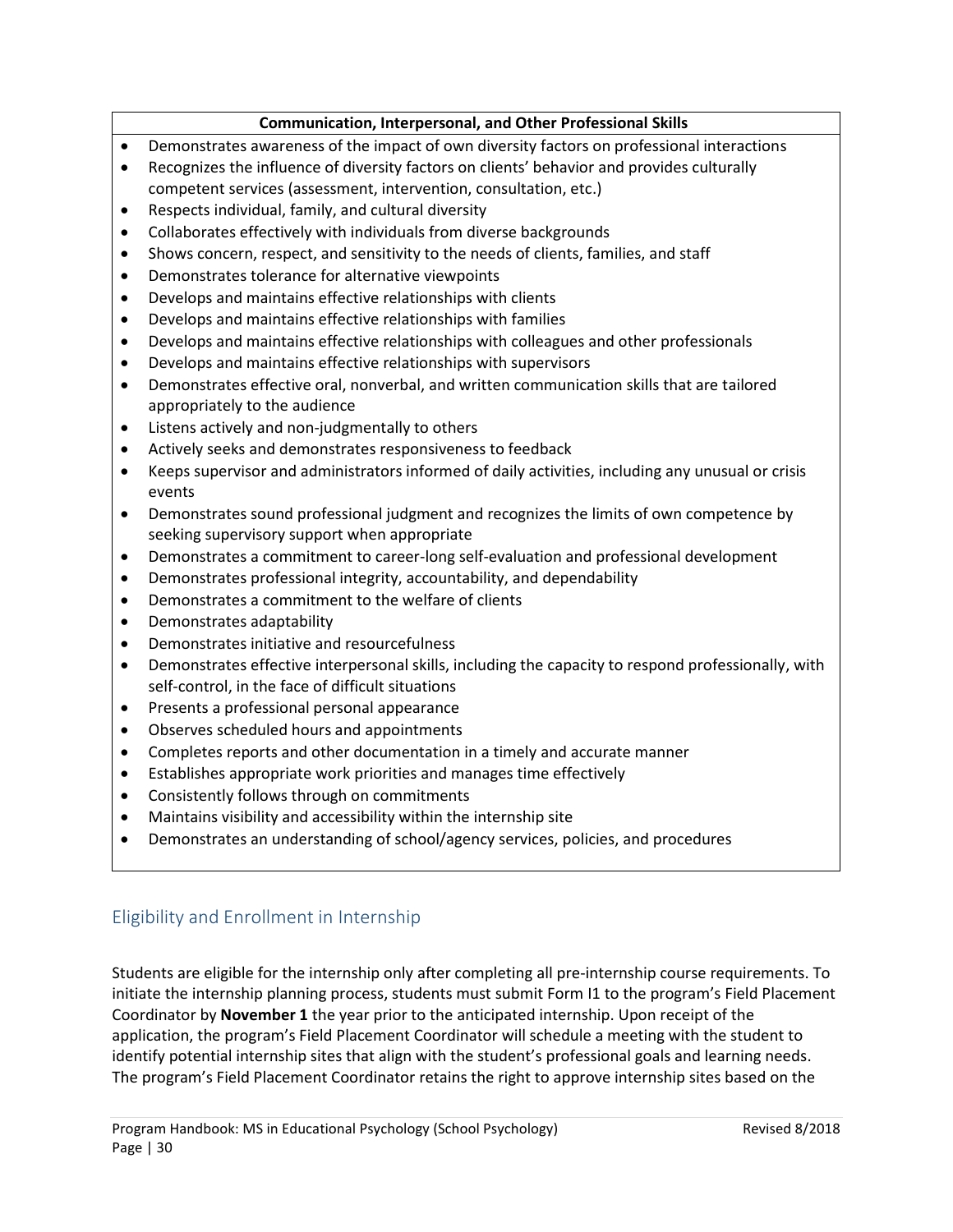# **Communication, Interpersonal, and Other Professional Skills**

- Demonstrates awareness of the impact of own diversity factors on professional interactions
- Recognizes the influence of diversity factors on clients' behavior and provides culturally competent services (assessment, intervention, consultation, etc.)
- Respects individual, family, and cultural diversity
- Collaborates effectively with individuals from diverse backgrounds
- Shows concern, respect, and sensitivity to the needs of clients, families, and staff
- Demonstrates tolerance for alternative viewpoints
- Develops and maintains effective relationships with clients
- Develops and maintains effective relationships with families
- Develops and maintains effective relationships with colleagues and other professionals
- Develops and maintains effective relationships with supervisors
- Demonstrates effective oral, nonverbal, and written communication skills that are tailored appropriately to the audience
- Listens actively and non-judgmentally to others
- Actively seeks and demonstrates responsiveness to feedback
- Keeps supervisor and administrators informed of daily activities, including any unusual or crisis events
- Demonstrates sound professional judgment and recognizes the limits of own competence by seeking supervisory support when appropriate
- Demonstrates a commitment to career-long self-evaluation and professional development
- Demonstrates professional integrity, accountability, and dependability
- Demonstrates a commitment to the welfare of clients
- Demonstrates adaptability
- Demonstrates initiative and resourcefulness
- Demonstrates effective interpersonal skills, including the capacity to respond professionally, with self-control, in the face of difficult situations
- Presents a professional personal appearance
- Observes scheduled hours and appointments
- Completes reports and other documentation in a timely and accurate manner
- Establishes appropriate work priorities and manages time effectively
- Consistently follows through on commitments
- Maintains visibility and accessibility within the internship site
- Demonstrates an understanding of school/agency services, policies, and procedures

# <span id="page-29-0"></span>Eligibility and Enrollment in Internship

Students are eligible for the internship only after completing all pre-internship course requirements. To initiate the internship planning process, students must submit Form I1 to the program's Field Placement Coordinator by **November 1** the year prior to the anticipated internship. Upon receipt of the application, the program's Field Placement Coordinator will schedule a meeting with the student to identify potential internship sites that align with the student's professional goals and learning needs. The program's Field Placement Coordinator retains the right to approve internship sites based on the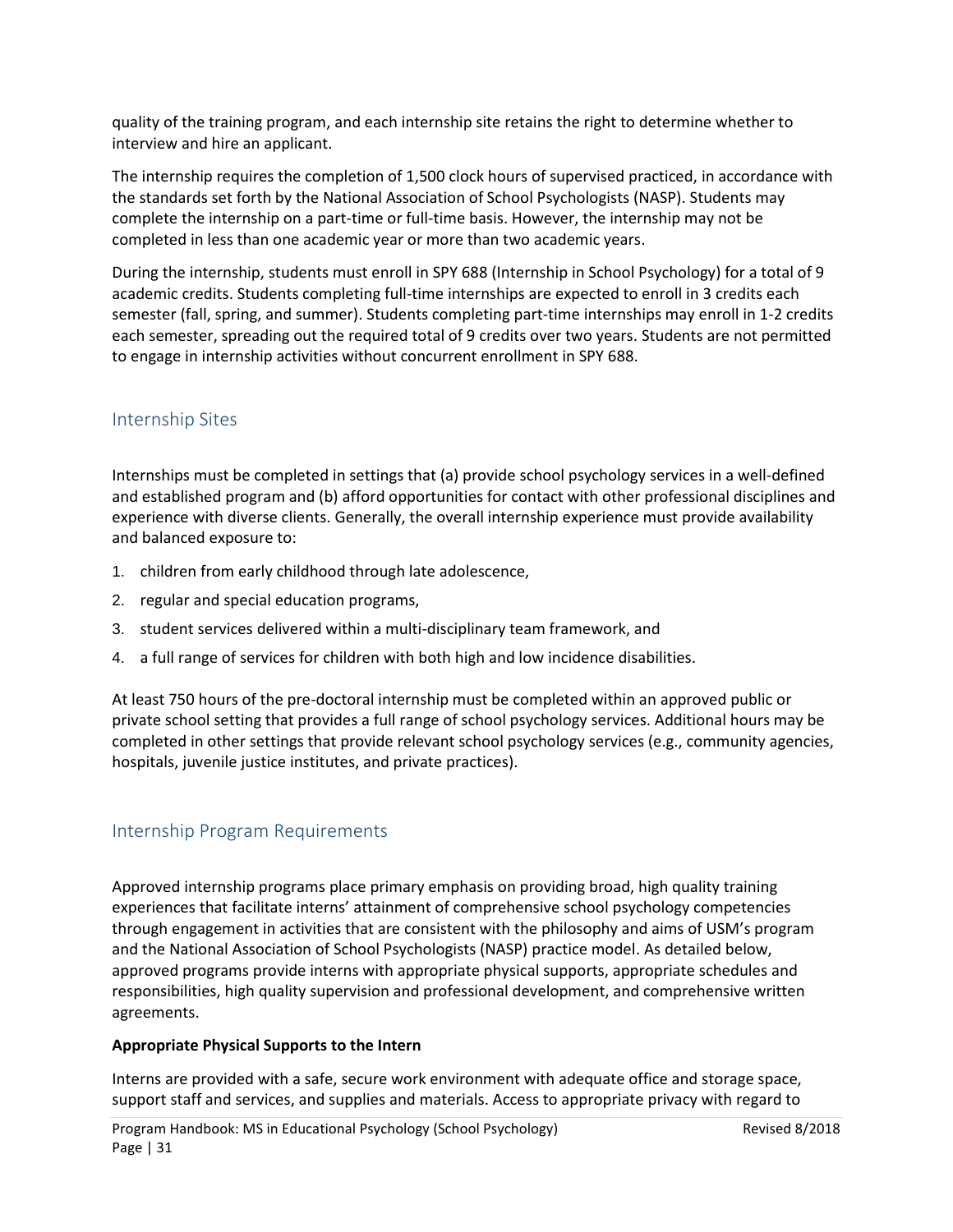quality of the training program, and each internship site retains the right to determine whether to interview and hire an applicant.

The internship requires the completion of 1,500 clock hours of supervised practiced, in accordance with the standards set forth by the National Association of School Psychologists (NASP). Students may complete the internship on a part-time or full-time basis. However, the internship may not be completed in less than one academic year or more than two academic years.

During the internship, students must enroll in SPY 688 (Internship in School Psychology) for a total of 9 academic credits. Students completing full-time internships are expected to enroll in 3 credits each semester (fall, spring, and summer). Students completing part-time internships may enroll in 1-2 credits each semester, spreading out the required total of 9 credits over two years. Students are not permitted to engage in internship activities without concurrent enrollment in SPY 688.

# <span id="page-30-0"></span>Internship Sites

Internships must be completed in settings that (a) provide school psychology services in a well-defined and established program and (b) afford opportunities for contact with other professional disciplines and experience with diverse clients. Generally, the overall internship experience must provide availability and balanced exposure to:

- 1. children from early childhood through late adolescence,
- 2. regular and special education programs,
- 3. student services delivered within a multi-disciplinary team framework, and
- 4. a full range of services for children with both high and low incidence disabilities.

At least 750 hours of the pre-doctoral internship must be completed within an approved public or private school setting that provides a full range of school psychology services. Additional hours may be completed in other settings that provide relevant school psychology services (e.g., community agencies, hospitals, juvenile justice institutes, and private practices).

# <span id="page-30-1"></span>Internship Program Requirements

Approved internship programs place primary emphasis on providing broad, high quality training experiences that facilitate interns' attainment of comprehensive school psychology competencies through engagement in activities that are consistent with the philosophy and aims of USM's program and the National Association of School Psychologists (NASP) practice model. As detailed below, approved programs provide interns with appropriate physical supports, appropriate schedules and responsibilities, high quality supervision and professional development, and comprehensive written agreements.

### **Appropriate Physical Supports to the Intern**

Interns are provided with a safe, secure work environment with adequate office and storage space, support staff and services, and supplies and materials. Access to appropriate privacy with regard to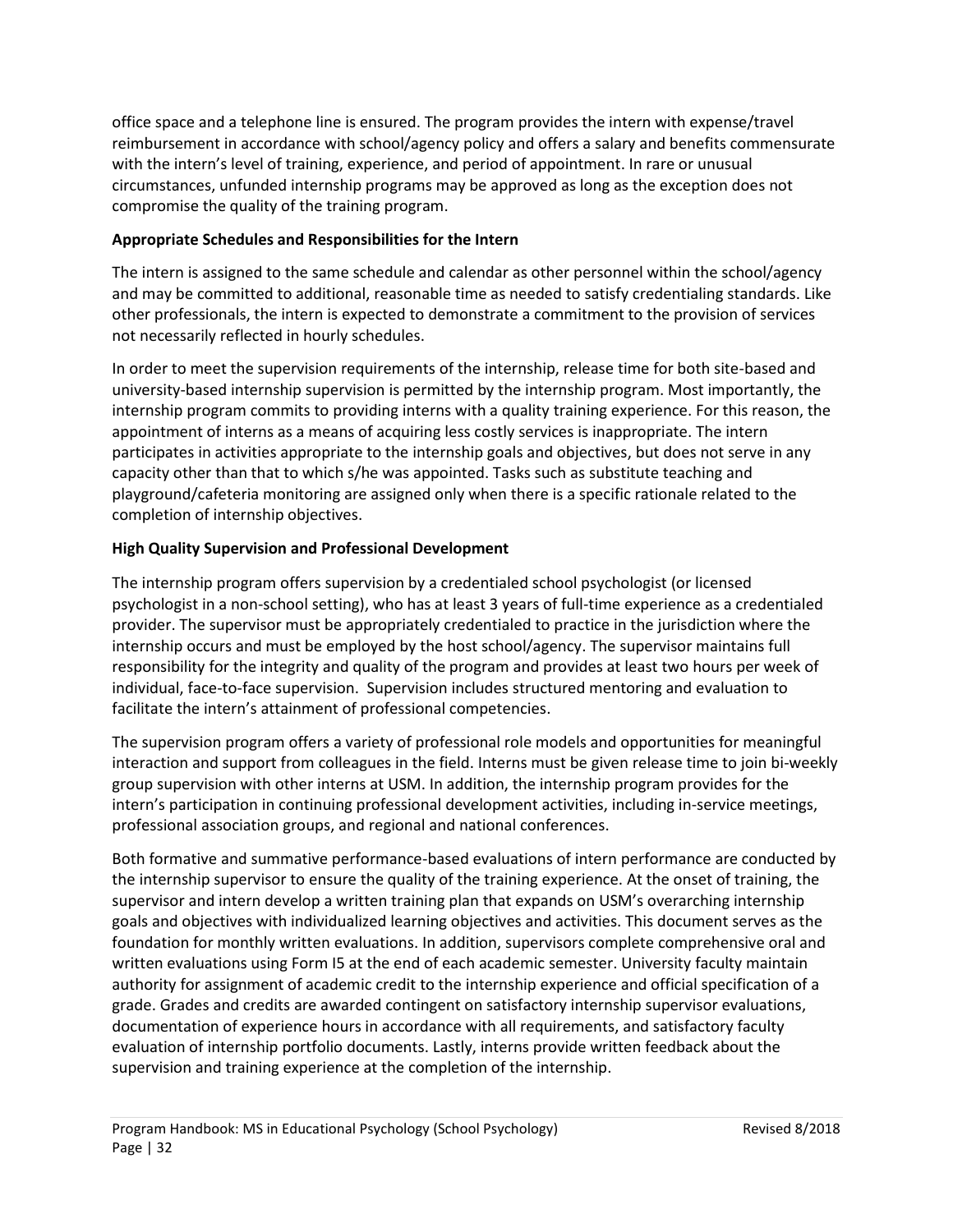office space and a telephone line is ensured. The program provides the intern with expense/travel reimbursement in accordance with school/agency policy and offers a salary and benefits commensurate with the intern's level of training, experience, and period of appointment. In rare or unusual circumstances, unfunded internship programs may be approved as long as the exception does not compromise the quality of the training program.

# **Appropriate Schedules and Responsibilities for the Intern**

The intern is assigned to the same schedule and calendar as other personnel within the school/agency and may be committed to additional, reasonable time as needed to satisfy credentialing standards. Like other professionals, the intern is expected to demonstrate a commitment to the provision of services not necessarily reflected in hourly schedules.

In order to meet the supervision requirements of the internship, release time for both site-based and university-based internship supervision is permitted by the internship program. Most importantly, the internship program commits to providing interns with a quality training experience. For this reason, the appointment of interns as a means of acquiring less costly services is inappropriate. The intern participates in activities appropriate to the internship goals and objectives, but does not serve in any capacity other than that to which s/he was appointed. Tasks such as substitute teaching and playground/cafeteria monitoring are assigned only when there is a specific rationale related to the completion of internship objectives.

# **High Quality Supervision and Professional Development**

The internship program offers supervision by a credentialed school psychologist (or licensed psychologist in a non-school setting), who has at least 3 years of full-time experience as a credentialed provider. The supervisor must be appropriately credentialed to practice in the jurisdiction where the internship occurs and must be employed by the host school/agency. The supervisor maintains full responsibility for the integrity and quality of the program and provides at least two hours per week of individual, face-to-face supervision. Supervision includes structured mentoring and evaluation to facilitate the intern's attainment of professional competencies.

The supervision program offers a variety of professional role models and opportunities for meaningful interaction and support from colleagues in the field. Interns must be given release time to join bi-weekly group supervision with other interns at USM. In addition, the internship program provides for the intern's participation in continuing professional development activities, including in-service meetings, professional association groups, and regional and national conferences.

Both formative and summative performance-based evaluations of intern performance are conducted by the internship supervisor to ensure the quality of the training experience. At the onset of training, the supervisor and intern develop a written training plan that expands on USM's overarching internship goals and objectives with individualized learning objectives and activities. This document serves as the foundation for monthly written evaluations. In addition, supervisors complete comprehensive oral and written evaluations using Form I5 at the end of each academic semester. University faculty maintain authority for assignment of academic credit to the internship experience and official specification of a grade. Grades and credits are awarded contingent on satisfactory internship supervisor evaluations, documentation of experience hours in accordance with all requirements, and satisfactory faculty evaluation of internship portfolio documents. Lastly, interns provide written feedback about the supervision and training experience at the completion of the internship.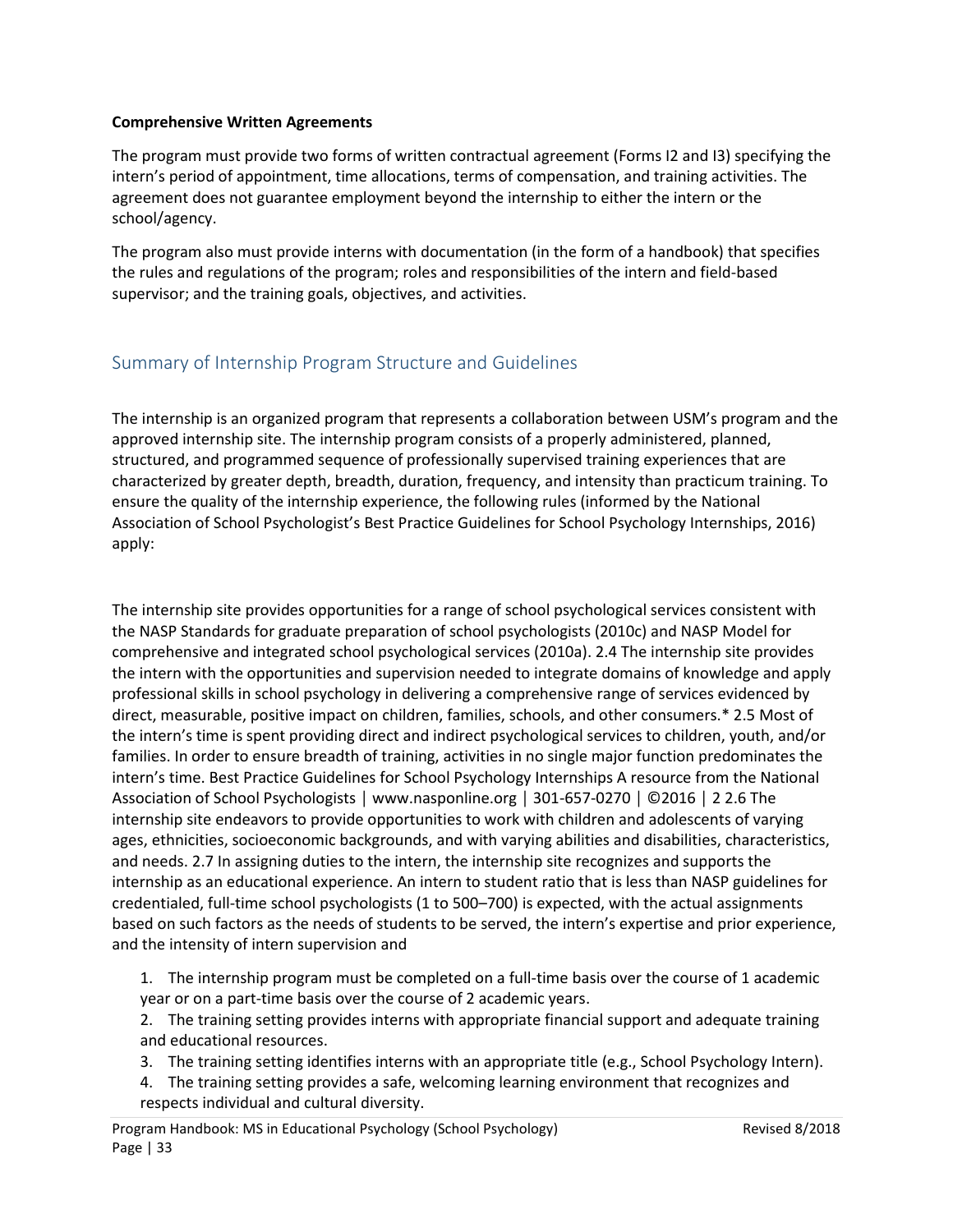#### **Comprehensive Written Agreements**

The program must provide two forms of written contractual agreement (Forms I2 and I3) specifying the intern's period of appointment, time allocations, terms of compensation, and training activities. The agreement does not guarantee employment beyond the internship to either the intern or the school/agency.

The program also must provide interns with documentation (in the form of a handbook) that specifies the rules and regulations of the program; roles and responsibilities of the intern and field-based supervisor; and the training goals, objectives, and activities.

# <span id="page-32-0"></span>Summary of Internship Program Structure and Guidelines

The internship is an organized program that represents a collaboration between USM's program and the approved internship site. The internship program consists of a properly administered, planned, structured, and programmed sequence of professionally supervised training experiences that are characterized by greater depth, breadth, duration, frequency, and intensity than practicum training. To ensure the quality of the internship experience, the following rules (informed by the National Association of School Psychologist's Best Practice Guidelines for School Psychology Internships, 2016) apply:

The internship site provides opportunities for a range of school psychological services consistent with the NASP Standards for graduate preparation of school psychologists (2010c) and NASP Model for comprehensive and integrated school psychological services (2010a). 2.4 The internship site provides the intern with the opportunities and supervision needed to integrate domains of knowledge and apply professional skills in school psychology in delivering a comprehensive range of services evidenced by direct, measurable, positive impact on children, families, schools, and other consumers.\* 2.5 Most of the intern's time is spent providing direct and indirect psychological services to children, youth, and/or families. In order to ensure breadth of training, activities in no single major function predominates the intern's time. Best Practice Guidelines for School Psychology Internships A resource from the National Association of School Psychologists │ www.nasponline.org │ 301-657-0270 │ ©2016 │ 2 2.6 The internship site endeavors to provide opportunities to work with children and adolescents of varying ages, ethnicities, socioeconomic backgrounds, and with varying abilities and disabilities, characteristics, and needs. 2.7 In assigning duties to the intern, the internship site recognizes and supports the internship as an educational experience. An intern to student ratio that is less than NASP guidelines for credentialed, full-time school psychologists (1 to 500–700) is expected, with the actual assignments based on such factors as the needs of students to be served, the intern's expertise and prior experience, and the intensity of intern supervision and

1. The internship program must be completed on a full-time basis over the course of 1 academic year or on a part-time basis over the course of 2 academic years.

2. The training setting provides interns with appropriate financial support and adequate training and educational resources.

- 3. The training setting identifies interns with an appropriate title (e.g., School Psychology Intern).
- 4. The training setting provides a safe, welcoming learning environment that recognizes and respects individual and cultural diversity.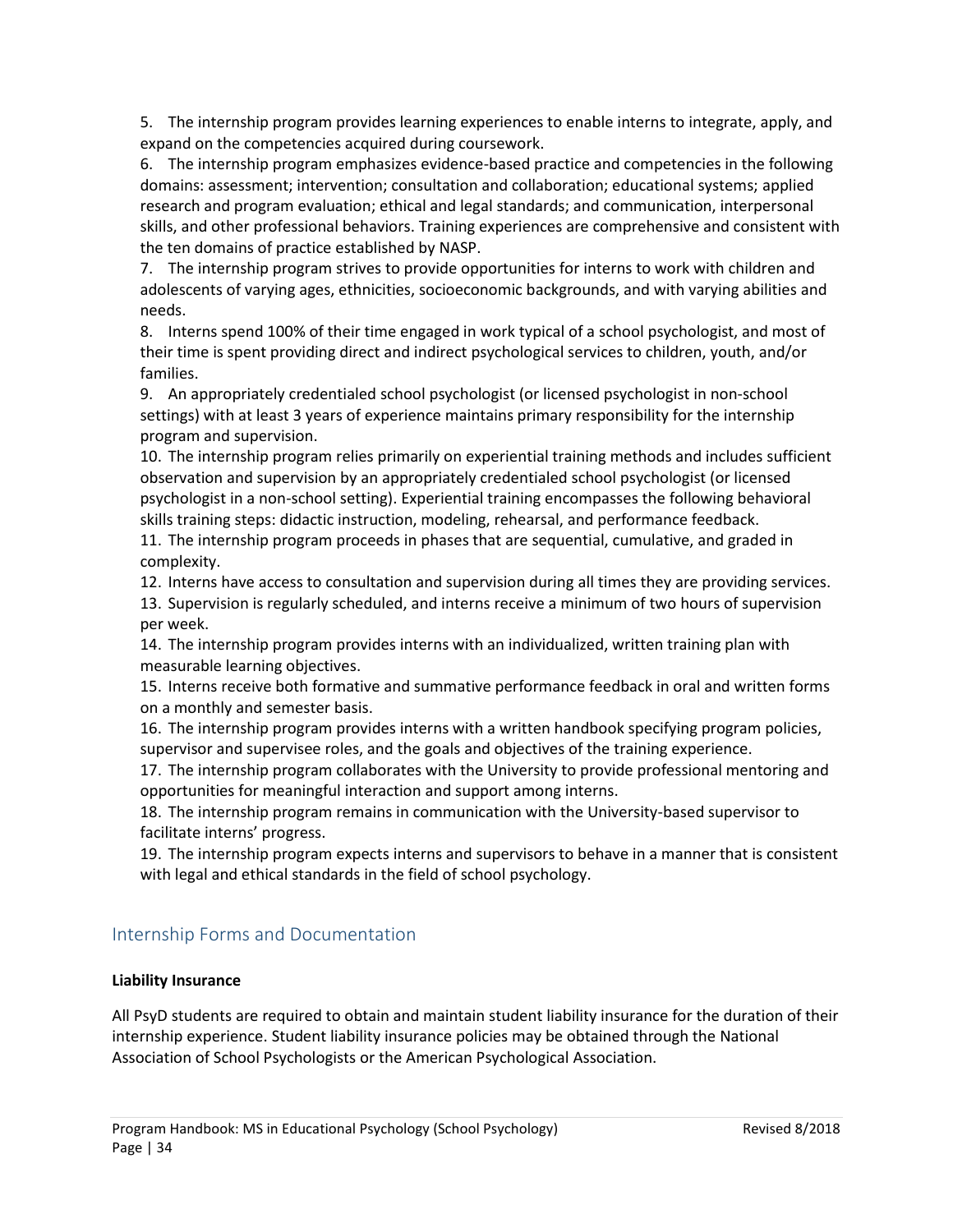5. The internship program provides learning experiences to enable interns to integrate, apply, and expand on the competencies acquired during coursework.

6. The internship program emphasizes evidence-based practice and competencies in the following domains: assessment; intervention; consultation and collaboration; educational systems; applied research and program evaluation; ethical and legal standards; and communication, interpersonal skills, and other professional behaviors. Training experiences are comprehensive and consistent with the ten domains of practice established by NASP.

7. The internship program strives to provide opportunities for interns to work with children and adolescents of varying ages, ethnicities, socioeconomic backgrounds, and with varying abilities and needs.

8. Interns spend 100% of their time engaged in work typical of a school psychologist, and most of their time is spent providing direct and indirect psychological services to children, youth, and/or families.

9. An appropriately credentialed school psychologist (or licensed psychologist in non-school settings) with at least 3 years of experience maintains primary responsibility for the internship program and supervision.

10. The internship program relies primarily on experiential training methods and includes sufficient observation and supervision by an appropriately credentialed school psychologist (or licensed psychologist in a non-school setting). Experiential training encompasses the following behavioral skills training steps: didactic instruction, modeling, rehearsal, and performance feedback.

11. The internship program proceeds in phases that are sequential, cumulative, and graded in complexity.

12. Interns have access to consultation and supervision during all times they are providing services.

13. Supervision is regularly scheduled, and interns receive a minimum of two hours of supervision per week.

14. The internship program provides interns with an individualized, written training plan with measurable learning objectives.

15. Interns receive both formative and summative performance feedback in oral and written forms on a monthly and semester basis.

16. The internship program provides interns with a written handbook specifying program policies, supervisor and supervisee roles, and the goals and objectives of the training experience.

17. The internship program collaborates with the University to provide professional mentoring and opportunities for meaningful interaction and support among interns.

18. The internship program remains in communication with the University-based supervisor to facilitate interns' progress.

19. The internship program expects interns and supervisors to behave in a manner that is consistent with legal and ethical standards in the field of school psychology.

# <span id="page-33-0"></span>Internship Forms and Documentation

# **Liability Insurance**

All PsyD students are required to obtain and maintain student liability insurance for the duration of their internship experience. Student liability insurance policies may be obtained through the National Association of School Psychologists or the American Psychological Association.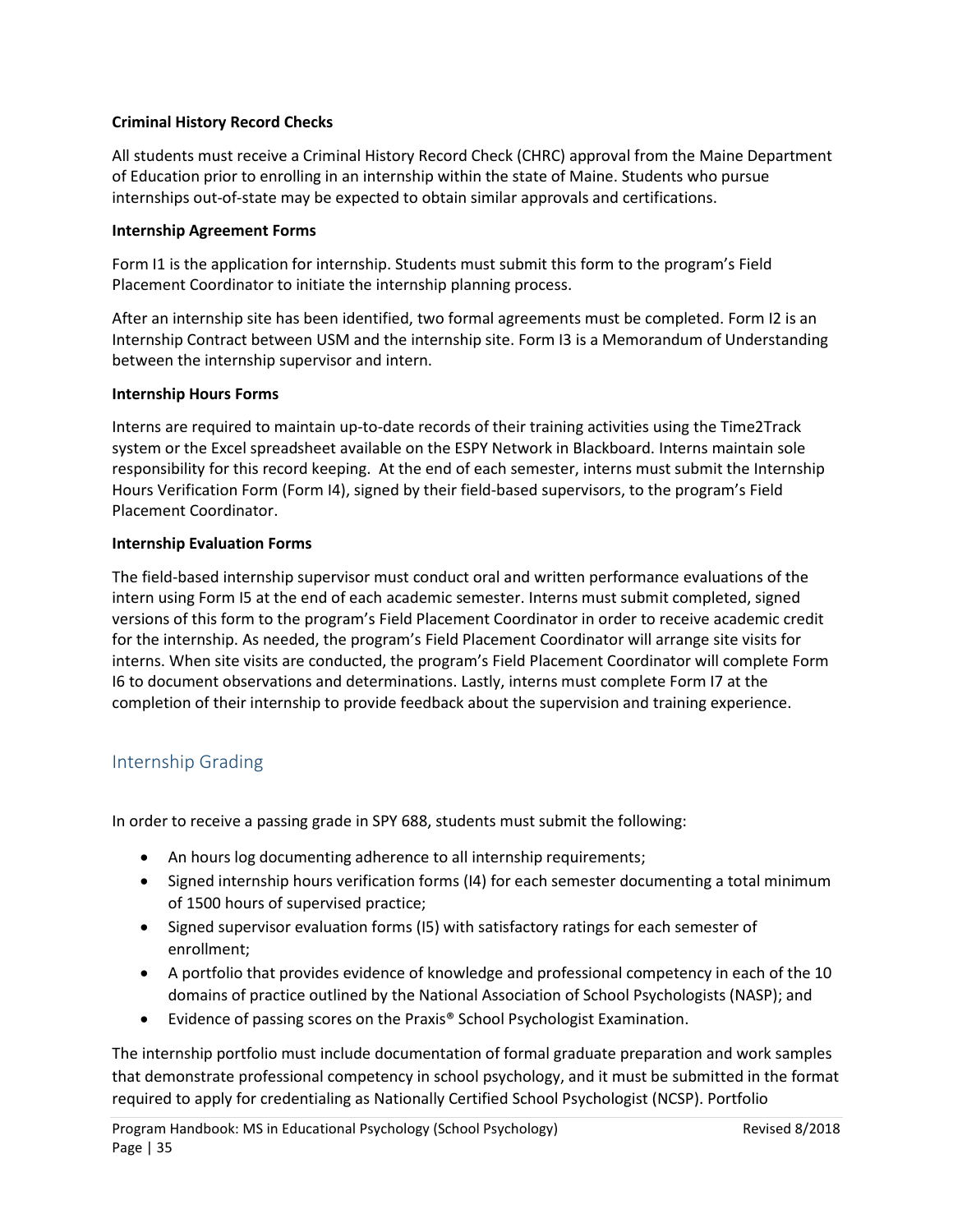# **Criminal History Record Checks**

All students must receive a Criminal History Record Check (CHRC) approval from the Maine Department of Education prior to enrolling in an internship within the state of Maine. Students who pursue internships out-of-state may be expected to obtain similar approvals and certifications.

# **Internship Agreement Forms**

Form I1 is the application for internship. Students must submit this form to the program's Field Placement Coordinator to initiate the internship planning process.

After an internship site has been identified, two formal agreements must be completed. Form I2 is an Internship Contract between USM and the internship site. Form I3 is a Memorandum of Understanding between the internship supervisor and intern.

# **Internship Hours Forms**

Interns are required to maintain up-to-date records of their training activities using the Time2Track system or the Excel spreadsheet available on the ESPY Network in Blackboard. Interns maintain sole responsibility for this record keeping. At the end of each semester, interns must submit the Internship Hours Verification Form (Form I4), signed by their field-based supervisors, to the program's Field Placement Coordinator.

# **Internship Evaluation Forms**

The field-based internship supervisor must conduct oral and written performance evaluations of the intern using Form I5 at the end of each academic semester. Interns must submit completed, signed versions of this form to the program's Field Placement Coordinator in order to receive academic credit for the internship. As needed, the program's Field Placement Coordinator will arrange site visits for interns. When site visits are conducted, the program's Field Placement Coordinator will complete Form I6 to document observations and determinations. Lastly, interns must complete Form I7 at the completion of their internship to provide feedback about the supervision and training experience.

# <span id="page-34-0"></span>Internship Grading

In order to receive a passing grade in SPY 688, students must submit the following:

- An hours log documenting adherence to all internship requirements;
- Signed internship hours verification forms (I4) for each semester documenting a total minimum of 1500 hours of supervised practice;
- Signed supervisor evaluation forms (I5) with satisfactory ratings for each semester of enrollment;
- A portfolio that provides evidence of knowledge and professional competency in each of the 10 domains of practice outlined by the National Association of School Psychologists (NASP); and
- Evidence of passing scores on the Praxis® School Psychologist Examination.

The internship portfolio must include documentation of formal graduate preparation and work samples that demonstrate professional competency in school psychology, and it must be submitted in the format required to apply for credentialing as Nationally Certified School Psychologist (NCSP). Portfolio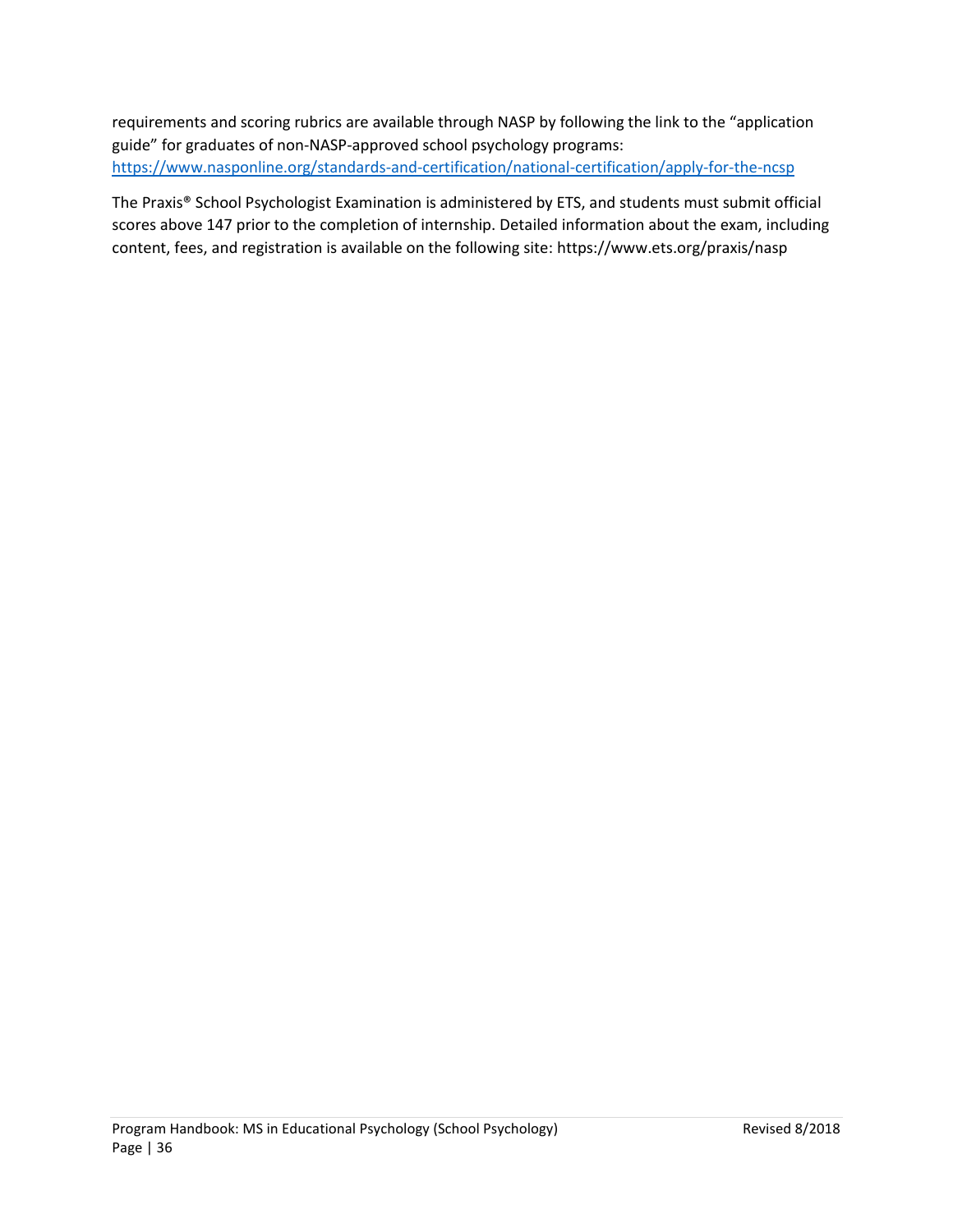requirements and scoring rubrics are available through NASP by following the link to the "application guide" for graduates of non-NASP-approved school psychology programs: <https://www.nasponline.org/standards-and-certification/national-certification/apply-for-the-ncsp>

The Praxis® School Psychologist Examination is administered by ETS, and students must submit official scores above 147 prior to the completion of internship. Detailed information about the exam, including content, fees, and registration is available on the following site: https://www.ets.org/praxis/nasp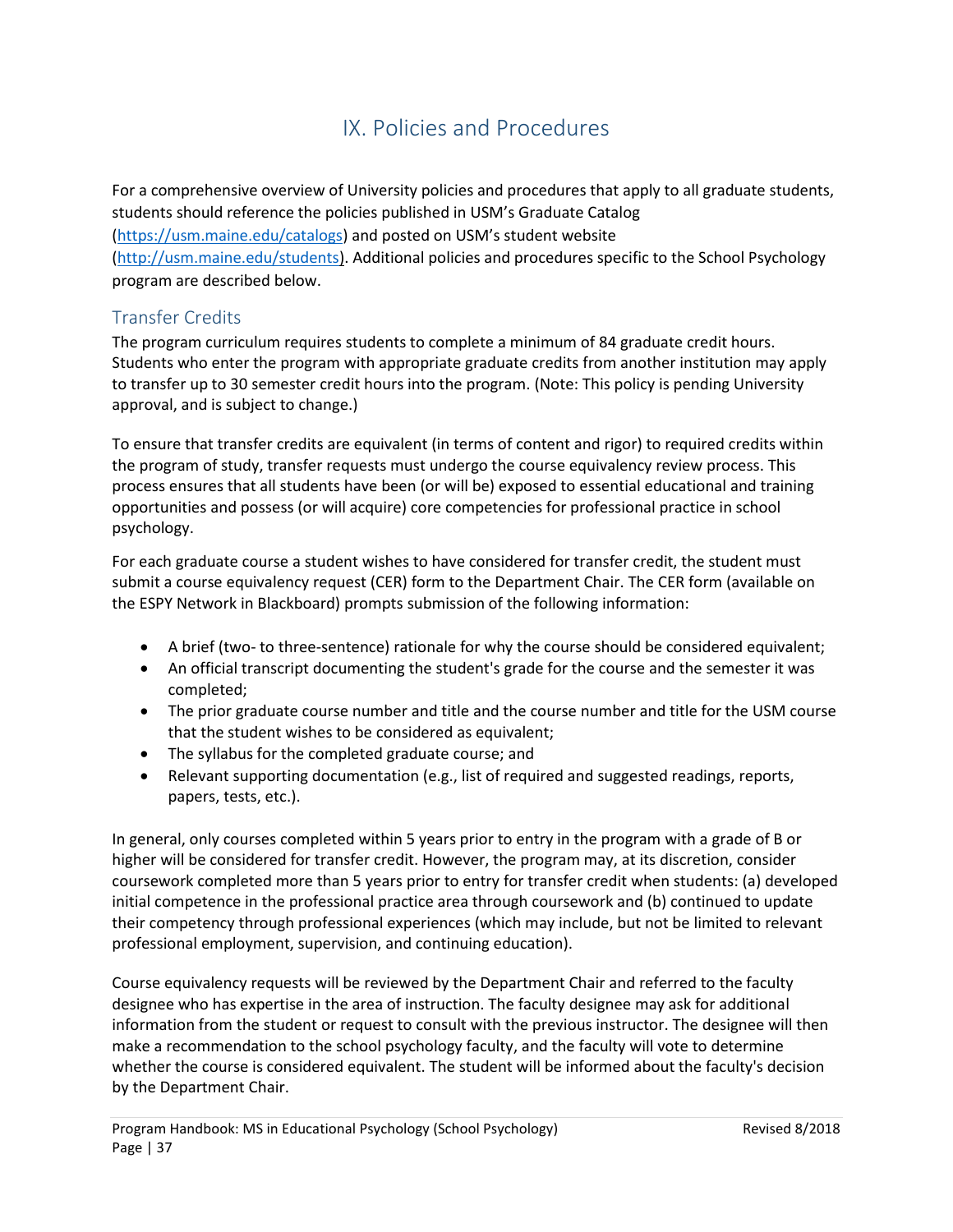# IX. Policies and Procedures

<span id="page-36-0"></span>For a comprehensive overview of University policies and procedures that apply to all graduate students, students should reference the policies published in USM's Graduate Catalog [\(https://usm.maine.edu/catalogs\)](https://usm.maine.edu/catalogs) and posted on USM's student website [\(http://usm.maine.edu/students\)](http://usm.maine.edu/students). Additional policies and procedures specific to the School Psychology program are described below.

# <span id="page-36-1"></span>Transfer Credits

The program curriculum requires students to complete a minimum of 84 graduate credit hours. Students who enter the program with appropriate graduate credits from another institution may apply to transfer up to 30 semester credit hours into the program. (Note: This policy is pending University approval, and is subject to change.)

To ensure that transfer credits are equivalent (in terms of content and rigor) to required credits within the program of study, transfer requests must undergo the course equivalency review process. This process ensures that all students have been (or will be) exposed to essential educational and training opportunities and possess (or will acquire) core competencies for professional practice in school psychology.

For each graduate course a student wishes to have considered for transfer credit, the student must submit a course equivalency request (CER) form to the Department Chair. The CER form (available on the ESPY Network in Blackboard) prompts submission of the following information:

- A brief (two- to three-sentence) rationale for why the course should be considered equivalent;
- An official transcript documenting the student's grade for the course and the semester it was completed;
- The prior graduate course number and title and the course number and title for the USM course that the student wishes to be considered as equivalent;
- The syllabus for the completed graduate course; and
- Relevant supporting documentation (e.g., list of required and suggested readings, reports, papers, tests, etc.).

In general, only courses completed within 5 years prior to entry in the program with a grade of B or higher will be considered for transfer credit. However, the program may, at its discretion, consider coursework completed more than 5 years prior to entry for transfer credit when students: (a) developed initial competence in the professional practice area through coursework and (b) continued to update their competency through professional experiences (which may include, but not be limited to relevant professional employment, supervision, and continuing education).

Course equivalency requests will be reviewed by the Department Chair and referred to the faculty designee who has expertise in the area of instruction. The faculty designee may ask for additional information from the student or request to consult with the previous instructor. The designee will then make a recommendation to the school psychology faculty, and the faculty will vote to determine whether the course is considered equivalent. The student will be informed about the faculty's decision by the Department Chair.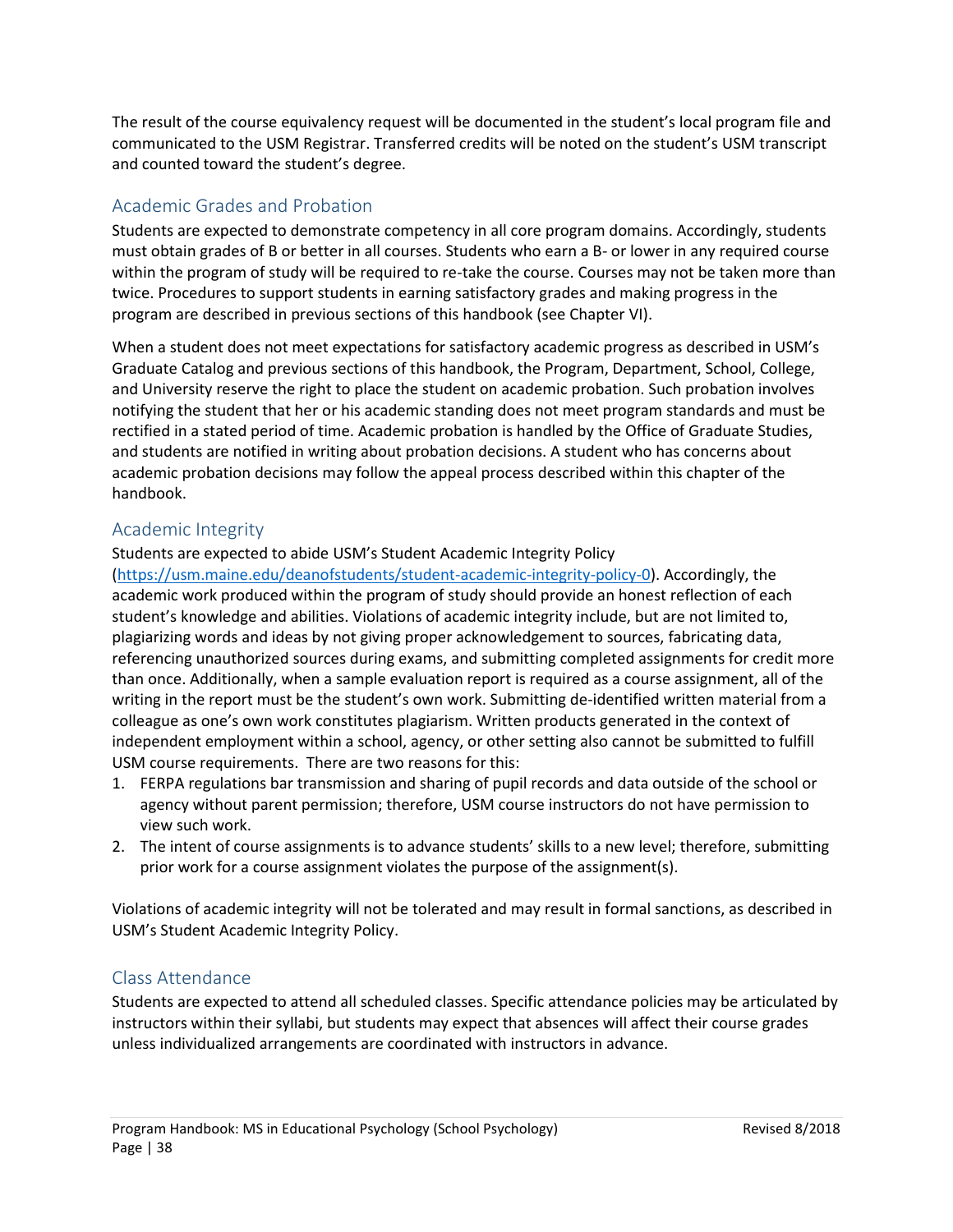The result of the course equivalency request will be documented in the student's local program file and communicated to the USM Registrar. Transferred credits will be noted on the student's USM transcript and counted toward the student's degree.

# <span id="page-37-0"></span>Academic Grades and Probation

Students are expected to demonstrate competency in all core program domains. Accordingly, students must obtain grades of B or better in all courses. Students who earn a B- or lower in any required course within the program of study will be required to re-take the course. Courses may not be taken more than twice. Procedures to support students in earning satisfactory grades and making progress in the program are described in previous sections of this handbook (see Chapter VI).

When a student does not meet expectations for satisfactory academic progress as described in USM's Graduate Catalog and previous sections of this handbook, the Program, Department, School, College, and University reserve the right to place the student on academic probation. Such probation involves notifying the student that her or his academic standing does not meet program standards and must be rectified in a stated period of time. Academic probation is handled by the Office of Graduate Studies, and students are notified in writing about probation decisions. A student who has concerns about academic probation decisions may follow the appeal process described within this chapter of the handbook.

# <span id="page-37-1"></span>Academic Integrity

Students are expected to abide USM's Student Academic Integrity Policy

[\(https://usm.maine.edu/deanofstudents/student-academic-integrity-policy-0\)](https://usm.maine.edu/deanofstudents/student-academic-integrity-policy-0). Accordingly, the academic work produced within the program of study should provide an honest reflection of each student's knowledge and abilities. Violations of academic integrity include, but are not limited to, plagiarizing words and ideas by not giving proper acknowledgement to sources, fabricating data, referencing unauthorized sources during exams, and submitting completed assignments for credit more than once. Additionally, when a sample evaluation report is required as a course assignment, all of the writing in the report must be the student's own work. Submitting de-identified written material from a colleague as one's own work constitutes plagiarism. Written products generated in the context of independent employment within a school, agency, or other setting also cannot be submitted to fulfill USM course requirements. There are two reasons for this:

- 1. FERPA regulations bar transmission and sharing of pupil records and data outside of the school or agency without parent permission; therefore, USM course instructors do not have permission to view such work.
- 2. The intent of course assignments is to advance students' skills to a new level; therefore, submitting prior work for a course assignment violates the purpose of the assignment(s).

Violations of academic integrity will not be tolerated and may result in formal sanctions, as described in USM's Student Academic Integrity Policy.

# <span id="page-37-2"></span>Class Attendance

Students are expected to attend all scheduled classes. Specific attendance policies may be articulated by instructors within their syllabi, but students may expect that absences will affect their course grades unless individualized arrangements are coordinated with instructors in advance.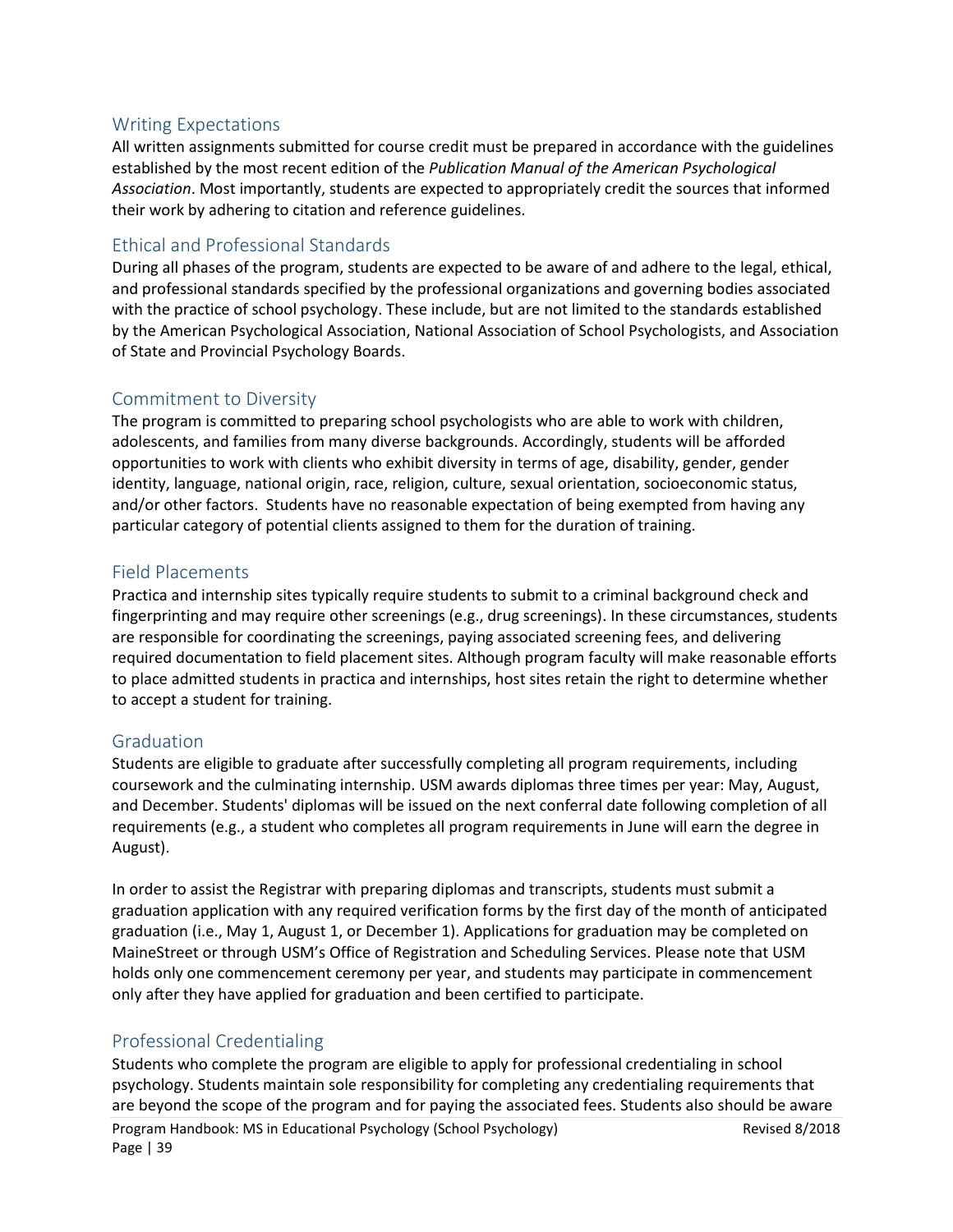# <span id="page-38-0"></span>Writing Expectations

All written assignments submitted for course credit must be prepared in accordance with the guidelines established by the most recent edition of the *Publication Manual of the American Psychological Association*. Most importantly, students are expected to appropriately credit the sources that informed their work by adhering to citation and reference guidelines.

# <span id="page-38-1"></span>Ethical and Professional Standards

During all phases of the program, students are expected to be aware of and adhere to the legal, ethical, and professional standards specified by the professional organizations and governing bodies associated with the practice of school psychology. These include, but are not limited to the standards established by the American Psychological Association, National Association of School Psychologists, and Association of State and Provincial Psychology Boards.

# <span id="page-38-2"></span>Commitment to Diversity

The program is committed to preparing school psychologists who are able to work with children, adolescents, and families from many diverse backgrounds. Accordingly, students will be afforded opportunities to work with clients who exhibit diversity in terms of age, disability, gender, gender identity, language, national origin, race, religion, culture, sexual orientation, socioeconomic status, and/or other factors. Students have no reasonable expectation of being exempted from having any particular category of potential clients assigned to them for the duration of training.

# <span id="page-38-3"></span>Field Placements

Practica and internship sites typically require students to submit to a criminal background check and fingerprinting and may require other screenings (e.g., drug screenings). In these circumstances, students are responsible for coordinating the screenings, paying associated screening fees, and delivering required documentation to field placement sites. Although program faculty will make reasonable efforts to place admitted students in practica and internships, host sites retain the right to determine whether to accept a student for training.

# <span id="page-38-4"></span>Graduation

Students are eligible to graduate after successfully completing all program requirements, including coursework and the culminating internship. USM awards diplomas three times per year: May, August, and December. Students' diplomas will be issued on the next conferral date following completion of all requirements (e.g., a student who completes all program requirements in June will earn the degree in August).

In order to assist the Registrar with preparing diplomas and transcripts, students must submit a graduation application with any required verification forms by the first day of the month of anticipated graduation (i.e., May 1, August 1, or December 1). Applications for graduation may be completed on MaineStreet or through USM's Office of Registration and Scheduling Services. Please note that USM holds only one commencement ceremony per year, and students may participate in commencement only after they have applied for graduation and been certified to participate.

# <span id="page-38-5"></span>Professional Credentialing

Students who complete the program are eligible to apply for professional credentialing in school psychology. Students maintain sole responsibility for completing any credentialing requirements that are beyond the scope of the program and for paying the associated fees. Students also should be aware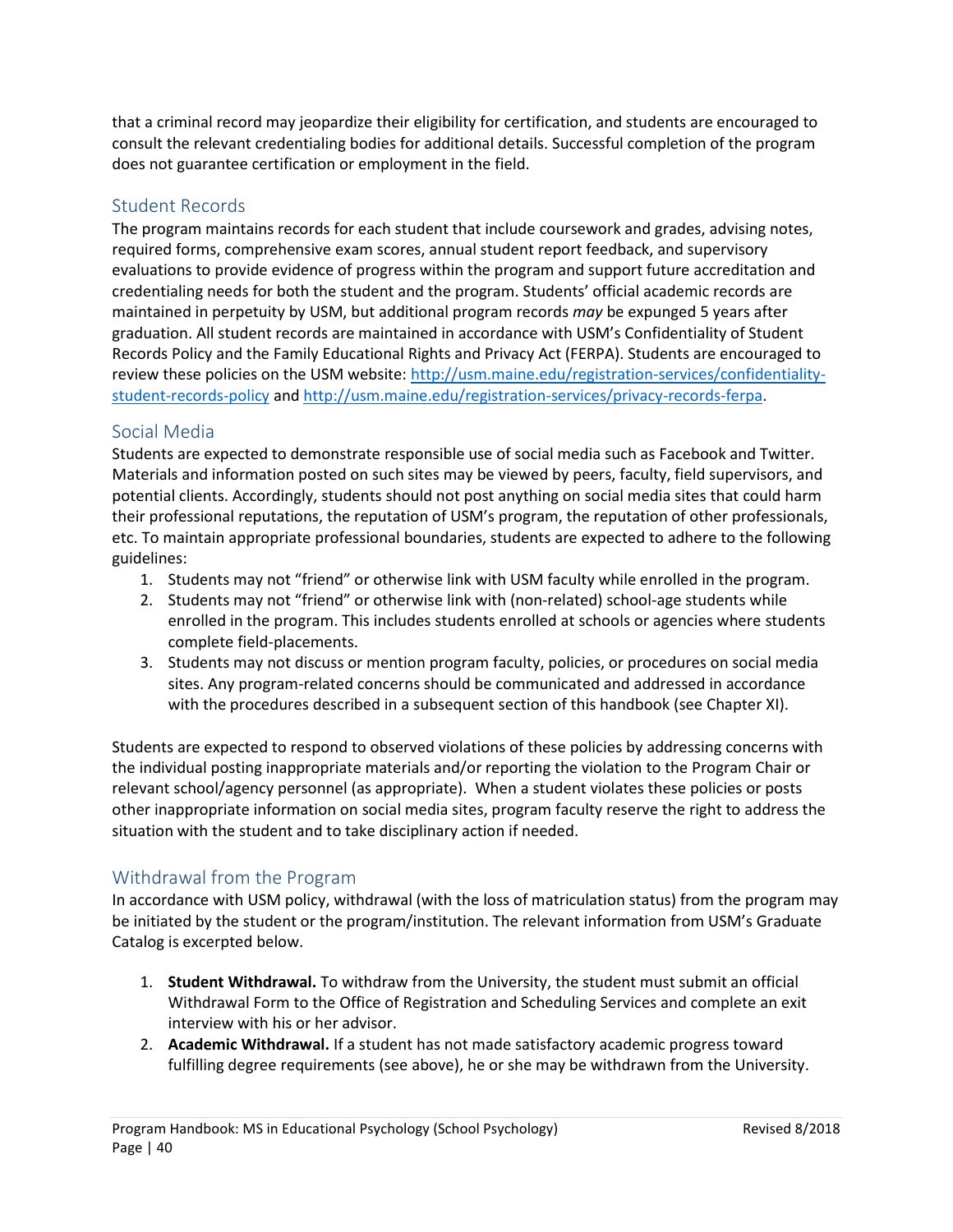that a criminal record may jeopardize their eligibility for certification, and students are encouraged to consult the relevant credentialing bodies for additional details. Successful completion of the program does not guarantee certification or employment in the field.

# <span id="page-39-0"></span>Student Records

The program maintains records for each student that include coursework and grades, advising notes, required forms, comprehensive exam scores, annual student report feedback, and supervisory evaluations to provide evidence of progress within the program and support future accreditation and credentialing needs for both the student and the program. Students' official academic records are maintained in perpetuity by USM, but additional program records *may* be expunged 5 years after graduation. All student records are maintained in accordance with USM's Confidentiality of Student Records Policy and the Family Educational Rights and Privacy Act (FERPA). Students are encouraged to review these policies on the USM website: [http://usm.maine.edu/registration-services/confidentiality](http://usm.maine.edu/registration-services/confidentiality-student-records-policy)[student-records-policy](http://usm.maine.edu/registration-services/confidentiality-student-records-policy) and [http://usm.maine.edu/registration-services/privacy-records-ferpa.](http://usm.maine.edu/registration-services/privacy-records-ferpa)

# <span id="page-39-1"></span>Social Media

Students are expected to demonstrate responsible use of social media such as Facebook and Twitter. Materials and information posted on such sites may be viewed by peers, faculty, field supervisors, and potential clients. Accordingly, students should not post anything on social media sites that could harm their professional reputations, the reputation of USM's program, the reputation of other professionals, etc. To maintain appropriate professional boundaries, students are expected to adhere to the following guidelines:

- 1. Students may not "friend" or otherwise link with USM faculty while enrolled in the program.
- 2. Students may not "friend" or otherwise link with (non-related) school-age students while enrolled in the program. This includes students enrolled at schools or agencies where students complete field-placements.
- 3. Students may not discuss or mention program faculty, policies, or procedures on social media sites. Any program-related concerns should be communicated and addressed in accordance with the procedures described in a subsequent section of this handbook (see Chapter XI).

Students are expected to respond to observed violations of these policies by addressing concerns with the individual posting inappropriate materials and/or reporting the violation to the Program Chair or relevant school/agency personnel (as appropriate). When a student violates these policies or posts other inappropriate information on social media sites, program faculty reserve the right to address the situation with the student and to take disciplinary action if needed.

# <span id="page-39-2"></span>Withdrawal from the Program

In accordance with USM policy, withdrawal (with the loss of matriculation status) from the program may be initiated by the student or the program/institution. The relevant information from USM's Graduate Catalog is excerpted below.

- 1. **Student Withdrawal.** To withdraw from the University, the student must submit an official Withdrawal Form to the Office of Registration and Scheduling Services and complete an exit interview with his or her advisor.
- 2. **Academic Withdrawal.** If a student has not made satisfactory academic progress toward fulfilling degree requirements (see above), he or she may be withdrawn from the University.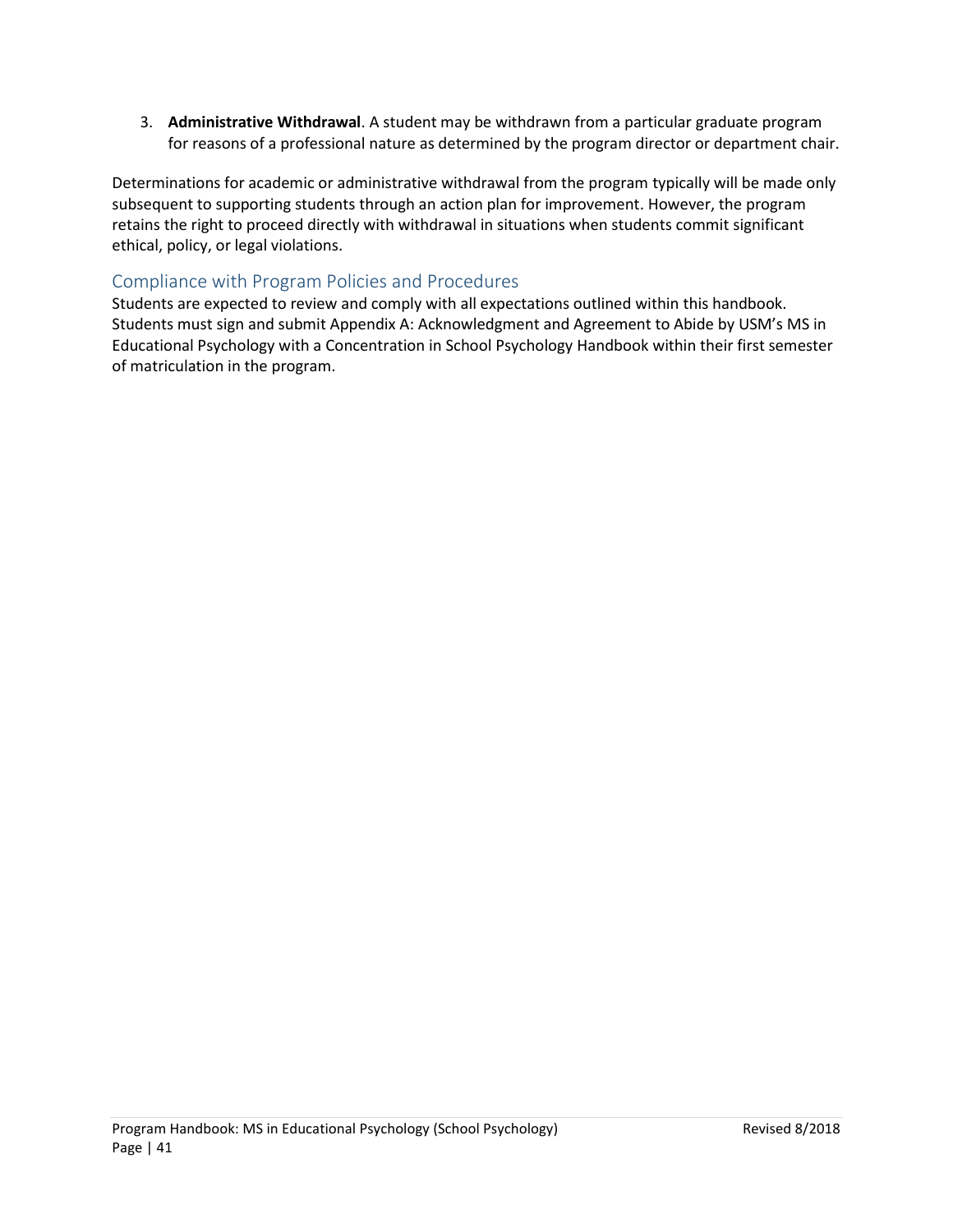3. **Administrative Withdrawal**. A student may be withdrawn from a particular graduate program for reasons of a professional nature as determined by the program director or department chair.

Determinations for academic or administrative withdrawal from the program typically will be made only subsequent to supporting students through an action plan for improvement. However, the program retains the right to proceed directly with withdrawal in situations when students commit significant ethical, policy, or legal violations.

# <span id="page-40-0"></span>Compliance with Program Policies and Procedures

Students are expected to review and comply with all expectations outlined within this handbook. Students must sign and submit Appendix A: Acknowledgment and Agreement to Abide by USM's MS in Educational Psychology with a Concentration in School Psychology Handbook within their first semester of matriculation in the program.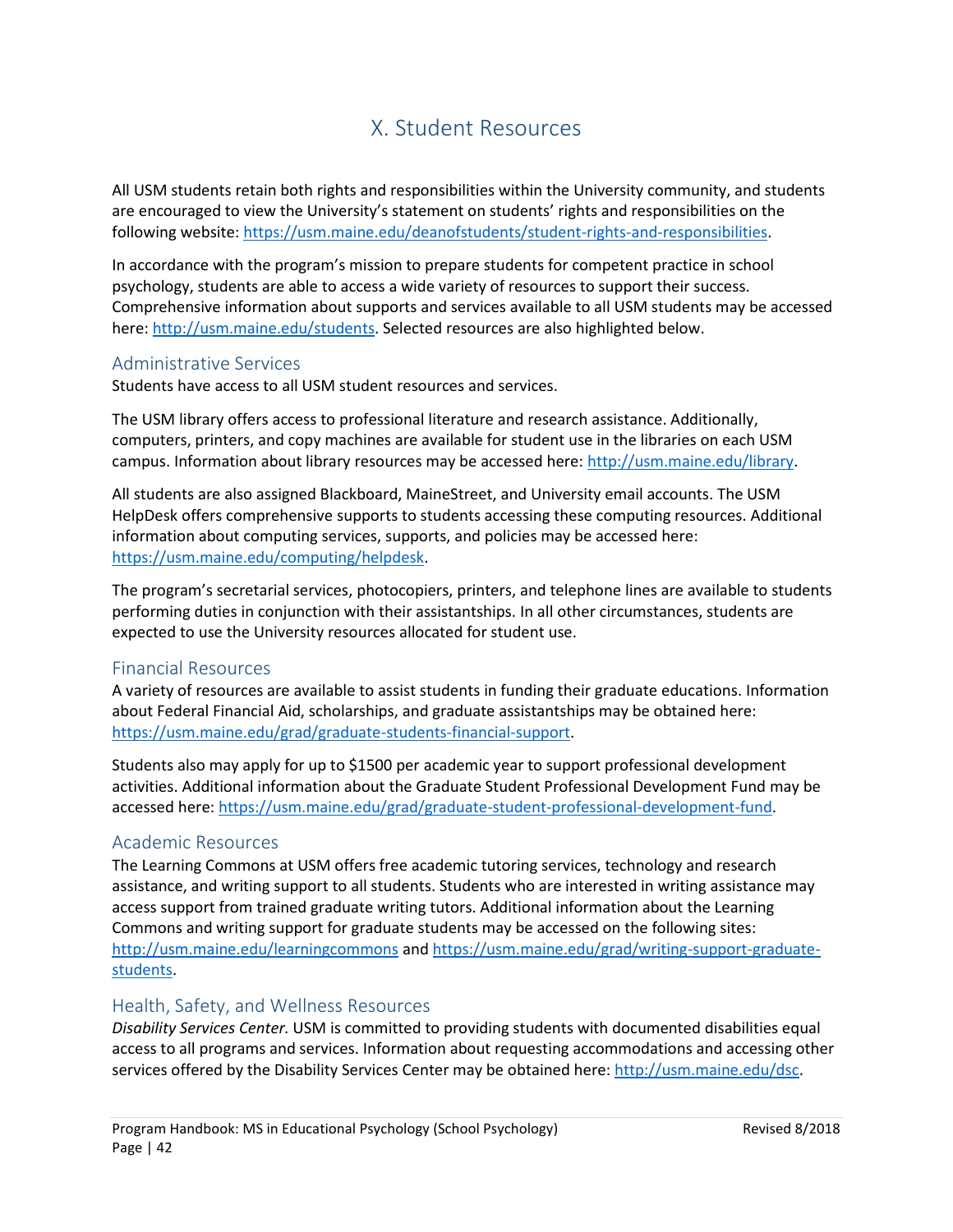# X. Student Resources

<span id="page-41-0"></span>All USM students retain both rights and responsibilities within the University community, and students are encouraged to view the University's statement on students' rights and responsibilities on the following website: [https://usm.maine.edu/deanofstudents/student-rights-and-responsibilities.](https://usm.maine.edu/deanofstudents/student-rights-and-responsibilities)

In accordance with the program's mission to prepare students for competent practice in school psychology, students are able to access a wide variety of resources to support their success. Comprehensive information about supports and services available to all USM students may be accessed here: [http://usm.maine.edu/students.](http://usm.maine.edu/students) Selected resources are also highlighted below.

# <span id="page-41-1"></span>Administrative Services

Students have access to all USM student resources and services.

The USM library offers access to professional literature and research assistance. Additionally, computers, printers, and copy machines are available for student use in the libraries on each USM campus. Information about library resources may be accessed here: [http://usm.maine.edu/library.](http://usm.maine.edu/library)

All students are also assigned Blackboard, MaineStreet, and University email accounts. The USM HelpDesk offers comprehensive supports to students accessing these computing resources. Additional information about computing services, supports, and policies may be accessed here: [https://usm.maine.edu/computing/helpdesk.](https://usm.maine.edu/computing/helpdesk)

The program's secretarial services, photocopiers, printers, and telephone lines are available to students performing duties in conjunction with their assistantships. In all other circumstances, students are expected to use the University resources allocated for student use.

## <span id="page-41-2"></span>Financial Resources

A variety of resources are available to assist students in funding their graduate educations. Information about Federal Financial Aid, scholarships, and graduate assistantships may be obtained here: [https://usm.maine.edu/grad/graduate-students-financial-support.](https://usm.maine.edu/grad/graduate-students-financial-support)

Students also may apply for up to \$1500 per academic year to support professional development activities. Additional information about the Graduate Student Professional Development Fund may be accessed here: [https://usm.maine.edu/grad/graduate-student-professional-development-fund.](https://usm.maine.edu/grad/graduate-student-professional-development-fund)

# <span id="page-41-3"></span>Academic Resources

The Learning Commons at USM offers free academic tutoring services, technology and research assistance, and writing support to all students. Students who are interested in writing assistance may access support from trained graduate writing tutors. Additional information about the Learning Commons and writing support for graduate students may be accessed on the following sites: <http://usm.maine.edu/learningcommons> and [https://usm.maine.edu/grad/writing-support-graduate](https://usm.maine.edu/grad/writing-support-graduate-students)[students.](https://usm.maine.edu/grad/writing-support-graduate-students)

### <span id="page-41-4"></span>Health, Safety, and Wellness Resources

*Disability Services Center.* USM is committed to providing students with documented disabilities equal access to all programs and services. Information about requesting accommodations and accessing other services offered by the Disability Services Center may be obtained here: [http://usm.maine.edu/dsc.](http://usm.maine.edu/dsc)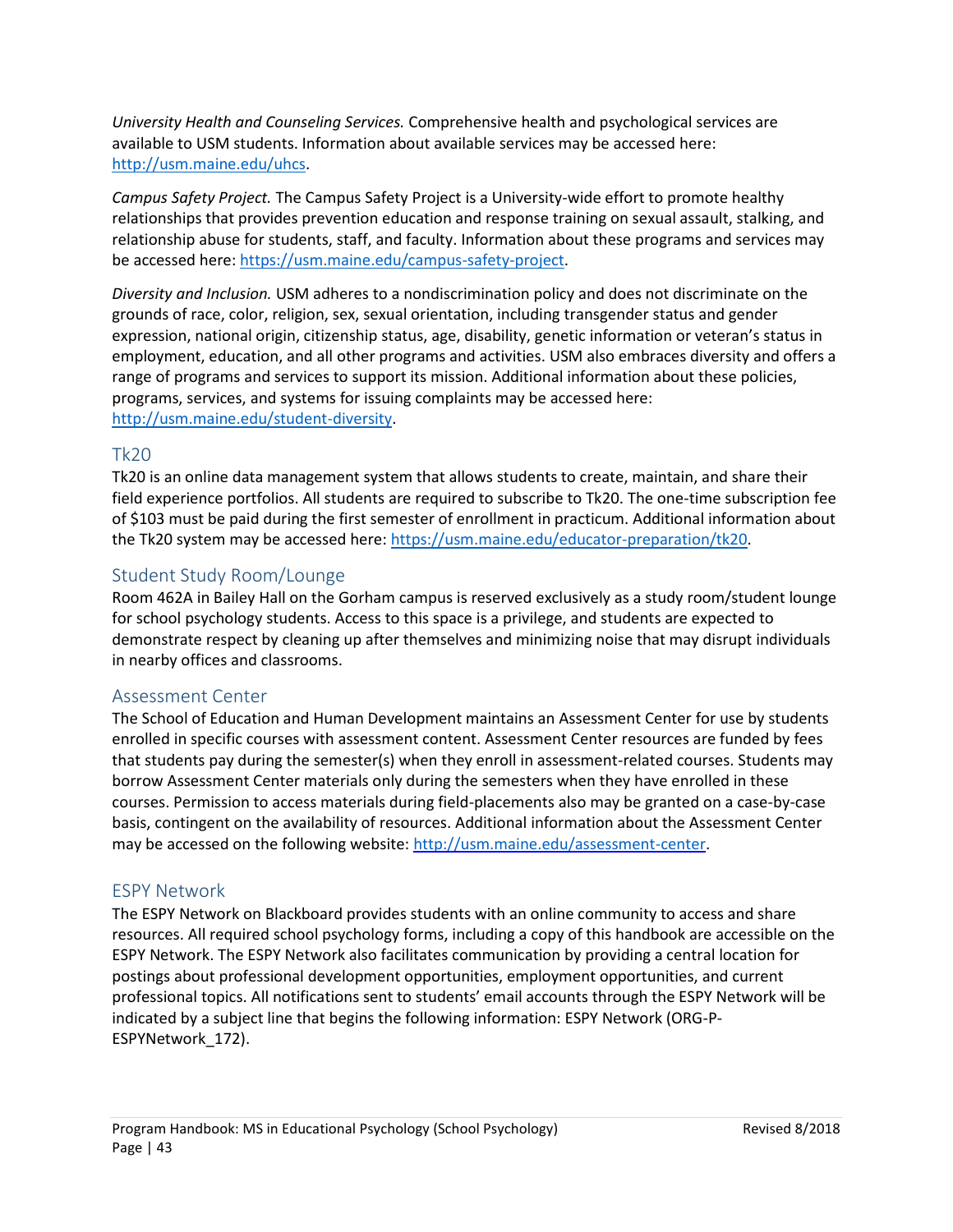*University Health and Counseling Services.* Comprehensive health and psychological services are available to USM students. Information about available services may be accessed here: [http://usm.maine.edu/uhcs.](http://usm.maine.edu/uhcs)

*Campus Safety Project.* The Campus Safety Project is a University-wide effort to promote healthy relationships that provides prevention education and response training on sexual assault, stalking, and relationship abuse for students, staff, and faculty. Information about these programs and services may be accessed here: [https://usm.maine.edu/campus-safety-project.](https://usm.maine.edu/campus-safety-project)

*Diversity and Inclusion.* USM adheres to a nondiscrimination policy and does not discriminate on the grounds of race, color, religion, sex, sexual orientation, including transgender status and gender expression, national origin, citizenship status, age, disability, genetic information or veteran's status in employment, education, and all other programs and activities. USM also embraces diversity and offers a range of programs and services to support its mission. Additional information about these policies, programs, services, and systems for issuing complaints may be accessed here: [http://usm.maine.edu/student-diversity.](http://usm.maine.edu/student-diversity)

# <span id="page-42-0"></span>Tk20

Tk20 is an online data management system that allows students to create, maintain, and share their field experience portfolios. All students are required to subscribe to Tk20. The one-time subscription fee of \$103 must be paid during the first semester of enrollment in practicum. Additional information about the Tk20 system may be accessed here: [https://usm.maine.edu/educator-preparation/tk20.](https://usm.maine.edu/educator-preparation/tk20)

# <span id="page-42-1"></span>Student Study Room/Lounge

Room 462A in Bailey Hall on the Gorham campus is reserved exclusively as a study room/student lounge for school psychology students. Access to this space is a privilege, and students are expected to demonstrate respect by cleaning up after themselves and minimizing noise that may disrupt individuals in nearby offices and classrooms.

# <span id="page-42-2"></span>Assessment Center

The School of Education and Human Development maintains an Assessment Center for use by students enrolled in specific courses with assessment content. Assessment Center resources are funded by fees that students pay during the semester(s) when they enroll in assessment-related courses. Students may borrow Assessment Center materials only during the semesters when they have enrolled in these courses. Permission to access materials during field-placements also may be granted on a case-by-case basis, contingent on the availability of resources. Additional information about the Assessment Center may be accessed on the following website[: http://usm.maine.edu/assessment-center.](http://usm.maine.edu/assessment-center)

# <span id="page-42-3"></span>ESPY Network

The ESPY Network on Blackboard provides students with an online community to access and share resources. All required school psychology forms, including a copy of this handbook are accessible on the ESPY Network. The ESPY Network also facilitates communication by providing a central location for postings about professional development opportunities, employment opportunities, and current professional topics. All notifications sent to students' email accounts through the ESPY Network will be indicated by a subject line that begins the following information: ESPY Network (ORG-P-ESPYNetwork\_172).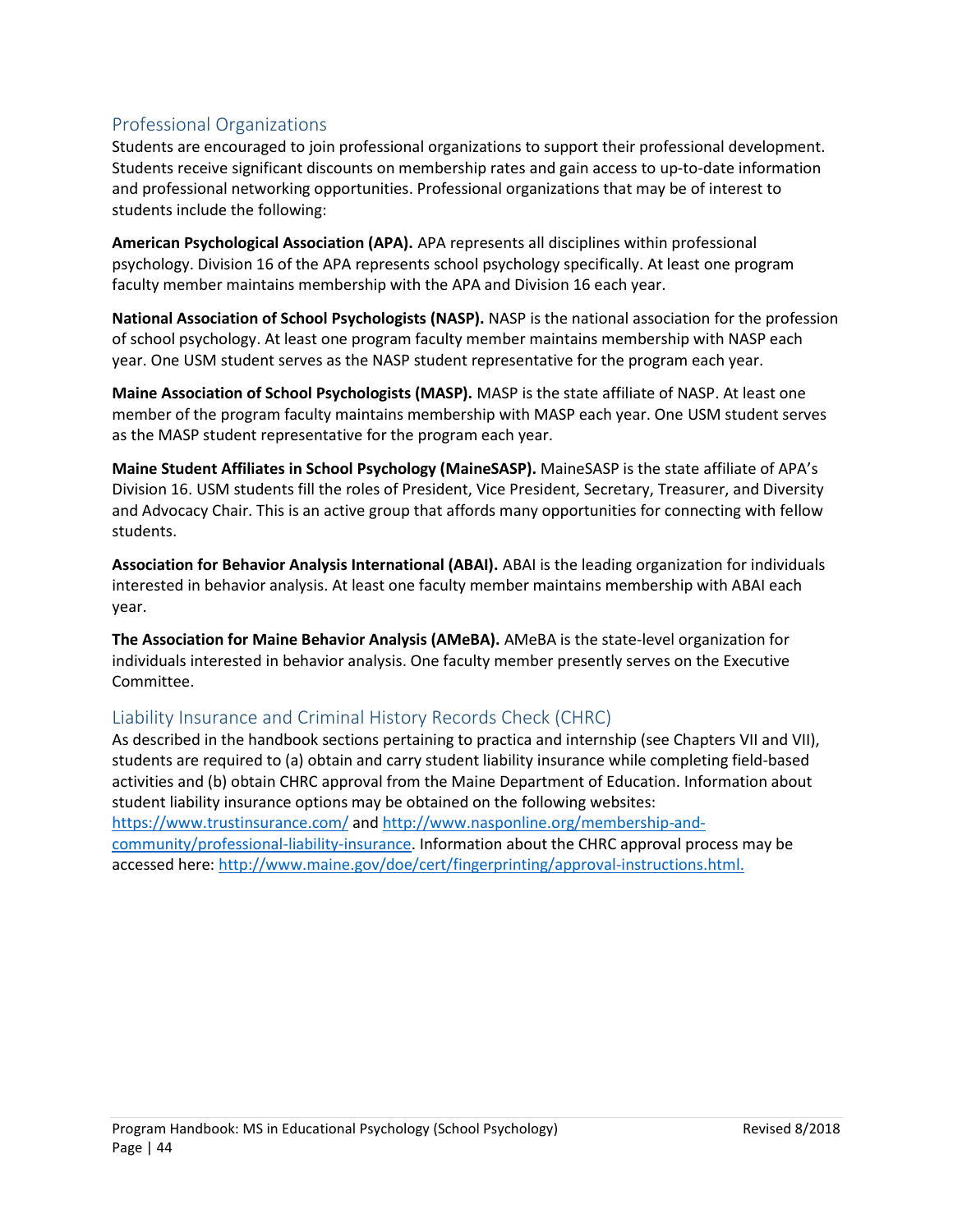# <span id="page-43-0"></span>Professional Organizations

Students are encouraged to join professional organizations to support their professional development. Students receive significant discounts on membership rates and gain access to up-to-date information and professional networking opportunities. Professional organizations that may be of interest to students include the following:

**American Psychological Association (APA).** APA represents all disciplines within professional psychology. Division 16 of the APA represents school psychology specifically. At least one program faculty member maintains membership with the APA and Division 16 each year.

**National Association of School Psychologists (NASP).** NASP is the national association for the profession of school psychology. At least one program faculty member maintains membership with NASP each year. One USM student serves as the NASP student representative for the program each year.

**Maine Association of School Psychologists (MASP).** MASP is the state affiliate of NASP. At least one member of the program faculty maintains membership with MASP each year. One USM student serves as the MASP student representative for the program each year.

**Maine Student Affiliates in School Psychology (MaineSASP).** MaineSASP is the state affiliate of APA's Division 16. USM students fill the roles of President, Vice President, Secretary, Treasurer, and Diversity and Advocacy Chair. This is an active group that affords many opportunities for connecting with fellow students.

**Association for Behavior Analysis International (ABAI).** ABAI is the leading organization for individuals interested in behavior analysis. At least one faculty member maintains membership with ABAI each year.

**The Association for Maine Behavior Analysis (AMeBA).** AMeBA is the state-level organization for individuals interested in behavior analysis. One faculty member presently serves on the Executive Committee.

# <span id="page-43-1"></span>Liability Insurance and Criminal History Records Check (CHRC)

As described in the handbook sections pertaining to practica and internship (see Chapters VII and VII), students are required to (a) obtain and carry student liability insurance while completing field-based activities and (b) obtain CHRC approval from the Maine Department of Education. Information about student liability insurance options may be obtained on the following websites: <https://www.trustinsurance.com/> and [http://www.nasponline.org/membership-and](http://www.nasponline.org/membership-and-community/professional-liability-insurance)[community/professional-liability-insurance.](http://www.nasponline.org/membership-and-community/professional-liability-insurance) Information about the CHRC approval process may be accessed here: [http://www.maine.gov/doe/cert/fingerprinting/approval-instructions.html.](http://www.maine.gov/doe/cert/fingerprinting/approval-instructions.html)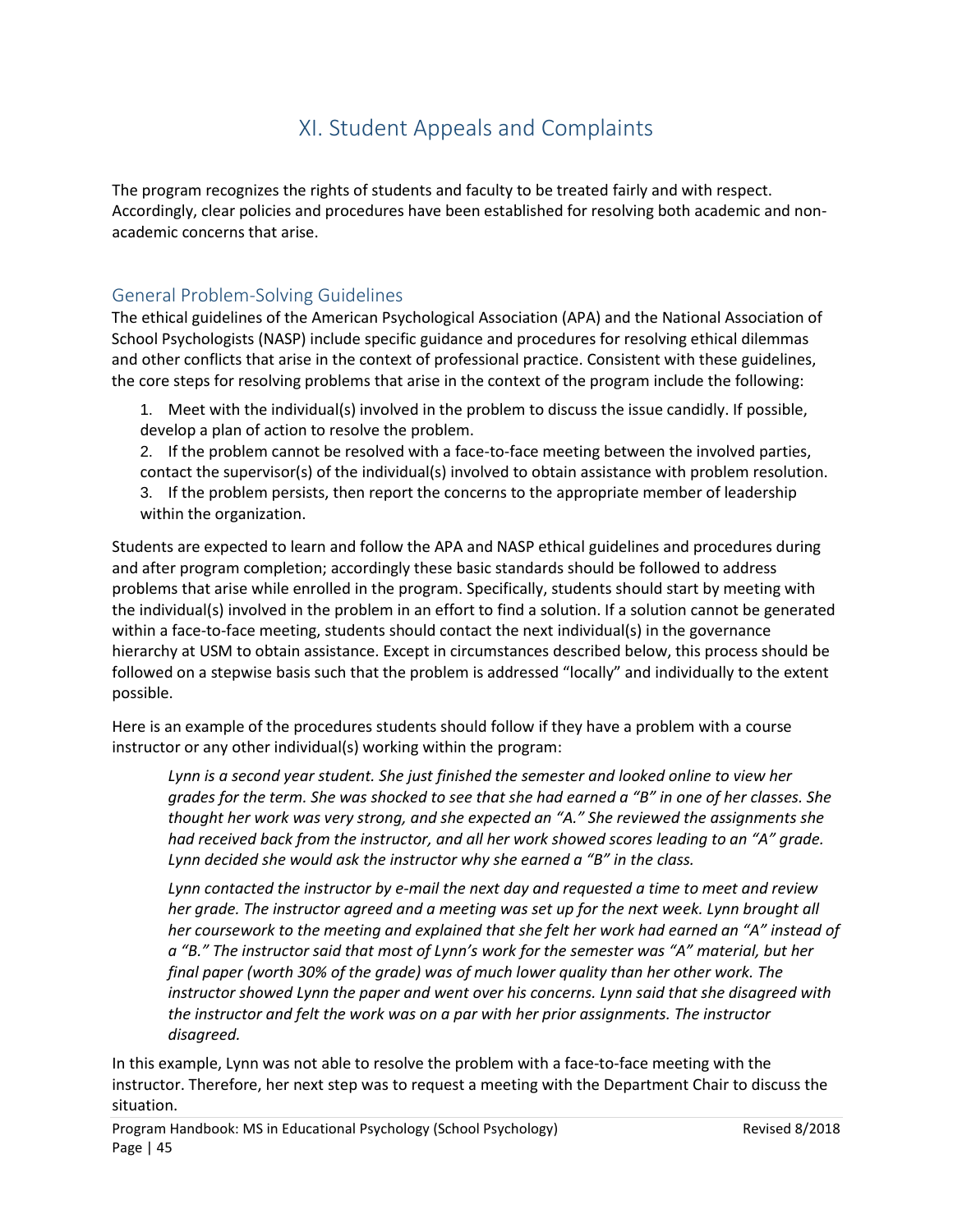# XI. Student Appeals and Complaints

<span id="page-44-0"></span>The program recognizes the rights of students and faculty to be treated fairly and with respect. Accordingly, clear policies and procedures have been established for resolving both academic and nonacademic concerns that arise.

# <span id="page-44-1"></span>General Problem-Solving Guidelines

The ethical guidelines of the American Psychological Association (APA) and the National Association of School Psychologists (NASP) include specific guidance and procedures for resolving ethical dilemmas and other conflicts that arise in the context of professional practice. Consistent with these guidelines, the core steps for resolving problems that arise in the context of the program include the following:

1. Meet with the individual(s) involved in the problem to discuss the issue candidly. If possible, develop a plan of action to resolve the problem.

2. If the problem cannot be resolved with a face-to-face meeting between the involved parties, contact the supervisor(s) of the individual(s) involved to obtain assistance with problem resolution. 3. If the problem persists, then report the concerns to the appropriate member of leadership within the organization.

Students are expected to learn and follow the APA and NASP ethical guidelines and procedures during and after program completion; accordingly these basic standards should be followed to address problems that arise while enrolled in the program. Specifically, students should start by meeting with the individual(s) involved in the problem in an effort to find a solution. If a solution cannot be generated within a face-to-face meeting, students should contact the next individual(s) in the governance hierarchy at USM to obtain assistance. Except in circumstances described below, this process should be followed on a stepwise basis such that the problem is addressed "locally" and individually to the extent possible.

Here is an example of the procedures students should follow if they have a problem with a course instructor or any other individual(s) working within the program:

*Lynn is a second year student. She just finished the semester and looked online to view her grades for the term. She was shocked to see that she had earned a "B" in one of her classes. She thought her work was very strong, and she expected an "A." She reviewed the assignments she had received back from the instructor, and all her work showed scores leading to an "A" grade. Lynn decided she would ask the instructor why she earned a "B" in the class.* 

*Lynn contacted the instructor by e-mail the next day and requested a time to meet and review*  her grade. The instructor agreed and a meeting was set up for the next week. Lynn brought all *her coursework to the meeting and explained that she felt her work had earned an "A" instead of a "B." The instructor said that most of Lynn's work for the semester was "A" material, but her final paper (worth 30% of the grade) was of much lower quality than her other work. The instructor showed Lynn the paper and went over his concerns. Lynn said that she disagreed with the instructor and felt the work was on a par with her prior assignments. The instructor disagreed.* 

In this example, Lynn was not able to resolve the problem with a face-to-face meeting with the instructor. Therefore, her next step was to request a meeting with the Department Chair to discuss the situation.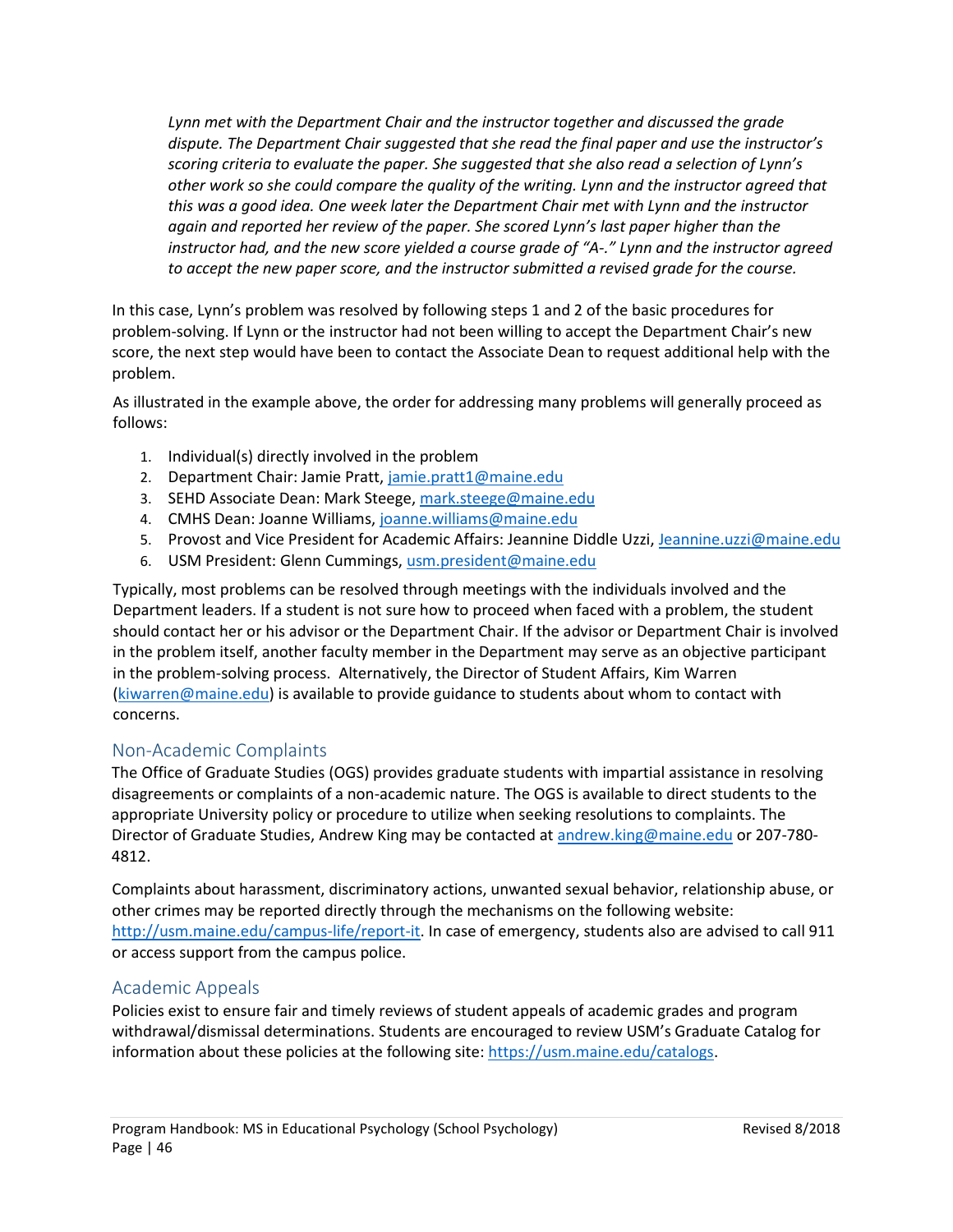*Lynn met with the Department Chair and the instructor together and discussed the grade dispute. The Department Chair suggested that she read the final paper and use the instructor's scoring criteria to evaluate the paper. She suggested that she also read a selection of Lynn's other work so she could compare the quality of the writing. Lynn and the instructor agreed that this was a good idea. One week later the Department Chair met with Lynn and the instructor again and reported her review of the paper. She scored Lynn's last paper higher than the instructor had, and the new score yielded a course grade of "A-." Lynn and the instructor agreed to accept the new paper score, and the instructor submitted a revised grade for the course.* 

In this case, Lynn's problem was resolved by following steps 1 and 2 of the basic procedures for problem-solving. If Lynn or the instructor had not been willing to accept the Department Chair's new score, the next step would have been to contact the Associate Dean to request additional help with the problem.

As illustrated in the example above, the order for addressing many problems will generally proceed as follows:

- 1. Individual(s) directly involved in the problem
- 2. Department Chair: Jamie Pratt, [jamie.pratt1@maine.edu](mailto:jamie.pratt1@maine.edu)
- 3. SEHD Associate Dean: Mark Steege[, mark.steege@maine.edu](mailto:mark.steege@maine.edu)
- 4. CMHS Dean: Joanne Williams, [joanne.williams@maine.edu](mailto:joanne.williams@maine.edu)
- 5. Provost and Vice President for Academic Affairs: Jeannine Diddle Uzzi, [Jeannine.uzzi@maine.edu](mailto:Jeannine.uzzi@maine.edu)
- 6. USM President: Glenn Cummings, [usm.president@maine.edu](mailto:usm.president@maine.edu)

Typically, most problems can be resolved through meetings with the individuals involved and the Department leaders. If a student is not sure how to proceed when faced with a problem, the student should contact her or his advisor or the Department Chair. If the advisor or Department Chair is involved in the problem itself, another faculty member in the Department may serve as an objective participant in the problem-solving process. Alternatively, the Director of Student Affairs, Kim Warren [\(kiwarren@maine.edu\)](mailto:kiwarren@maine.edu) is available to provide guidance to students about whom to contact with concerns.

# <span id="page-45-0"></span>Non-Academic Complaints

The Office of Graduate Studies (OGS) provides graduate students with impartial assistance in resolving disagreements or complaints of a non-academic nature. The OGS is available to direct students to the appropriate University policy or procedure to utilize when seeking resolutions to complaints. The Director of Graduate Studies, Andrew King may be contacted at [andrew.king@maine.edu](mailto:andrew.king@maine.edu) or 207-780- 4812.

Complaints about harassment, discriminatory actions, unwanted sexual behavior, relationship abuse, or other crimes may be reported directly through the mechanisms on the following website: [http://usm.maine.edu/campus-life/report-it.](http://usm.maine.edu/campus-life/report-it) In case of emergency, students also are advised to call 911 or access support from the campus police.

# <span id="page-45-1"></span>Academic Appeals

Policies exist to ensure fair and timely reviews of student appeals of academic grades and program withdrawal/dismissal determinations. Students are encouraged to review USM's Graduate Catalog for information about these policies at the following site: [https://usm.maine.edu/catalogs.](https://usm.maine.edu/catalogs)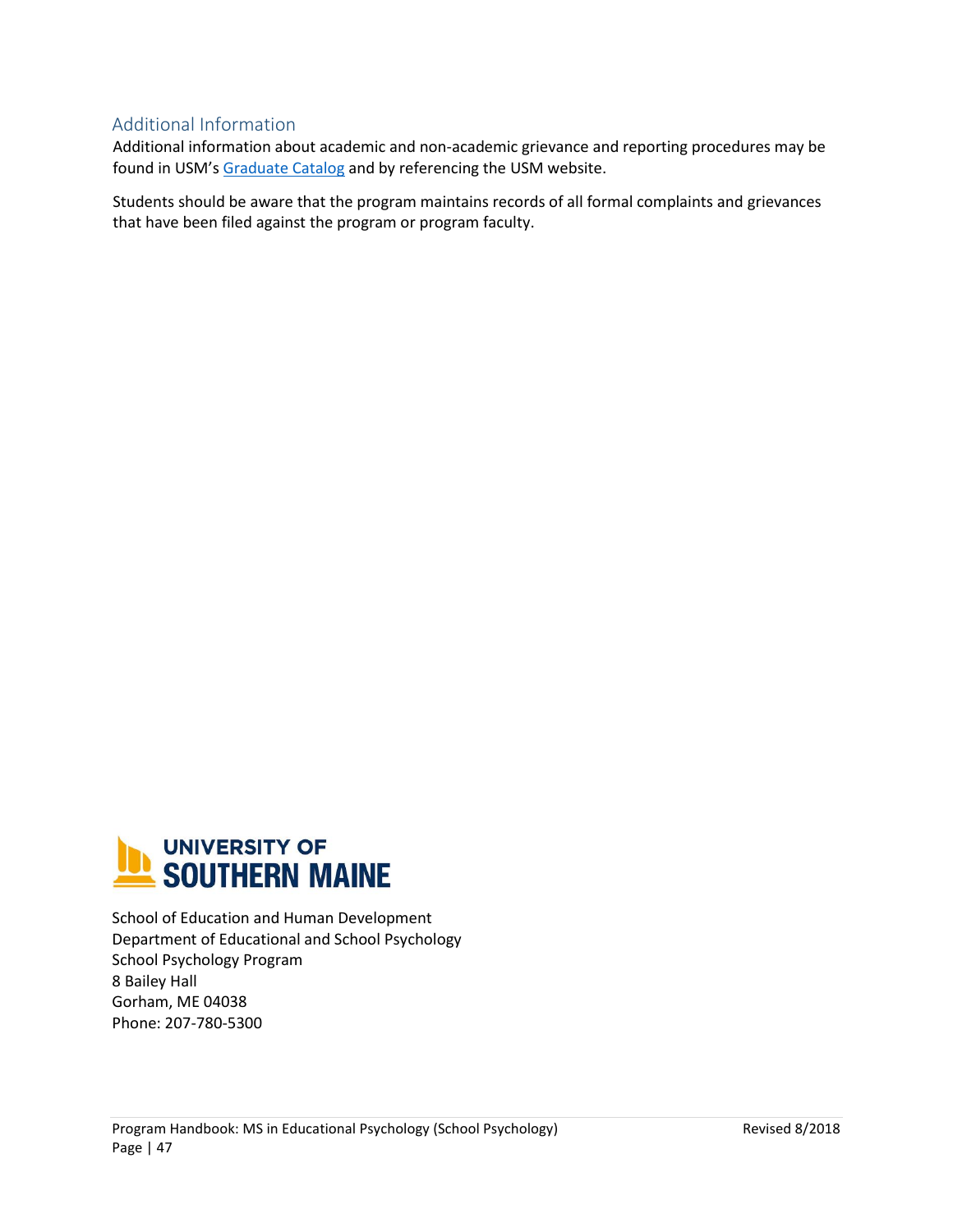# <span id="page-46-0"></span>Additional Information

Additional information about academic and non-academic grievance and reporting procedures may be found in USM's [Graduate Catalog](https://usm.maine.edu/catalogs) and by referencing the USM website.

Students should be aware that the program maintains records of all formal complaints and grievances that have been filed against the program or program faculty.



School of Education and Human Development Department of Educational and School Psychology School Psychology Program 8 Bailey Hall Gorham, ME 04038 Phone: 207-780-5300